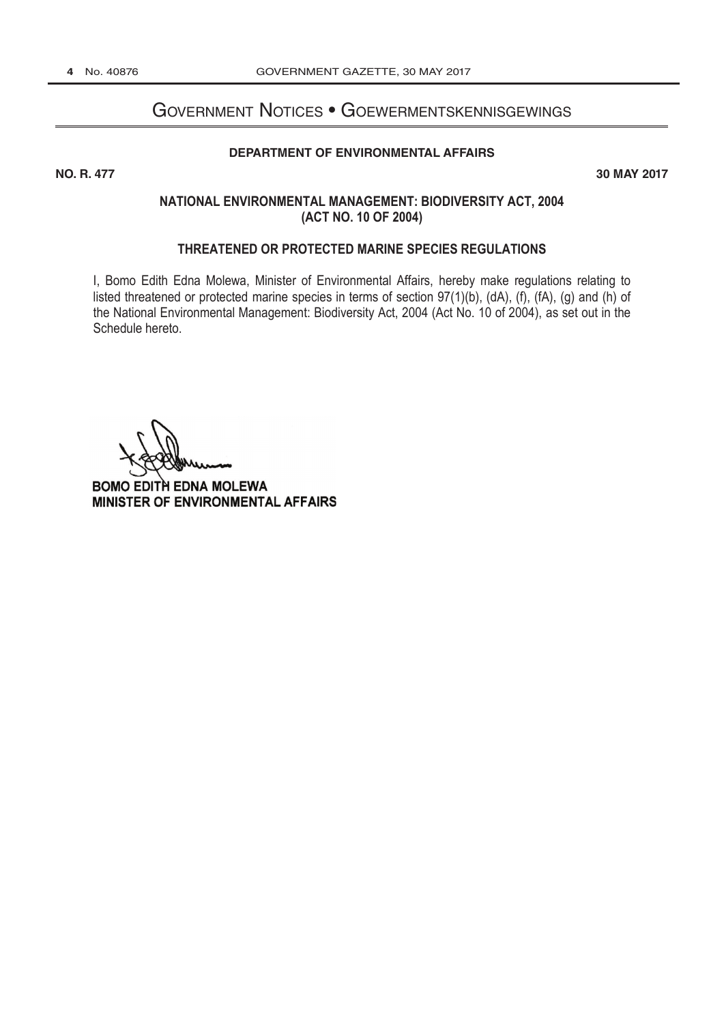## Government Notices • Goewermentskennisgewings **NO. R 2017**

### **[DEPARTMENT OF ENVIRONMENTAL AFFAIRS](http://www.greengazette.co.za/departments/envonmental)**

**NO. R. 477** 30 MAY 2017

## **NATIONAL ENVIRONMENTAL MANAGEMENT: BIODIVERSITY ACT, 2004 (ACT NO. 10 OF 2004)**

### **THREATENED OR PROTECTED MARINE SPECIES REGULATIONS**

I, Bomo Edith Edna Molewa, Minister of Environmental Affairs, hereby make regulations relating to listed threatened or protected marine species in terms of section 97(1)(b), (dA), (f), (fA), (g) and (h) of the National Environmental Management: Biodiversity Act, 2004 (Act No. 10 of 2004), as set out in the Schedule hereto.

BOMO EDITH EDNA MOLEWA MINISTER OF ENVIRONMENTAL AFFAIRS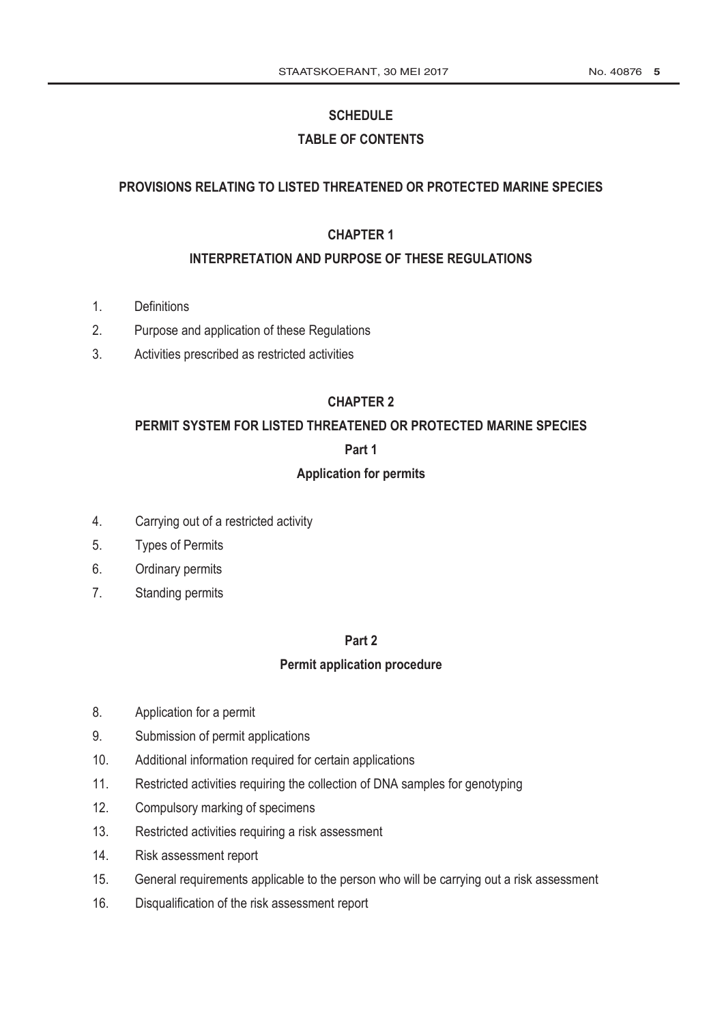# **SCHEDULE**

# **TABLE OF CONTENTS**

# **PROVISIONS RELATING TO LISTED THREATENED OR PROTECTED MARINE SPECIES**

# **CHAPTER 1**

# **INTERPRETATION AND PURPOSE OF THESE REGULATIONS**

- 1. Definitions
- 2. Purpose and application of these Regulations
- 3. Activities prescribed as restricted activities

# **CHAPTER 2**

# **PERMIT SYSTEM FOR LISTED THREATENED OR PROTECTED MARINE SPECIES**

# **Part 1**

# **Application for permits**

- 4. Carrying out of a restricted activity
- 5. Types of Permits
- 6. Ordinary permits
- 7. Standing permits

# **Part 2**

# **Permit application procedure**

- 8. Application for a permit
- 9. Submission of permit applications
- 10. Additional information required for certain applications
- 11. Restricted activities requiring the collection of DNA samples for genotyping
- 12. Compulsory marking of specimens
- 13. Restricted activities requiring a risk assessment
- 14. Risk assessment report
- 15. General requirements applicable to the person who will be carrying out a risk assessment
- 16. Disqualification of the risk assessment report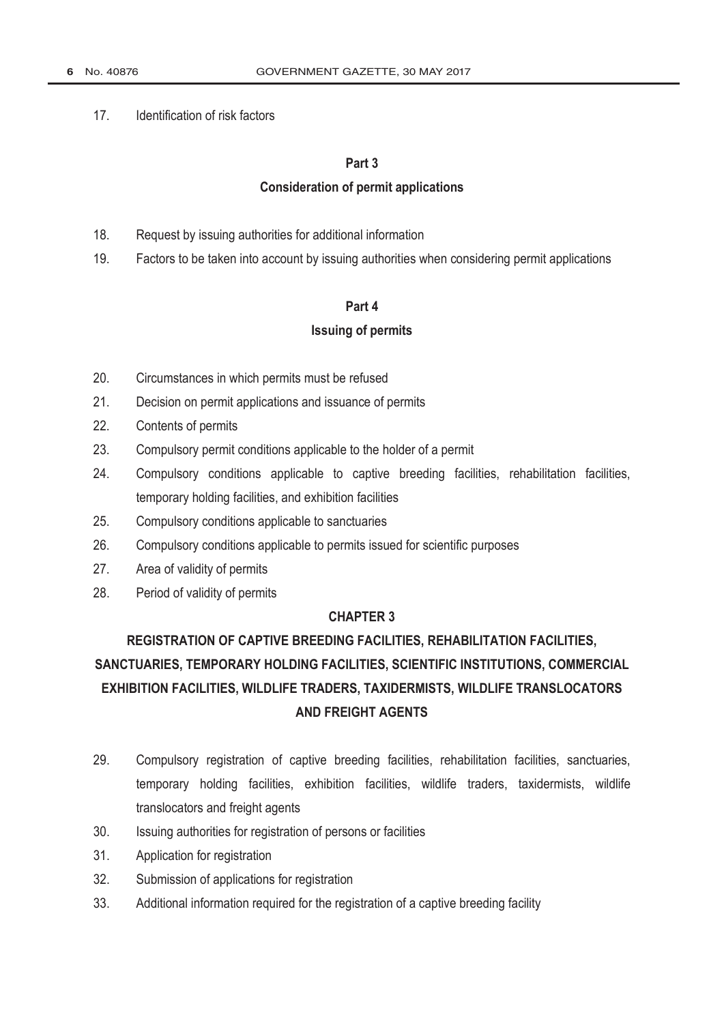## 17. Identification of risk factors

### **Part 3**

## **Consideration of permit applications**

- 18. Request by issuing authorities for additional information
- 19. Factors to be taken into account by issuing authorities when considering permit applications

## **Part 4**

# **Issuing of permits**

- 20. Circumstances in which permits must be refused
- 21. Decision on permit applications and issuance of permits
- 22. Contents of permits
- 23. Compulsory permit conditions applicable to the holder of a permit
- 24. Compulsory conditions applicable to captive breeding facilities, rehabilitation facilities, temporary holding facilities, and exhibition facilities
- 25. Compulsory conditions applicable to sanctuaries
- 26. Compulsory conditions applicable to permits issued for scientific purposes
- 27. Area of validity of permits
- 28. Period of validity of permits

# **CHAPTER 3**

# **REGISTRATION OF CAPTIVE BREEDING FACILITIES, REHABILITATION FACILITIES, SANCTUARIES, TEMPORARY HOLDING FACILITIES, SCIENTIFIC INSTITUTIONS, COMMERCIAL EXHIBITION FACILITIES, WILDLIFE TRADERS, TAXIDERMISTS, WILDLIFE TRANSLOCATORS AND FREIGHT AGENTS**

- 29. Compulsory registration of captive breeding facilities, rehabilitation facilities, sanctuaries, temporary holding facilities, exhibition facilities, wildlife traders, taxidermists, wildlife translocators and freight agents
- 30. Issuing authorities for registration of persons or facilities
- 31. Application for registration
- 32. Submission of applications for registration
- 33. Additional information required for the registration of a captive breeding facility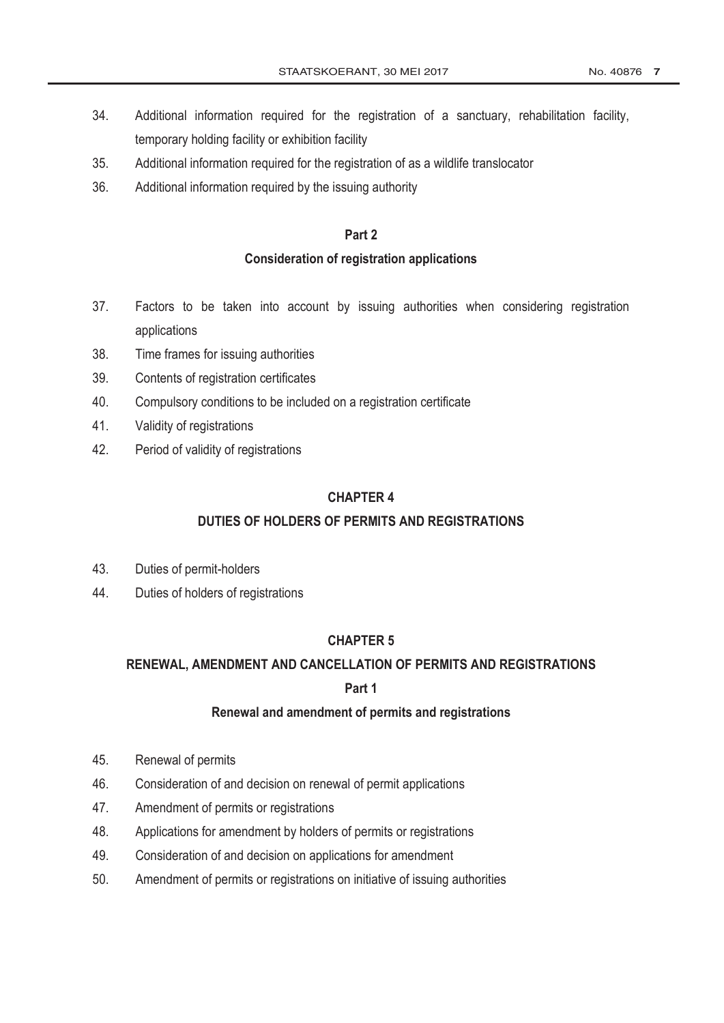- 34. Additional information required for the registration of a sanctuary, rehabilitation facility, temporary holding facility or exhibition facility
- 35. Additional information required for the registration of as a wildlife translocator
- 36. Additional information required by the issuing authority

# **Part 2**

## **Consideration of registration applications**

- 37. Factors to be taken into account by issuing authorities when considering registration applications
- 38. Time frames for issuing authorities
- 39. Contents of registration certificates
- 40. Compulsory conditions to be included on a registration certificate
- 41. Validity of registrations
- 42. Period of validity of registrations

# **CHAPTER 4**

# **DUTIES OF HOLDERS OF PERMITS AND REGISTRATIONS**

- 43. Duties of permit-holders
- 44. Duties of holders of registrations

# **CHAPTER 5**

# **RENEWAL, AMENDMENT AND CANCELLATION OF PERMITS AND REGISTRATIONS**

# **Part 1**

# **Renewal and amendment of permits and registrations**

- 45. Renewal of permits
- 46. Consideration of and decision on renewal of permit applications
- 47. Amendment of permits or registrations
- 48. Applications for amendment by holders of permits or registrations
- 49. Consideration of and decision on applications for amendment
- 50. Amendment of permits or registrations on initiative of issuing authorities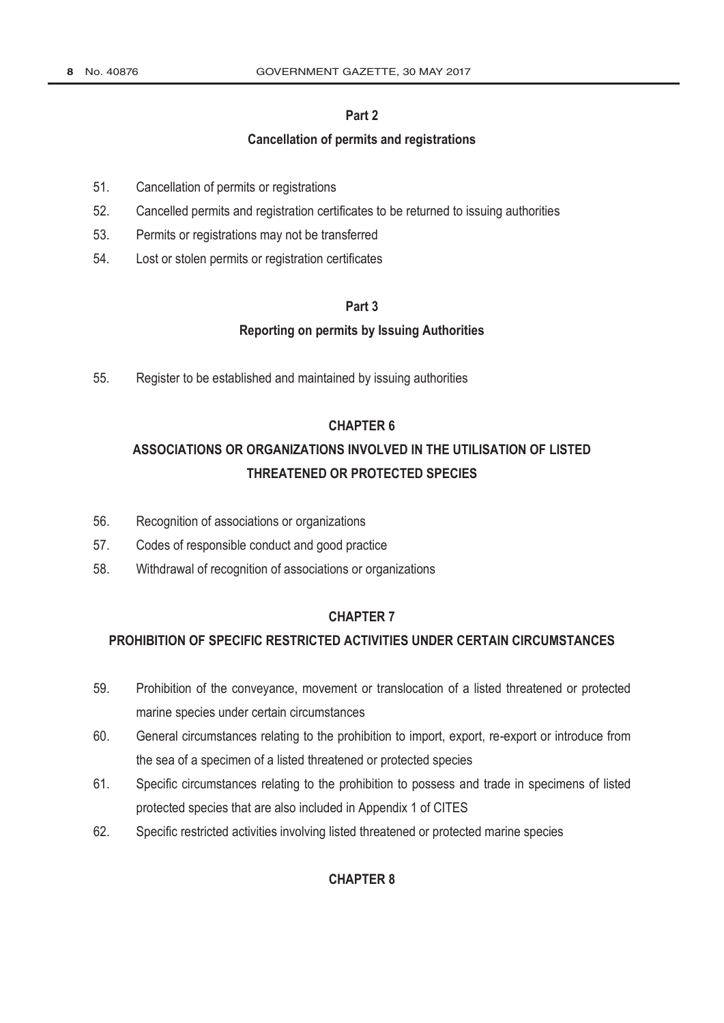# **Part 2**

### **Cancellation of permits and registrations**

- 51. Cancellation of permits or registrations
- 52. Cancelled permits and registration certificates to be returned to issuing authorities
- 53. Permits or registrations may not be transferred
- 54. Lost or stolen permits or registration certificates

### **Part 3**

### **Reporting on permits by Issuing Authorities**

55. Register to be established and maintained by issuing authorities

# **CHAPTER 6**

# **ASSOCIATIONS OR ORGANIZATIONS INVOLVED IN THE UTILISATION OF LISTED THREATENED OR PROTECTED SPECIES**

- 56. Recognition of associations or organizations
- 57. Codes of responsible conduct and good practice
- 58. Withdrawal of recognition of associations or organizations

### **CHAPTER 7**

### **PROHIBITION OF SPECIFIC RESTRICTED ACTIVITIES UNDER CERTAIN CIRCUMSTANCES**

- 59. Prohibition of the conveyance, movement or translocation of a listed threatened or protected marine species under certain circumstances
- 60. General circumstances relating to the prohibition to import, export, re-export or introduce from the sea of a specimen of a listed threatened or protected species
- 61. Specific circumstances relating to the prohibition to possess and trade in specimens of listed protected species that are also included in Appendix 1 of CITES
- 62. Specific restricted activities involving listed threatened or protected marine species

# **CHAPTER 8**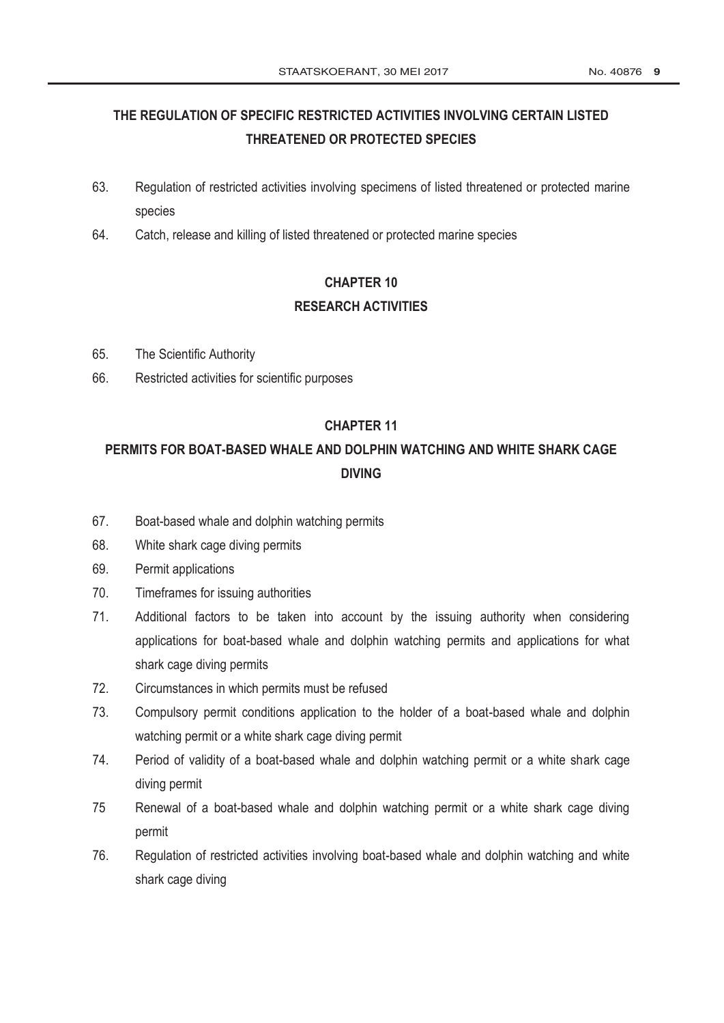# **THE REGULATION OF SPECIFIC RESTRICTED ACTIVITIES INVOLVING CERTAIN LISTED THREATENED OR PROTECTED SPECIES**

- 63. Regulation of restricted activities involving specimens of listed threatened or protected marine species
- 64. Catch, release and killing of listed threatened or protected marine species

# **CHAPTER 10 RESEARCH ACTIVITIES**

- 65. The Scientific Authority
- 66. Restricted activities for scientific purposes

# **CHAPTER 11**

# **PERMITS FOR BOAT-BASED WHALE AND DOLPHIN WATCHING AND WHITE SHARK CAGE DIVING**

- 67. Boat-based whale and dolphin watching permits
- 68. White shark cage diving permits
- 69. Permit applications
- 70. Timeframes for issuing authorities
- 71. Additional factors to be taken into account by the issuing authority when considering applications for boat-based whale and dolphin watching permits and applications for what shark cage diving permits
- 72. Circumstances in which permits must be refused
- 73. Compulsory permit conditions application to the holder of a boat-based whale and dolphin watching permit or a white shark cage diving permit
- 74. Period of validity of a boat-based whale and dolphin watching permit or a white shark cage diving permit
- 75 Renewal of a boat-based whale and dolphin watching permit or a white shark cage diving permit
- 76. Regulation of restricted activities involving boat-based whale and dolphin watching and white shark cage diving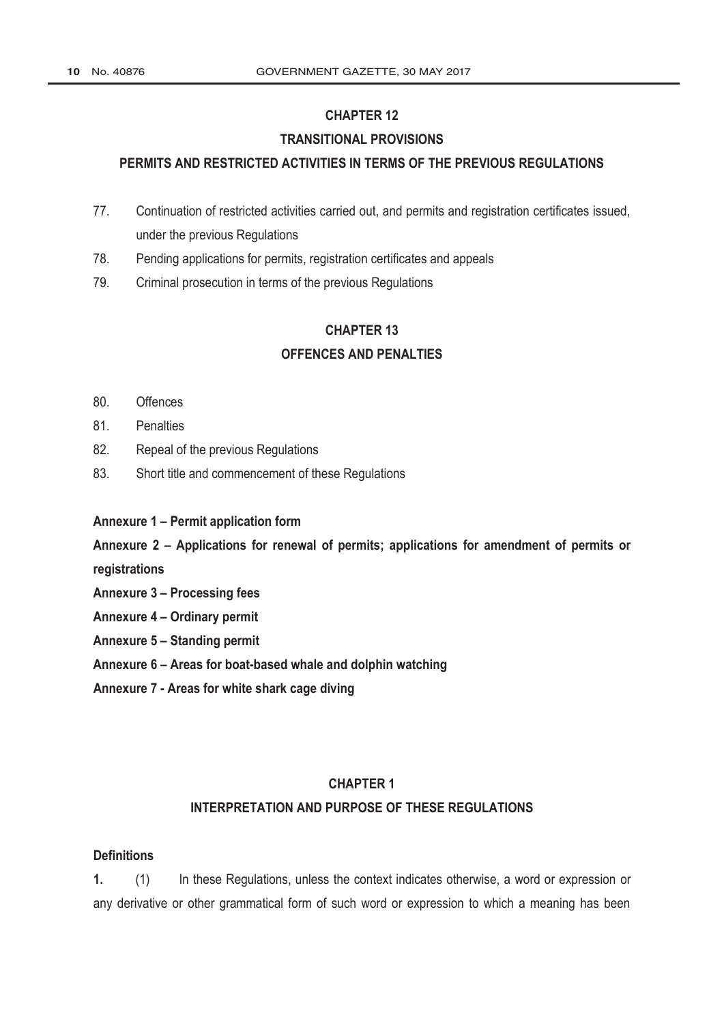# **CHAPTER 12**

## **TRANSITIONAL PROVISIONS**

### **PERMITS AND RESTRICTED ACTIVITIES IN TERMS OF THE PREVIOUS REGULATIONS**

- 77. Continuation of restricted activities carried out, and permits and registration certificates issued, under the previous Regulations
- 78. Pending applications for permits, registration certificates and appeals
- 79. Criminal prosecution in terms of the previous Regulations

# **CHAPTER 13**

# **OFFENCES AND PENALTIES**

- 80. Offences
- 81. Penalties
- 82. Repeal of the previous Regulations
- 83. Short title and commencement of these Regulations
- **Annexure 1 – Permit application form**

**Annexure 2 – Applications for renewal of permits; applications for amendment of permits or registrations**

- **Annexure 3 – Processing fees**
- **Annexure 4 – Ordinary permit**
- **Annexure 5 – Standing permit**
- **Annexure 6 – Areas for boat-based whale and dolphin watching**
- **Annexure 7 - Areas for white shark cage diving**

### **CHAPTER 1**

## **INTERPRETATION AND PURPOSE OF THESE REGULATIONS**

## **Definitions**

**1.** (1) In these Regulations, unless the context indicates otherwise, a word or expression or any derivative or other grammatical form of such word or expression to which a meaning has been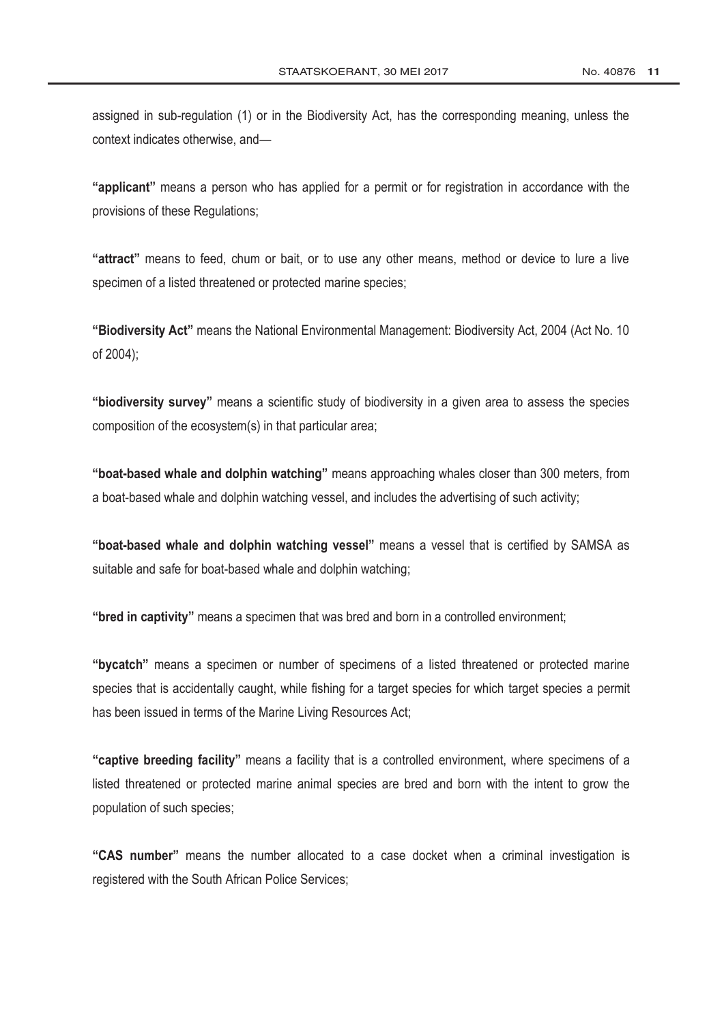assigned in sub-regulation (1) or in the Biodiversity Act, has the corresponding meaning, unless the context indicates otherwise, and—

**"applicant"** means a person who has applied for a permit or for registration in accordance with the provisions of these Regulations;

**"attract"** means to feed, chum or bait, or to use any other means, method or device to lure a live specimen of a listed threatened or protected marine species;

**"Biodiversity Act"** means the National Environmental Management: Biodiversity Act, 2004 (Act No. 10 of 2004);

**"biodiversity survey"** means a scientific study of biodiversity in a given area to assess the species composition of the ecosystem(s) in that particular area;

**"boat-based whale and dolphin watching"** means approaching whales closer than 300 meters, from a boat-based whale and dolphin watching vessel, and includes the advertising of such activity;

**"boat-based whale and dolphin watching vessel"** means a vessel that is certified by SAMSA as suitable and safe for boat-based whale and dolphin watching;

**"bred in captivity"** means a specimen that was bred and born in a controlled environment;

**"bycatch"** means a specimen or number of specimens of a listed threatened or protected marine species that is accidentally caught, while fishing for a target species for which target species a permit has been issued in terms of the [Marine Living Resources Act;](http://www.greengazette.co.za/acts/marine-living-resources-act_1998-018)

**"captive breeding facility"** means a facility that is a controlled environment, where specimens of a listed threatened or protected marine animal species are bred and born with the intent to grow the population of such species;

**"CAS number"** means the number allocated to a case docket when a criminal investigation is registered with the South African Police Services;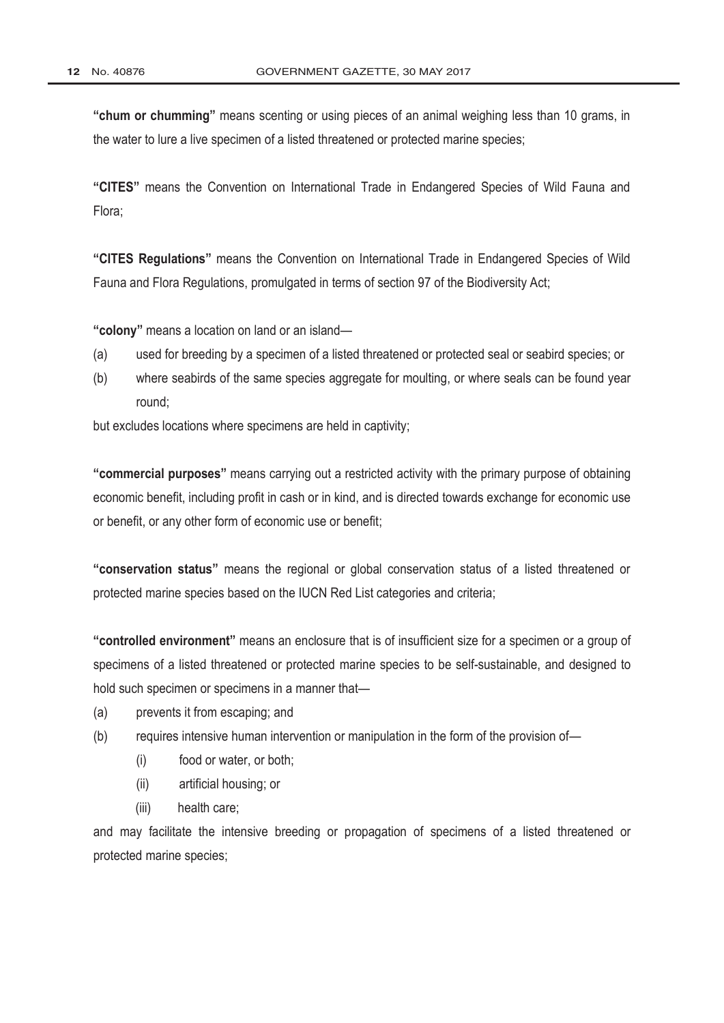**"chum or chumming"** means scenting or using pieces of an animal weighing less than 10 grams, in the water to lure a live specimen of a listed threatened or protected marine species;

**"CITES"** means the Convention on International Trade in Endangered Species of Wild Fauna and Flora;

**"CITES Regulations"** means the Convention on International Trade in Endangered Species of Wild Fauna and Flora Regulations, promulgated in terms of section 97 of the Biodiversity Act;

**"colony"** means a location on land or an island—

- (a) used for breeding by a specimen of a listed threatened or protected seal or seabird species; or
- (b) where seabirds of the same species aggregate for moulting, or where seals can be found year round;

but excludes locations where specimens are held in captivity;

**"commercial purposes"** means carrying out a restricted activity with the primary purpose of obtaining economic benefit, including profit in cash or in kind, and is directed towards exchange for economic use or benefit, or any other form of economic use or benefit;

**"conservation status"** means the regional or global conservation status of a listed threatened or protected marine species based on the IUCN Red List categories and criteria;

**"controlled environment"** means an enclosure that is of insufficient size for a specimen or a group of specimens of a listed threatened or protected marine species to be self-sustainable, and designed to hold such specimen or specimens in a manner that-

- (a) prevents it from escaping; and
- (b) requires intensive human intervention or manipulation in the form of the provision of—
	- (i) food or water, or both;
	- (ii) artificial housing; or
	- (iii) health care;

and may facilitate the intensive breeding or propagation of specimens of a listed threatened or protected marine species;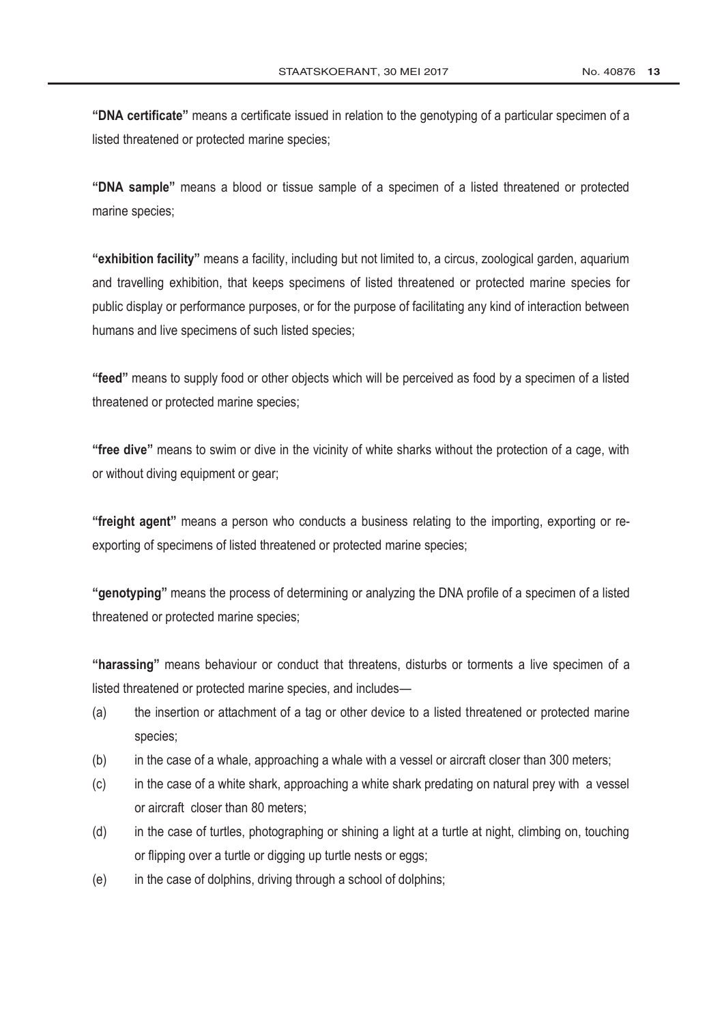**"DNA certificate"** means a certificate issued in relation to the genotyping of a particular specimen of a listed threatened or protected marine species;

**"DNA sample"** means a blood or tissue sample of a specimen of a listed threatened or protected marine species;

**"exhibition facility"** means a facility, including but not limited to, a circus, zoological garden, aquarium and travelling exhibition, that keeps specimens of listed threatened or protected marine species for public display or performance purposes, or for the purpose of facilitating any kind of interaction between humans and live specimens of such listed species;

**"feed"** means to supply food or other objects which will be perceived as food by a specimen of a listed threatened or protected marine species;

**"free dive"** means to swim or dive in the vicinity of white sharks without the protection of a cage, with or without diving equipment or gear;

**"freight agent"** means a person who conducts a business relating to the importing, exporting or reexporting of specimens of listed threatened or protected marine species;

**"genotyping"** means the process of determining or analyzing the DNA profile of a specimen of a listed threatened or protected marine species;

**"harassing"** means behaviour or conduct that threatens, disturbs or torments a live specimen of a listed threatened or protected marine species, and includes—

- (a) the insertion or attachment of a tag or other device to a listed threatened or protected marine species;
- (b) in the case of a whale, approaching a whale with a vessel or aircraft closer than 300 meters;
- (c) in the case of a white shark, approaching a white shark predating on natural prey with a vessel or aircraft closer than 80 meters;
- (d) in the case of turtles, photographing or shining a light at a turtle at night, climbing on, touching or flipping over a turtle or digging up turtle nests or eggs;
- (e) in the case of dolphins, driving through a school of dolphins;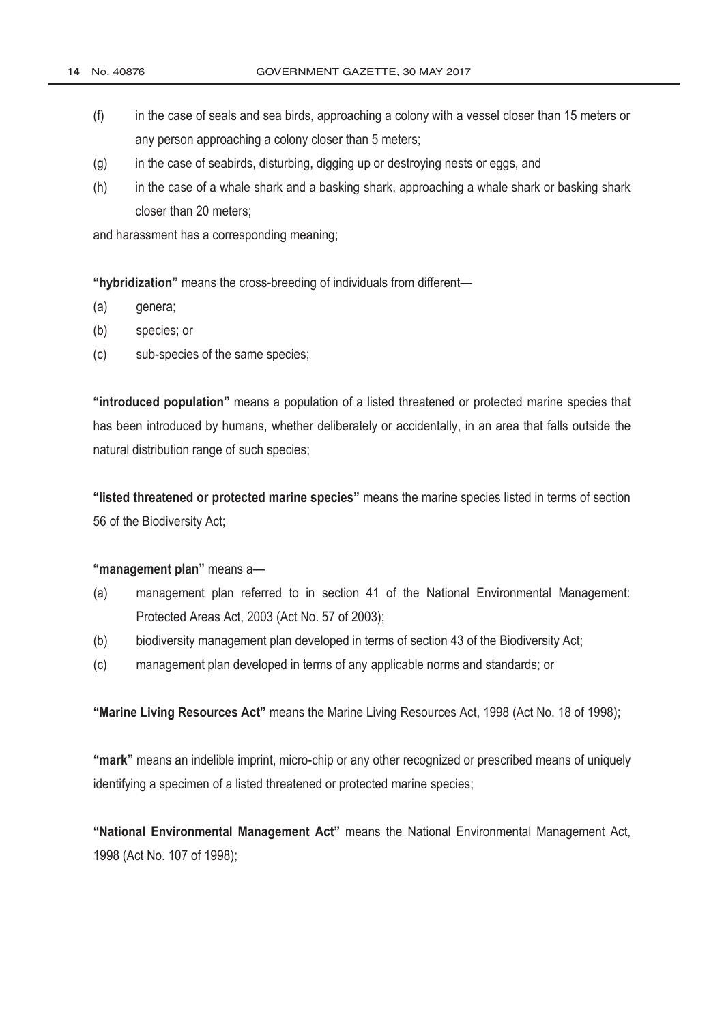- (f) in the case of seals and sea birds, approaching a colony with a vessel closer than 15 meters or any person approaching a colony closer than 5 meters;
- (g) in the case of seabirds, disturbing, digging up or destroying nests or eggs, and
- (h) in the case of a whale shark and a basking shark, approaching a whale shark or basking shark closer than 20 meters;

and harassment has a corresponding meaning;

**"hybridization"** means the cross-breeding of individuals from different—

- (a) genera;
- (b) species; or
- (c) sub-species of the same species;

**"introduced population"** means a population of a listed threatened or protected marine species that has been introduced by humans, whether deliberately or accidentally, in an area that falls outside the natural distribution range of such species;

**"listed threatened or protected marine species"** means the marine species listed in terms of section 56 of the Biodiversity Act;

#### **"management plan"** means a—

- (a) management plan referred to in section 41 of the National Environmental Management: Protected Areas Act, 2003 (Act No. 57 of 2003);
- (b) biodiversity management plan developed in terms of section 43 of the Biodiversity Act;
- (c) management plan developed in terms of any applicable norms and standards; or

**"[Marine Living Resources Act"](http://www.greengazette.co.za/acts/marine-living-resources-act_1998-018)** means the [Marine Living Resources Act,](http://www.greengazette.co.za/acts/marine-living-resources-act_1998-018) 1998 (Act No. 18 of 1998);

**"mark"** means an indelible imprint, micro-chip or any other recognized or prescribed means of uniquely identifying a specimen of a listed threatened or protected marine species;

**"[National Environmental Management](http://www.greengazette.co.za/acts/national-environmental-management-act_1998-107) Act"** means the [National Environmental Management Act,](http://www.greengazette.co.za/acts/national-environmental-management-act_1998-107)  1998 (Act No. 107 of 1998);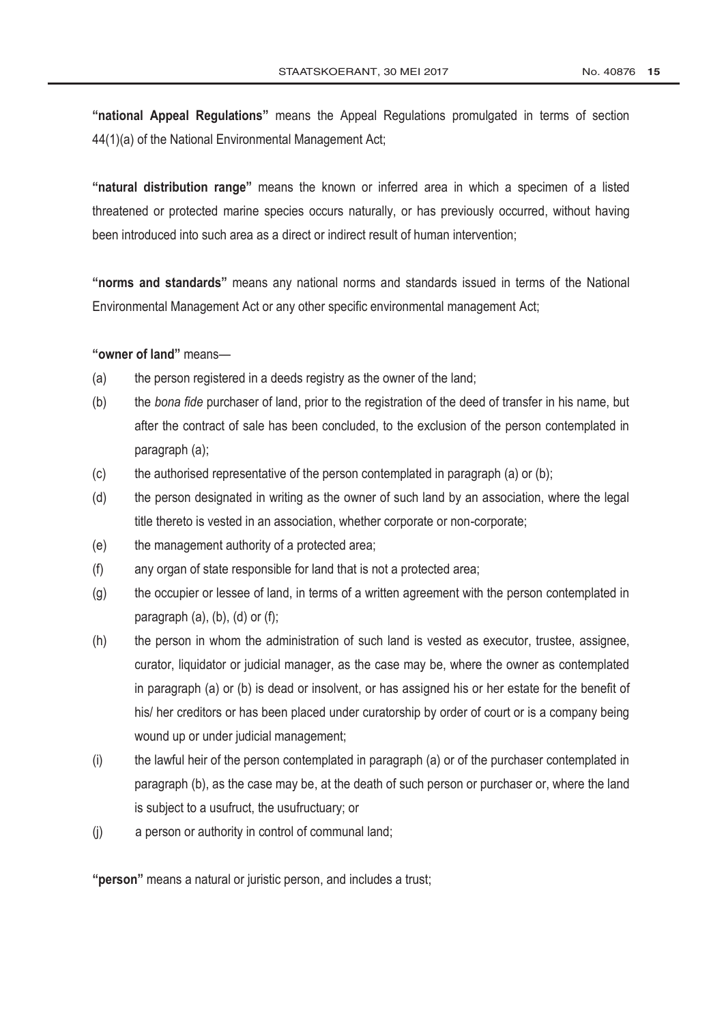**"national Appeal Regulations"** means the Appeal Regulations promulgated in terms of section 44(1)(a) of the [National Environmental Management Act;](http://www.greengazette.co.za/acts/national-environmental-management-act_1998-107)

**"natural distribution range"** means the known or inferred area in which a specimen of a listed threatened or protected marine species occurs naturally, or has previously occurred, without having been introduced into such area as a direct or indirect result of human intervention;

**"norms and standards"** means any national norms and standards issued in terms of the [National](http://www.greengazette.co.za/acts/national-environmental-management-act_1998-107) [Environmental Management Act](http://www.greengazette.co.za/acts/national-environmental-management-act_1998-107) or any other specific environmental management Act;

**"owner of land"** means—

- (a) the person registered in a deeds registry as the owner of the land;
- (b) the *bona fide* purchaser of land, prior to the registration of the deed of transfer in his name, but after the contract of sale has been concluded, to the exclusion of the person contemplated in paragraph (a);
- $(c)$  the authorised representative of the person contemplated in paragraph (a) or (b);
- (d) the person designated in writing as the owner of such land by an association, where the legal title thereto is vested in an association, whether corporate or non-corporate;
- (e) the management authority of a protected area;
- (f) any organ of state responsible for land that is not a protected area;
- (g) the occupier or lessee of land, in terms of a written agreement with the person contemplated in paragraph  $(a)$ ,  $(b)$ ,  $(d)$  or  $(f)$ ;
- (h) the person in whom the administration of such land is vested as executor, trustee, assignee, curator, liquidator or judicial manager, as the case may be, where the owner as contemplated in paragraph (a) or (b) is dead or insolvent, or has assigned his or her estate for the benefit of his/ her creditors or has been placed under curatorship by order of court or is a company being wound up or under judicial management;
- (i) the lawful heir of the person contemplated in paragraph (a) or of the purchaser contemplated in paragraph (b), as the case may be, at the death of such person or purchaser or, where the land is subject to a usufruct, the usufructuary; or
- (j) a person or authority in control of communal land;

**"person"** means a natural or juristic person, and includes a trust;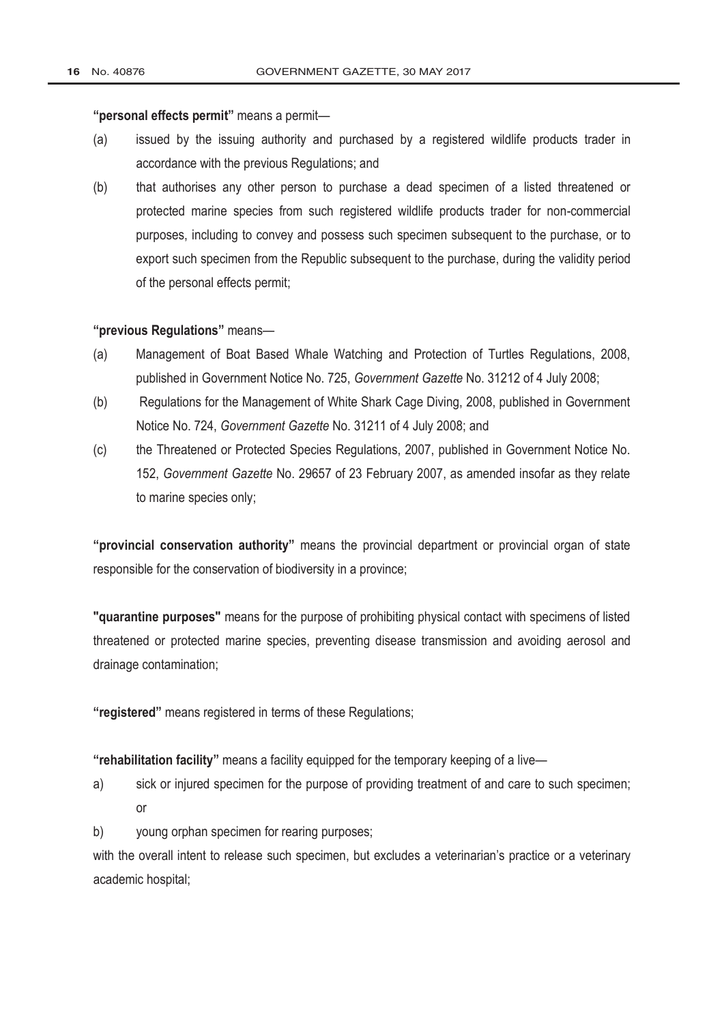### **"personal effects permit"** means a permit—

- (a) issued by the issuing authority and purchased by a registered wildlife products trader in accordance with the previous Regulations; and
- (b) that authorises any other person to purchase a dead specimen of a listed threatened or protected marine species from such registered wildlife products trader for non-commercial purposes, including to convey and possess such specimen subsequent to the purchase, or to export such specimen from the Republic subsequent to the purchase, during the validity period of the personal effects permit;

#### **"previous Regulations"** means—

- (a) Management of Boat Based Whale Watching and Protection of Turtles Regulations, 2008, published in Government Notice No. 725, *[Government Gazette](http://www.greengazette.co.za/government-gazette)* No. 31212 of 4 July 2008;
- (b) Regulations for the Management of White Shark Cage Diving, 2008, published in Government Notice No. 724, *[Government Gazette](http://www.greengazette.co.za/government-gazette)* No. 31211 of 4 July 2008; and
- (c) the Threatened or Protected Species Regulations, 2007, published in Government Notice No. 152, *[Government](http://www.greengazette.co.za/government-gazette) Gazette* No. 29657 of 23 February 2007, as amended insofar as they relate to marine species only;

**"provincial conservation authority"** means the provincial department or provincial organ of state responsible for the conservation of biodiversity in a province;

**"quarantine purposes"** means for the purpose of prohibiting physical contact with specimens of listed threatened or protected marine species, preventing disease transmission and avoiding aerosol and drainage contamination;

**"registered"** means registered in terms of these Regulations;

**"rehabilitation facility"** means a facility equipped for the temporary keeping of a live—

- a) sick or injured specimen for the purpose of providing treatment of and care to such specimen; or
- b) young orphan specimen for rearing purposes;

with the overall intent to release such specimen, but excludes a veterinarian's practice or a veterinary academic hospital;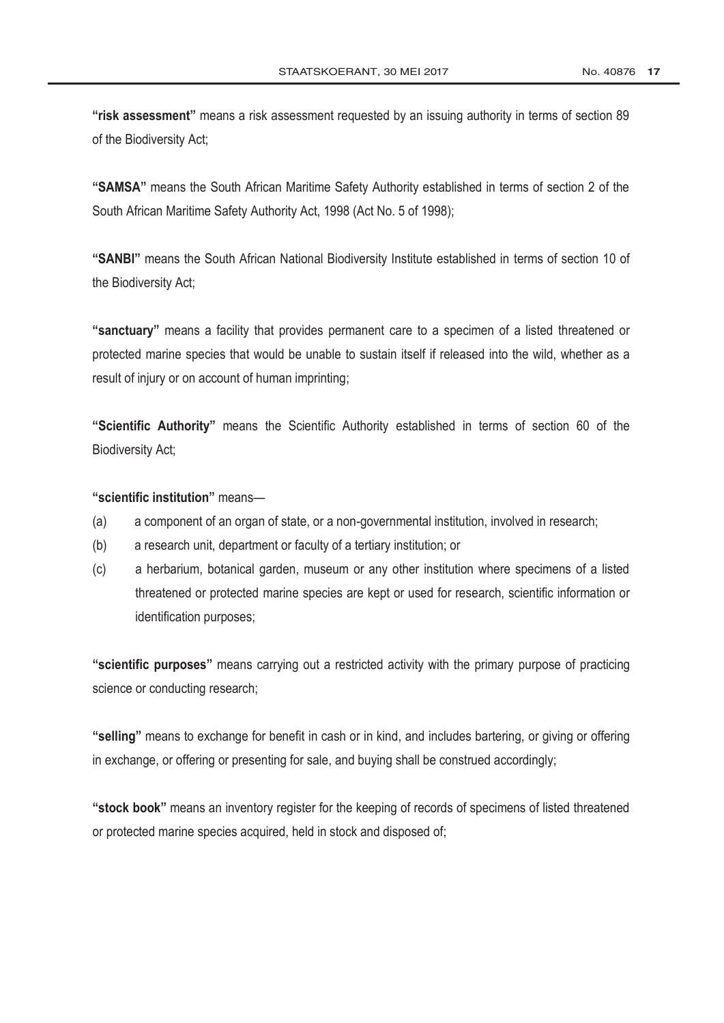**"risk assessment"** means a risk assessment requested by an issuing authority in terms of section 89 of the Biodiversity Act;

**"SAMSA"** means the South African Maritime Safety Authority established in terms of section 2 of the [South African Maritime Safety Authority Act,](http://www.greengazette.co.za/acts/south-african-maritime-safety-authority-act_1998-005) 1998 (Act No. 5 of 1998);

**"SANBI"** means the South African National Biodiversity Institute established in terms of section 10 of the Biodiversity Act;

**"sanctuary"** means a facility that provides permanent care to a specimen of a listed threatened or protected marine species that would be unable to sustain itself if released into the wild, whether as a result of injury or on account of human imprinting;

**"Scientific Authority"** means the Scientific Authority established in terms of section 60 of the Biodiversity Act;

### **"scientific institution"** means—

- (a) a component of an organ of state, or a non-governmental institution, involved in research;
- (b) a research unit, department or faculty of a tertiary institution; or
- (c) a herbarium, botanical garden, museum or any other institution where specimens of a listed threatened or protected marine species are kept or used for research, scientific information or identification purposes;

**"scientific purposes"** means carrying out a restricted activity with the primary purpose of practicing science or conducting research;

**"selling"** means to exchange for benefit in cash or in kind, and includes bartering, or giving or offering in exchange, or offering or presenting for sale, and buying shall be construed accordingly;

**"stock book"** means an inventory register for the keeping of records of specimens of listed threatened or protected marine species acquired, held in stock and disposed of;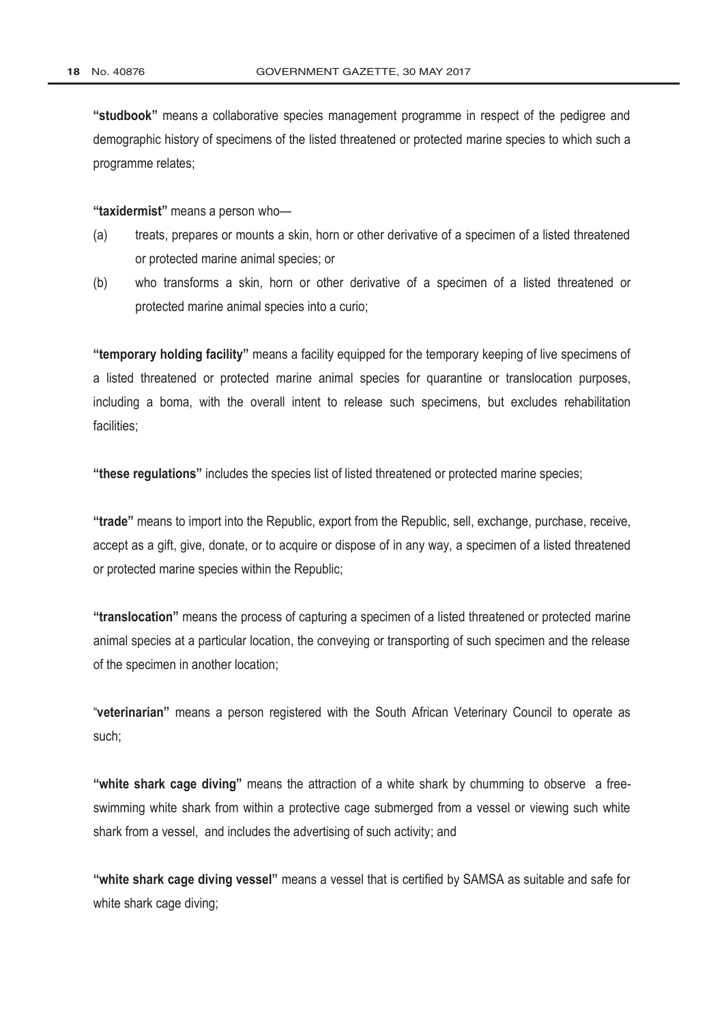**"studbook"** means a collaborative species management programme in respect of the pedigree and demographic history of specimens of the listed threatened or protected marine species to which such a programme relates;

**"taxidermist"** means a person who—

- (a) treats, prepares or mounts a skin, horn or other derivative of a specimen of a listed threatened or protected marine animal species; or
- (b) who transforms a skin, horn or other derivative of a specimen of a listed threatened or protected marine animal species into a curio;

**"temporary holding facility"** means a facility equipped for the temporary keeping of live specimens of a listed threatened or protected marine animal species for quarantine or translocation purposes, including a boma, with the overall intent to release such specimens, but excludes rehabilitation facilities;

**"these regulations"** includes the species list of listed threatened or protected marine species;

**"trade"** means to import into the Republic, export from the Republic, sell, exchange, purchase, receive, accept as a gift, give, donate, or to acquire or dispose of in any way, a specimen of a listed threatened or protected marine species within the Republic;

**"translocation"** means the process of capturing a specimen of a listed threatened or protected marine animal species at a particular location, the conveying or transporting of such specimen and the release of the specimen in another location;

"**veterinarian"** means a person registered with the South African Veterinary Council to operate as such;

**"white shark cage diving"** means the attraction of a white shark by chumming to observe a freeswimming white shark from within a protective cage submerged from a vessel or viewing such white shark from a vessel, and includes the advertising of such activity; and

**"white shark cage diving vessel"** means a vessel that is certified by SAMSA as suitable and safe for white shark cage diving;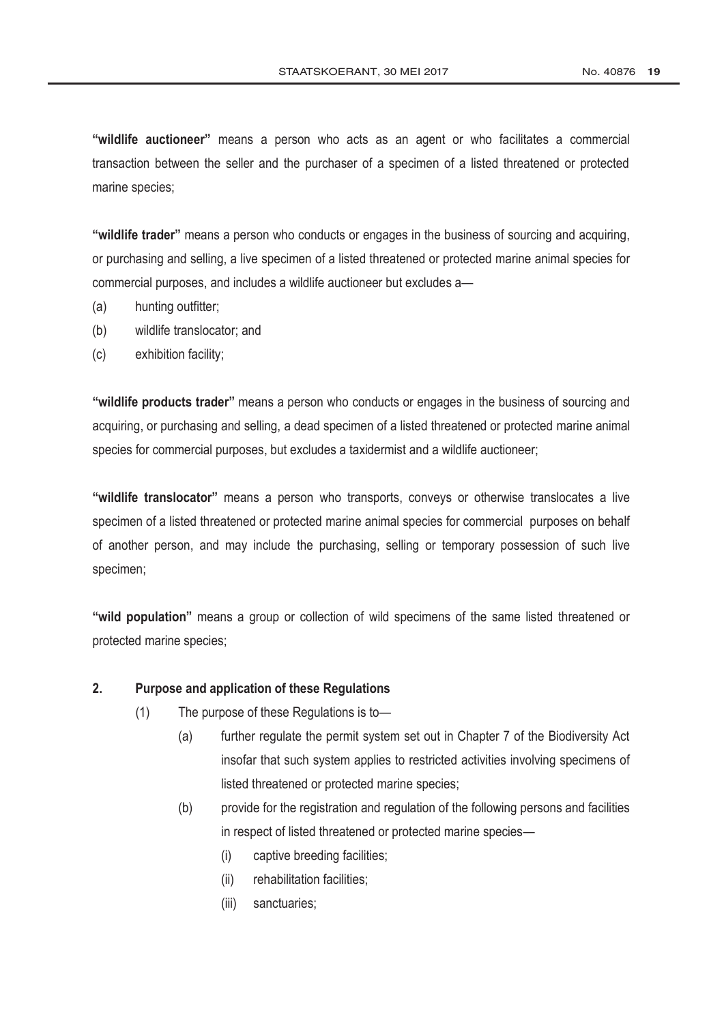**"wildlife auctioneer"** means a person who acts as an agent or who facilitates a commercial transaction between the seller and the purchaser of a specimen of a listed threatened or protected marine species;

**"wildlife trader"** means a person who conducts or engages in the business of sourcing and acquiring, or purchasing and selling, a live specimen of a listed threatened or protected marine animal species for commercial purposes, and includes a wildlife auctioneer but excludes a—

- (a) hunting outfitter;
- (b) wildlife translocator; and
- (c) exhibition facility;

**"wildlife products trader"** means a person who conducts or engages in the business of sourcing and acquiring, or purchasing and selling, a dead specimen of a listed threatened or protected marine animal species for commercial purposes, but excludes a taxidermist and a wildlife auctioneer;

**"wildlife translocator"** means a person who transports, conveys or otherwise translocates a live specimen of a listed threatened or protected marine animal species for commercial purposes on behalf of another person, and may include the purchasing, selling or temporary possession of such live specimen;

**"wild population"** means a group or collection of wild specimens of the same listed threatened or protected marine species;

# **2. Purpose and application of these Regulations**

- (1) The purpose of these Regulations is to—
	- (a) further regulate the permit system set out in Chapter 7 of the Biodiversity Act insofar that such system applies to restricted activities involving specimens of listed threatened or protected marine species;
	- (b) provide for the registration and regulation of the following persons and facilities in respect of listed threatened or protected marine species—
		- (i) captive breeding facilities;
		- (ii) rehabilitation facilities;
		- (iii) sanctuaries;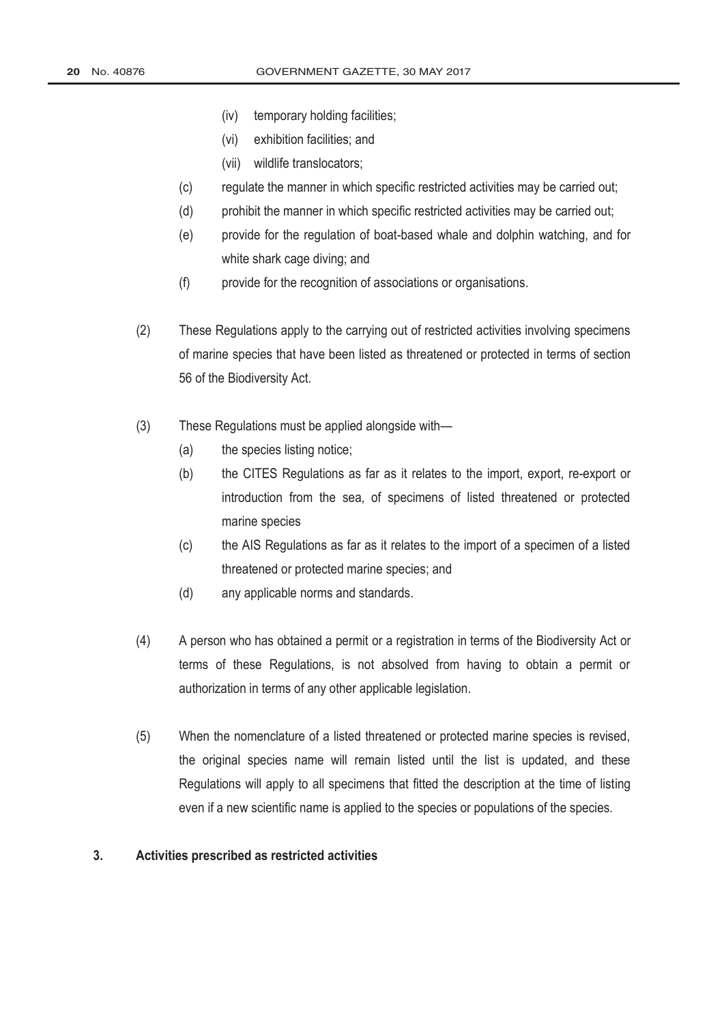- (iv) temporary holding facilities;
- (vi) exhibition facilities; and
- (vii) wildlife translocators;
- (c) regulate the manner in which specific restricted activities may be carried out;
- (d) prohibit the manner in which specific restricted activities may be carried out;
- (e) provide for the regulation of boat-based whale and dolphin watching, and for white shark cage diving; and
- (f) provide for the recognition of associations or organisations.
- (2) These Regulations apply to the carrying out of restricted activities involving specimens of marine species that have been listed as threatened or protected in terms of section 56 of the Biodiversity Act.
- (3) These Regulations must be applied alongside with—
	- (a) the species listing notice;
	- (b) the CITES Regulations as far as it relates to the import, export, re-export or introduction from the sea, of specimens of listed threatened or protected marine species
	- (c) the AIS Regulations as far as it relates to the import of a specimen of a listed threatened or protected marine species; and
	- (d) any applicable norms and standards.
- (4) A person who has obtained a permit or a registration in terms of the Biodiversity Act or terms of these Regulations, is not absolved from having to obtain a permit or authorization in terms of any other applicable legislation.
- (5) When the nomenclature of a listed threatened or protected marine species is revised, the original species name will remain listed until the list is updated, and these Regulations will apply to all specimens that fitted the description at the time of listing even if a new scientific name is applied to the species or populations of the species.

#### **3. Activities prescribed as restricted activities**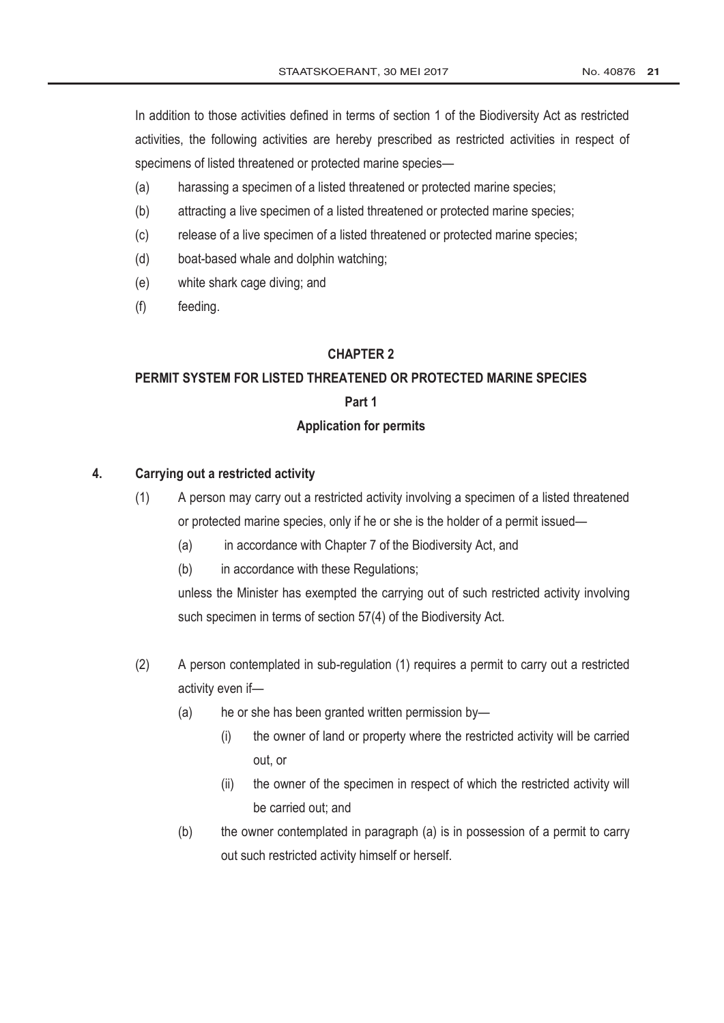In addition to those activities defined in terms of section 1 of the Biodiversity Act as restricted activities, the following activities are hereby prescribed as restricted activities in respect of specimens of listed threatened or protected marine species—

- (a) harassing a specimen of a listed threatened or protected marine species;
- (b) attracting a live specimen of a listed threatened or protected marine species;
- (c) release of a live specimen of a listed threatened or protected marine species;
- (d) boat-based whale and dolphin watching;
- (e) white shark cage diving; and
- (f) feeding.

## **CHAPTER 2**

# **PERMIT SYSTEM FOR LISTED THREATENED OR PROTECTED MARINE SPECIES Part 1**

# **Application for permits**

## **4. Carrying out a restricted activity**

- (1) A person may carry out a restricted activity involving a specimen of a listed threatened or protected marine species, only if he or she is the holder of a permit issued—
	- (a) in accordance with Chapter 7 of the Biodiversity Act, and
	- (b) in accordance with these Regulations;

unless the Minister has exempted the carrying out of such restricted activity involving such specimen in terms of section 57(4) of the Biodiversity Act.

- (2) A person contemplated in sub-regulation (1) requires a permit to carry out a restricted activity even if—
	- (a) he or she has been granted written permission by—
		- (i) the owner of land or property where the restricted activity will be carried out, or
		- (ii) the owner of the specimen in respect of which the restricted activity will be carried out; and
	- (b) the owner contemplated in paragraph (a) is in possession of a permit to carry out such restricted activity himself or herself.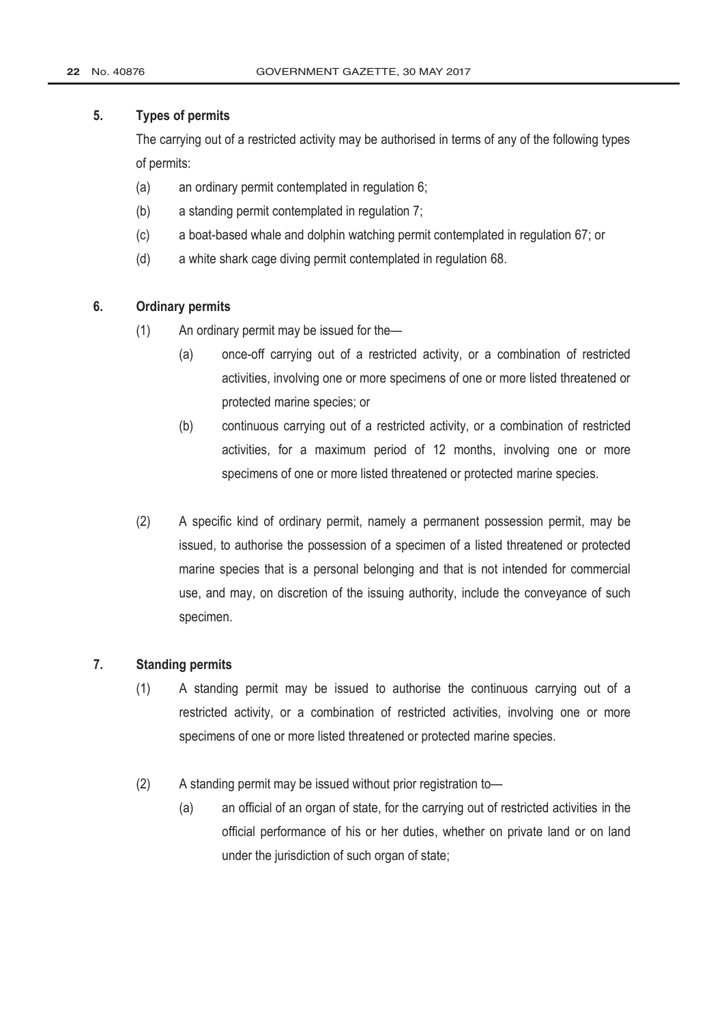## **5. Types of permits**

The carrying out of a restricted activity may be authorised in terms of any of the following types of permits:

- (a) an ordinary permit contemplated in regulation 6;
- (b) a standing permit contemplated in regulation 7;
- (c) a boat-based whale and dolphin watching permit contemplated in regulation 67; or
- (d) a white shark cage diving permit contemplated in regulation 68.

## **6. Ordinary permits**

- (1) An ordinary permit may be issued for the—
	- (a) once-off carrying out of a restricted activity, or a combination of restricted activities, involving one or more specimens of one or more listed threatened or protected marine species; or
	- (b) continuous carrying out of a restricted activity, or a combination of restricted activities, for a maximum period of 12 months, involving one or more specimens of one or more listed threatened or protected marine species.
- (2) A specific kind of ordinary permit, namely a permanent possession permit, may be issued, to authorise the possession of a specimen of a listed threatened or protected marine species that is a personal belonging and that is not intended for commercial use, and may, on discretion of the issuing authority, include the conveyance of such specimen.

### **7. Standing permits**

- (1) A standing permit may be issued to authorise the continuous carrying out of a restricted activity, or a combination of restricted activities, involving one or more specimens of one or more listed threatened or protected marine species.
- (2) A standing permit may be issued without prior registration to—
	- (a) an official of an organ of state, for the carrying out of restricted activities in the official performance of his or her duties, whether on private land or on land under the jurisdiction of such organ of state;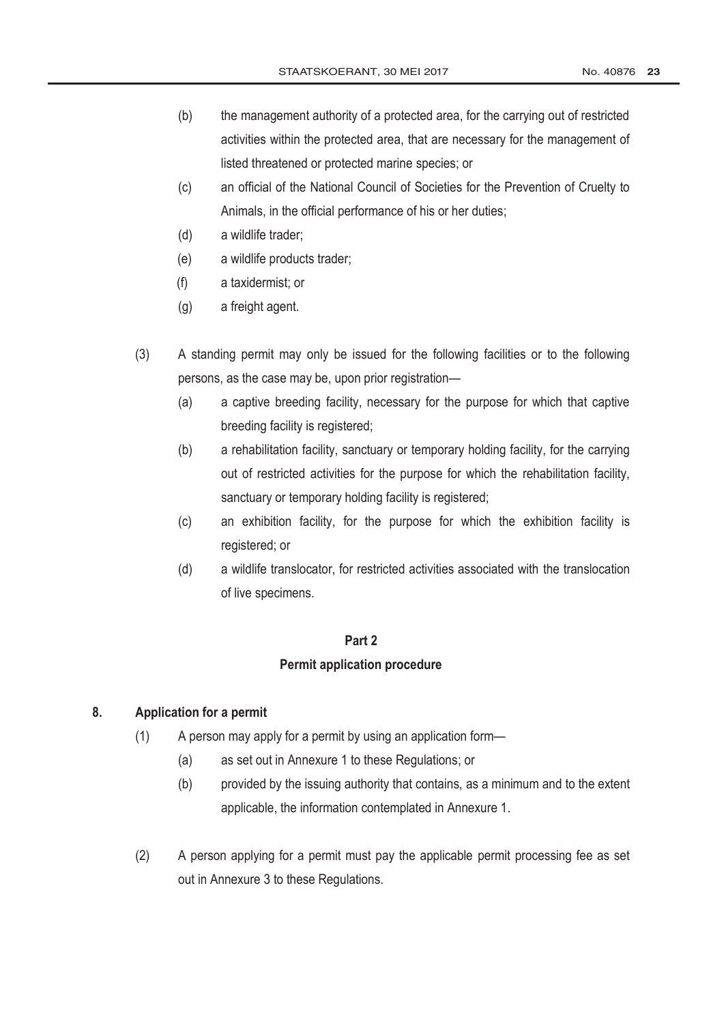- (b) the management authority of a protected area, for the carrying out of restricted activities within the protected area, that are necessary for the management of listed threatened or protected marine species; or
- (c) an official of the National Council of Societies for the Prevention of Cruelty to Animals, in the official performance of his or her duties;
- (d) a wildlife trader;
- (e) a wildlife products trader;
- (f) a taxidermist; or
- (g) a freight agent.
- (3) A standing permit may only be issued for the following facilities or to the following persons, as the case may be, upon prior registration—
	- (a) a captive breeding facility, necessary for the purpose for which that captive breeding facility is registered;
	- (b) a rehabilitation facility, sanctuary or temporary holding facility, for the carrying out of restricted activities for the purpose for which the rehabilitation facility, sanctuary or temporary holding facility is registered;
	- (c) an exhibition facility, for the purpose for which the exhibition facility is registered; or
	- (d) a wildlife translocator, for restricted activities associated with the translocation of live specimens.

#### **Part 2**

#### **Permit application procedure**

### **8. Application for a permit**

- (1) A person may apply for a permit by using an application form—
	- (a) as set out in Annexure 1 to these Regulations; or
	- (b) provided by the issuing authority that contains, as a minimum and to the extent applicable, the information contemplated in Annexure 1.
- (2) A person applying for a permit must pay the applicable permit processing fee as set out in Annexure 3 to these Regulations.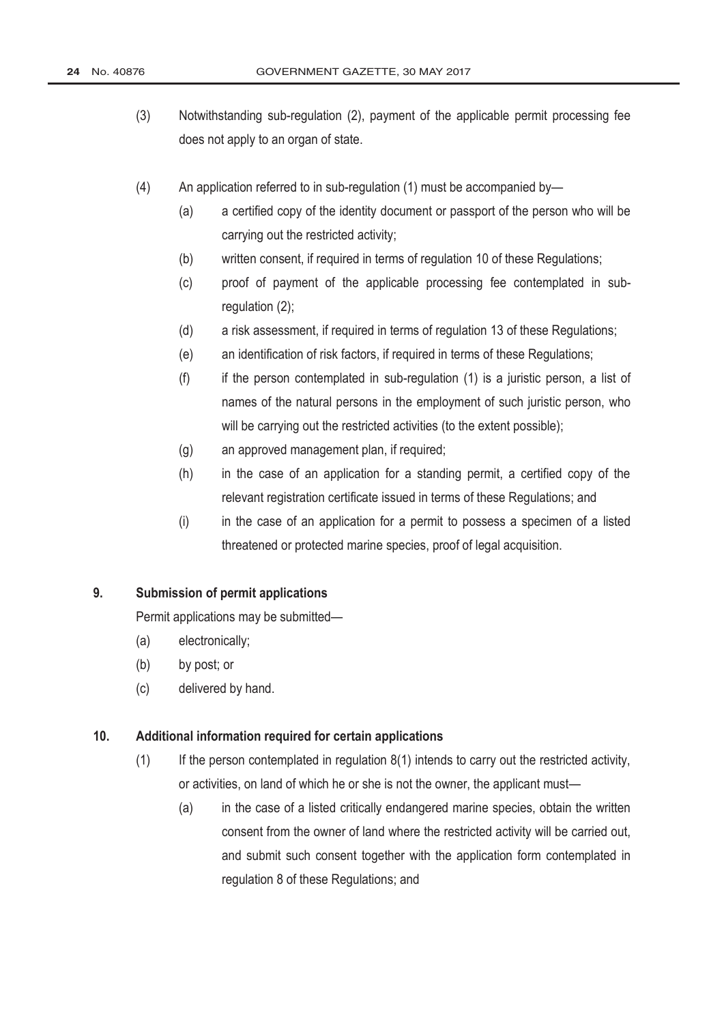- (3) Notwithstanding sub-regulation (2), payment of the applicable permit processing fee does not apply to an organ of state.
- (4) An application referred to in sub-regulation (1) must be accompanied by—
	- (a) a certified copy of the identity document or passport of the person who will be carrying out the restricted activity;
	- (b) written consent, if required in terms of regulation 10 of these Regulations;
	- (c) proof of payment of the applicable processing fee contemplated in subregulation (2);
	- (d) a risk assessment, if required in terms of regulation 13 of these Regulations;
	- (e) an identification of risk factors, if required in terms of these Regulations;
	- $(f)$  if the person contemplated in sub-regulation  $(1)$  is a juristic person, a list of names of the natural persons in the employment of such juristic person, who will be carrying out the restricted activities (to the extent possible);
	- (g) an approved management plan, if required;
	- (h) in the case of an application for a standing permit, a certified copy of the relevant registration certificate issued in terms of these Regulations; and
	- (i) in the case of an application for a permit to possess a specimen of a listed threatened or protected marine species, proof of legal acquisition.

## **9. Submission of permit applications**

Permit applications may be submitted—

- (a) electronically;
- (b) by post; or
- (c) delivered by hand.

### **10. Additional information required for certain applications**

- $(1)$  If the person contemplated in regulation  $8(1)$  intends to carry out the restricted activity, or activities, on land of which he or she is not the owner, the applicant must—
	- (a) in the case of a listed critically endangered marine species, obtain the written consent from the owner of land where the restricted activity will be carried out, and submit such consent together with the application form contemplated in regulation 8 of these Regulations; and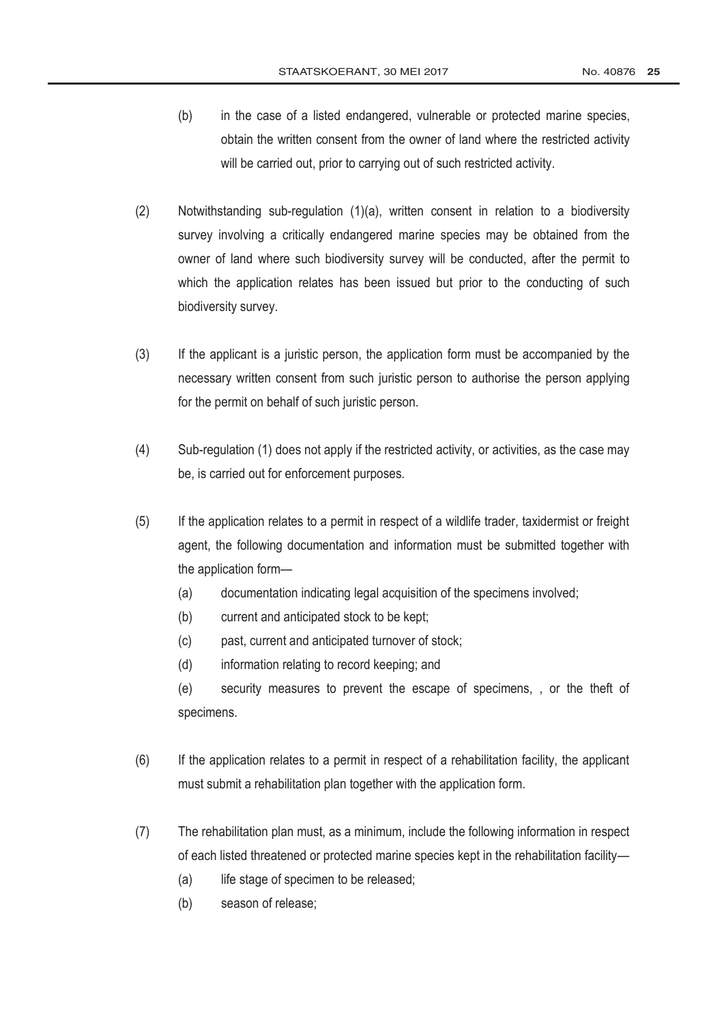- (b) in the case of a listed endangered, vulnerable or protected marine species, obtain the written consent from the owner of land where the restricted activity will be carried out, prior to carrying out of such restricted activity.
- (2) Notwithstanding sub-regulation (1)(a), written consent in relation to a biodiversity survey involving a critically endangered marine species may be obtained from the owner of land where such biodiversity survey will be conducted, after the permit to which the application relates has been issued but prior to the conducting of such biodiversity survey.
- (3) If the applicant is a juristic person, the application form must be accompanied by the necessary written consent from such juristic person to authorise the person applying for the permit on behalf of such juristic person.
- (4) Sub-regulation (1) does not apply if the restricted activity, or activities, as the case may be, is carried out for enforcement purposes.
- (5) If the application relates to a permit in respect of a wildlife trader, taxidermist or freight agent, the following documentation and information must be submitted together with the application form—
	- (a) documentation indicating legal acquisition of the specimens involved;
	- (b) current and anticipated stock to be kept;
	- (c) past, current and anticipated turnover of stock;
	- (d) information relating to record keeping; and

(e) security measures to prevent the escape of specimens, , or the theft of specimens.

- (6) If the application relates to a permit in respect of a rehabilitation facility, the applicant must submit a rehabilitation plan together with the application form.
- (7) The rehabilitation plan must, as a minimum, include the following information in respect of each listed threatened or protected marine species kept in the rehabilitation facility—
	- (a) life stage of specimen to be released;
	- (b) season of release;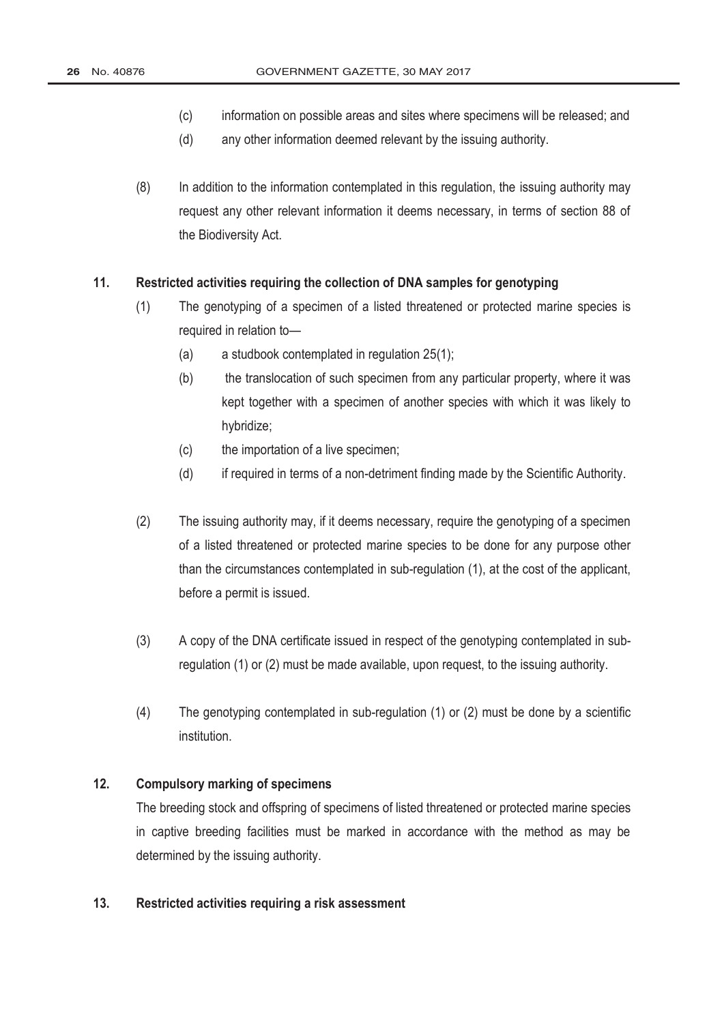- (c) information on possible areas and sites where specimens will be released; and
- (d) any other information deemed relevant by the issuing authority.
- (8) In addition to the information contemplated in this regulation, the issuing authority may request any other relevant information it deems necessary, in terms of section 88 of the Biodiversity Act.

### **11. Restricted activities requiring the collection of DNA samples for genotyping**

- (1) The genotyping of a specimen of a listed threatened or protected marine species is required in relation to—
	- (a) a studbook contemplated in regulation 25(1);
	- (b) the translocation of such specimen from any particular property, where it was kept together with a specimen of another species with which it was likely to hybridize;
	- (c) the importation of a live specimen;
	- (d) if required in terms of a non-detriment finding made by the Scientific Authority.
- (2) The issuing authority may, if it deems necessary, require the genotyping of a specimen of a listed threatened or protected marine species to be done for any purpose other than the circumstances contemplated in sub-regulation (1), at the cost of the applicant, before a permit is issued.
- (3) A copy of the DNA certificate issued in respect of the genotyping contemplated in subregulation (1) or (2) must be made available, upon request, to the issuing authority.
- (4) The genotyping contemplated in sub-regulation (1) or (2) must be done by a scientific institution.

# **12. Compulsory marking of specimens**

The breeding stock and offspring of specimens of listed threatened or protected marine species in captive breeding facilities must be marked in accordance with the method as may be determined by the issuing authority.

### **13. Restricted activities requiring a risk assessment**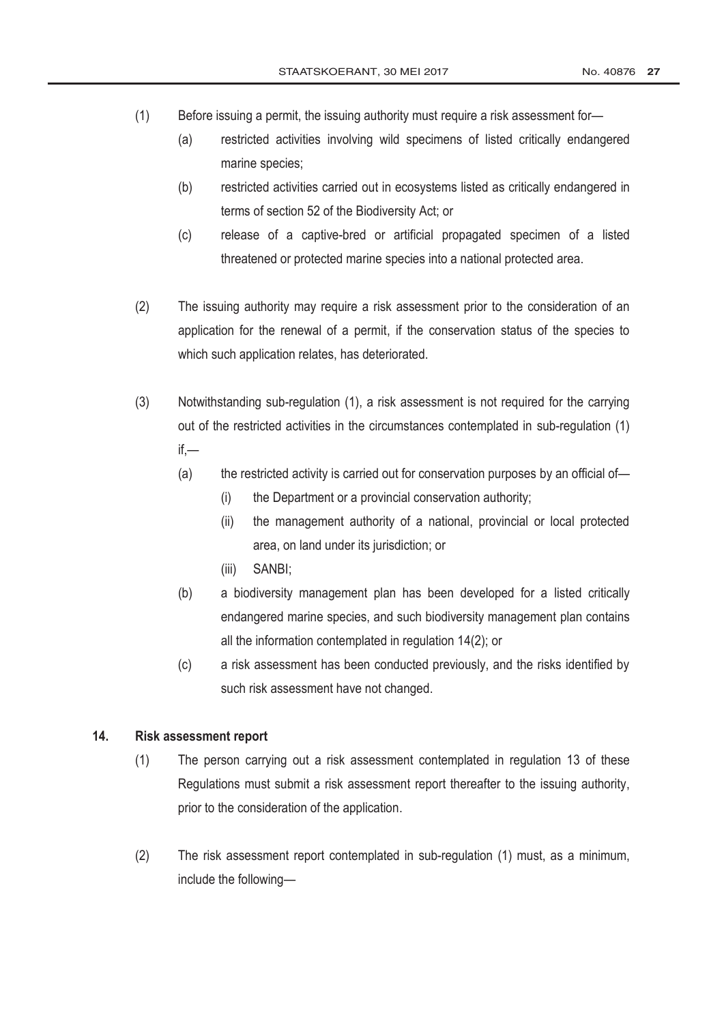- (1) Before issuing a permit, the issuing authority must require a risk assessment for—
	- (a) restricted activities involving wild specimens of listed critically endangered marine species;
	- (b) restricted activities carried out in ecosystems listed as critically endangered in terms of section 52 of the Biodiversity Act; or
	- (c) release of a captive-bred or artificial propagated specimen of a listed threatened or protected marine species into a national protected area.
- (2) The issuing authority may require a risk assessment prior to the consideration of an application for the renewal of a permit, if the conservation status of the species to which such application relates, has deteriorated.
- (3) Notwithstanding sub-regulation (1), a risk assessment is not required for the carrying out of the restricted activities in the circumstances contemplated in sub-regulation (1) if,—
	- (a) the restricted activity is carried out for conservation purposes by an official of-
		- (i) the Department or a provincial conservation authority;
		- (ii) the management authority of a national, provincial or local protected area, on land under its jurisdiction; or
		- (iii) SANBI;
	- (b) a biodiversity management plan has been developed for a listed critically endangered marine species, and such biodiversity management plan contains all the information contemplated in regulation 14(2); or
	- (c) a risk assessment has been conducted previously, and the risks identified by such risk assessment have not changed.

### **14. Risk assessment report**

- (1) The person carrying out a risk assessment contemplated in regulation 13 of these Regulations must submit a risk assessment report thereafter to the issuing authority, prior to the consideration of the application.
- (2) The risk assessment report contemplated in sub-regulation (1) must, as a minimum, include the following—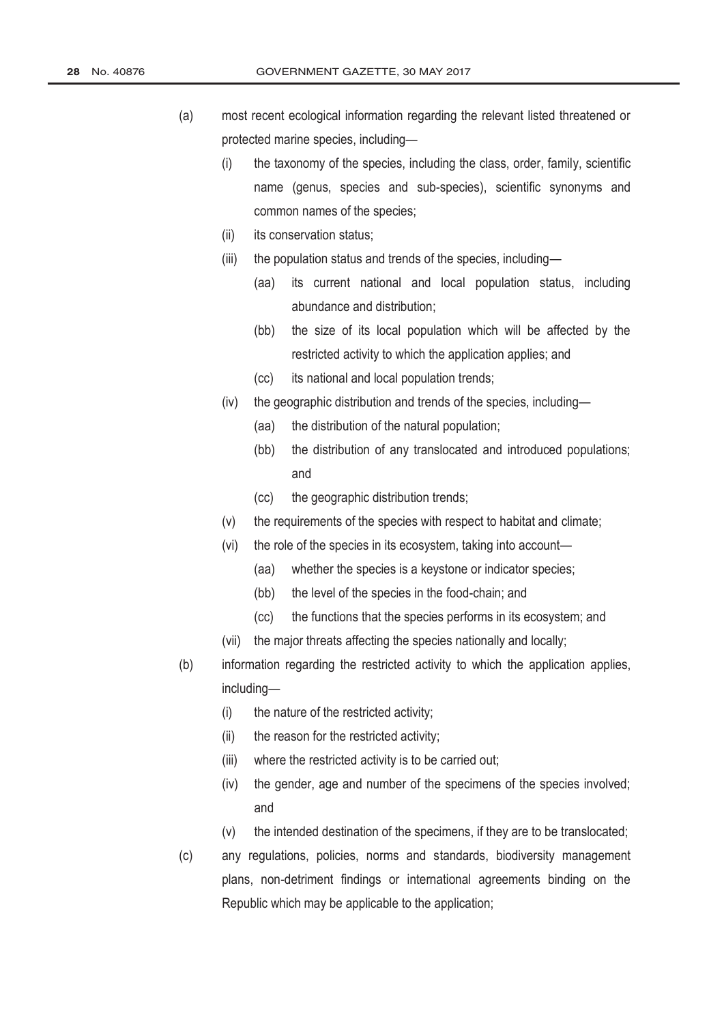- (a) most recent ecological information regarding the relevant listed threatened or protected marine species, including—
	- (i) the taxonomy of the species, including the class, order, family, scientific name (genus, species and sub-species), scientific synonyms and common names of the species;
	- (ii) its conservation status;
	- (iii) the population status and trends of the species, including—
		- (aa) its current national and local population status, including abundance and distribution;
		- (bb) the size of its local population which will be affected by the restricted activity to which the application applies; and
		- (cc) its national and local population trends;
	- (iv) the geographic distribution and trends of the species, including—
		- (aa) the distribution of the natural population;
		- (bb) the distribution of any translocated and introduced populations; and
		- (cc) the geographic distribution trends;
	- (v) the requirements of the species with respect to habitat and climate;
	- (vi) the role of the species in its ecosystem, taking into account—
		- (aa) whether the species is a keystone or indicator species;
		- (bb) the level of the species in the food-chain; and
		- (cc) the functions that the species performs in its ecosystem; and
	- (vii) the major threats affecting the species nationally and locally;
- (b) information regarding the restricted activity to which the application applies, including—
	- (i) the nature of the restricted activity;
	- (ii) the reason for the restricted activity;
	- (iii) where the restricted activity is to be carried out;
	- (iv) the gender, age and number of the specimens of the species involved; and
	- (v) the intended destination of the specimens, if they are to be translocated;
- (c) any regulations, policies, norms and standards, biodiversity management plans, non-detriment findings or international agreements binding on the Republic which may be applicable to the application;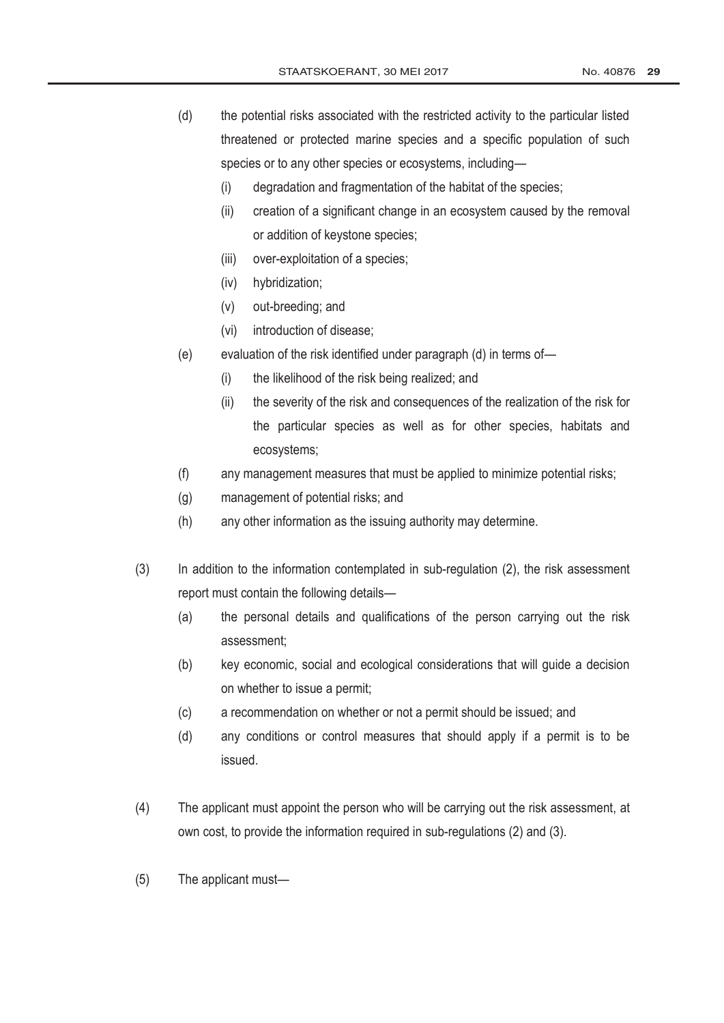- (d) the potential risks associated with the restricted activity to the particular listed threatened or protected marine species and a specific population of such species or to any other species or ecosystems, including—
	- (i) degradation and fragmentation of the habitat of the species;
	- (ii) creation of a significant change in an ecosystem caused by the removal or addition of keystone species;
	- (iii) over-exploitation of a species;
	- (iv) hybridization;
	- (v) out-breeding; and
	- (vi) introduction of disease;
- (e) evaluation of the risk identified under paragraph (d) in terms of—
	- (i) the likelihood of the risk being realized; and
	- (ii) the severity of the risk and consequences of the realization of the risk for the particular species as well as for other species, habitats and ecosystems;
- (f) any management measures that must be applied to minimize potential risks;
- (g) management of potential risks; and
- (h) any other information as the issuing authority may determine.
- (3) In addition to the information contemplated in sub-regulation (2), the risk assessment report must contain the following details—
	- (a) the personal details and qualifications of the person carrying out the risk assessment;
	- (b) key economic, social and ecological considerations that will guide a decision on whether to issue a permit;
	- (c) a recommendation on whether or not a permit should be issued; and
	- (d) any conditions or control measures that should apply if a permit is to be issued.
- (4) The applicant must appoint the person who will be carrying out the risk assessment, at own cost, to provide the information required in sub-regulations (2) and (3).
- (5) The applicant must—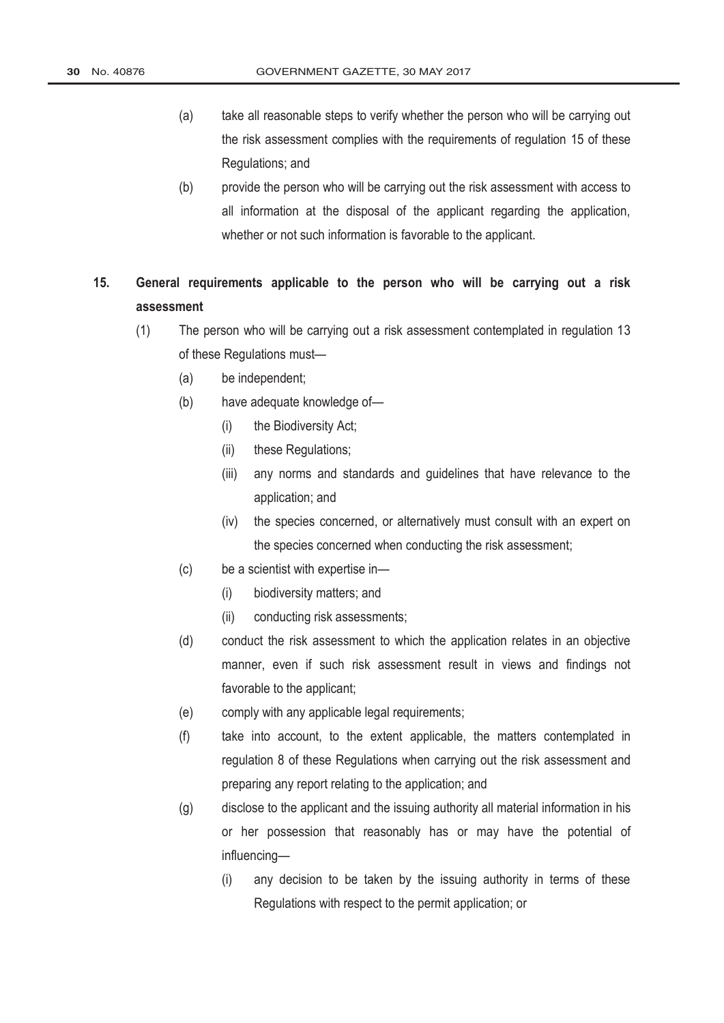- (a) take all reasonable steps to verify whether the person who will be carrying out the risk assessment complies with the requirements of regulation 15 of these Regulations; and
- (b) provide the person who will be carrying out the risk assessment with access to all information at the disposal of the applicant regarding the application, whether or not such information is favorable to the applicant.
- **15. General requirements applicable to the person who will be carrying out a risk assessment**
	- (1) The person who will be carrying out a risk assessment contemplated in regulation 13 of these Regulations must—
		- (a) be independent;
		- (b) have adequate knowledge of—
			- (i) the Biodiversity Act;
			- (ii) these Regulations;
			- (iii) any norms and standards and guidelines that have relevance to the application; and
			- (iv) the species concerned, or alternatively must consult with an expert on the species concerned when conducting the risk assessment;
		- (c) be a scientist with expertise in—
			- (i) biodiversity matters; and
			- (ii) conducting risk assessments;
		- (d) conduct the risk assessment to which the application relates in an objective manner, even if such risk assessment result in views and findings not favorable to the applicant;
		- (e) comply with any applicable legal requirements;
		- (f) take into account, to the extent applicable, the matters contemplated in regulation 8 of these Regulations when carrying out the risk assessment and preparing any report relating to the application; and
		- (g) disclose to the applicant and the issuing authority all material information in his or her possession that reasonably has or may have the potential of influencing—
			- (i) any decision to be taken by the issuing authority in terms of these Regulations with respect to the permit application; or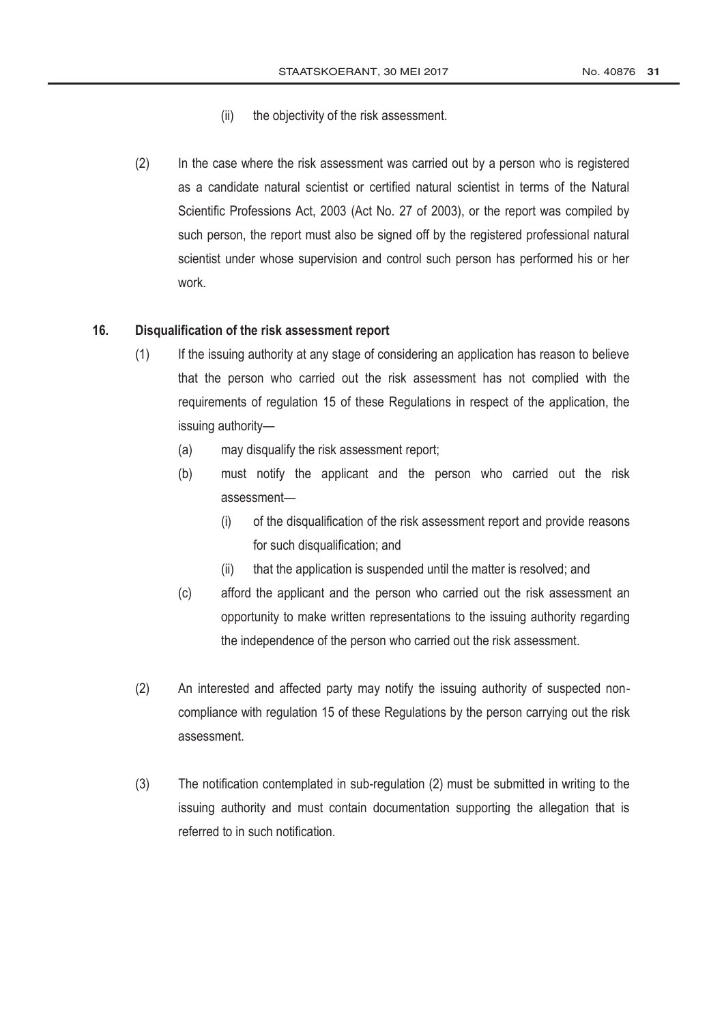- (ii) the objectivity of the risk assessment.
- (2) In the case where the risk assessment was carried out by a person who is registered as a candidate natural scientist or certified natural scientist in terms of the [Natural](http://www.greengazette.co.za/acts/natural-scientific-professions-act_2003-027)  [Scientific Professions Act,](http://www.greengazette.co.za/acts/natural-scientific-professions-act_2003-027) 2003 (Act No. 27 of 2003), or the report was compiled by such person, the report must also be signed off by the registered professional natural scientist under whose supervision and control such person has performed his or her work.

### **16. Disqualification of the risk assessment report**

- (1) If the issuing authority at any stage of considering an application has reason to believe that the person who carried out the risk assessment has not complied with the requirements of regulation 15 of these Regulations in respect of the application, the issuing authority—
	- (a) may disqualify the risk assessment report;
	- (b) must notify the applicant and the person who carried out the risk assessment—
		- (i) of the disqualification of the risk assessment report and provide reasons for such disqualification; and
		- (ii) that the application is suspended until the matter is resolved; and
	- (c) afford the applicant and the person who carried out the risk assessment an opportunity to make written representations to the issuing authority regarding the independence of the person who carried out the risk assessment.
- (2) An interested and affected party may notify the issuing authority of suspected noncompliance with regulation 15 of these Regulations by the person carrying out the risk assessment.
- (3) The notification contemplated in sub-regulation (2) must be submitted in writing to the issuing authority and must contain documentation supporting the allegation that is referred to in such notification.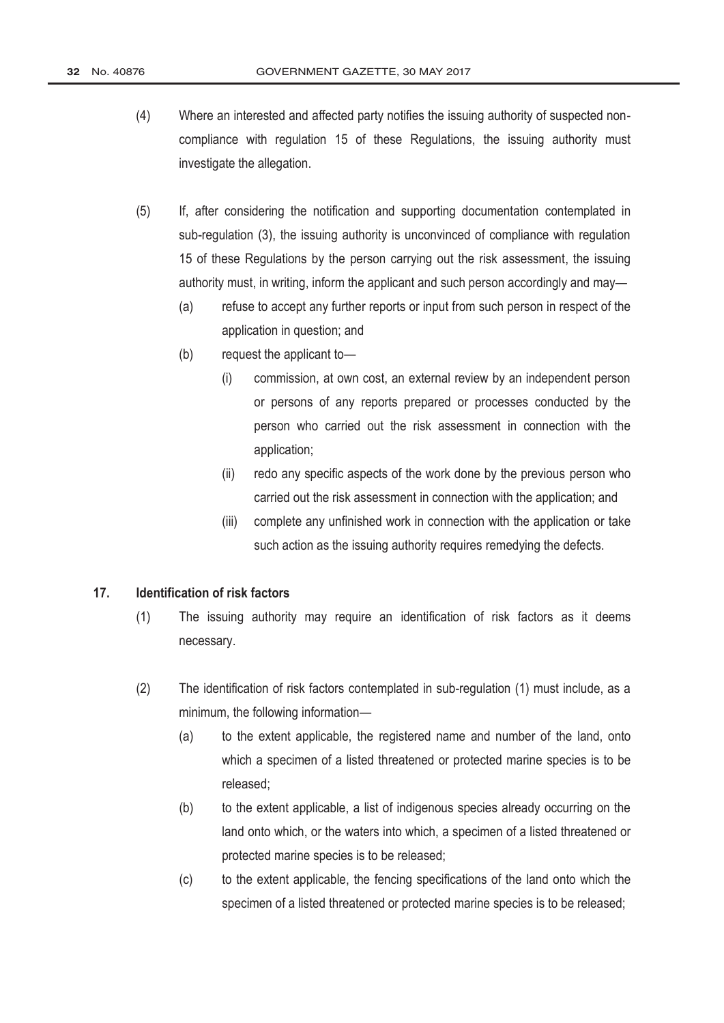- (4) Where an interested and affected party notifies the issuing authority of suspected noncompliance with regulation 15 of these Regulations, the issuing authority must investigate the allegation.
- (5) If, after considering the notification and supporting documentation contemplated in sub-regulation (3), the issuing authority is unconvinced of compliance with regulation 15 of these Regulations by the person carrying out the risk assessment, the issuing authority must, in writing, inform the applicant and such person accordingly and may—
	- (a) refuse to accept any further reports or input from such person in respect of the application in question; and
	- (b) request the applicant to—
		- (i) commission, at own cost, an external review by an independent person or persons of any reports prepared or processes conducted by the person who carried out the risk assessment in connection with the application;
		- (ii) redo any specific aspects of the work done by the previous person who carried out the risk assessment in connection with the application; and
		- (iii) complete any unfinished work in connection with the application or take such action as the issuing authority requires remedying the defects.

## **17. Identification of risk factors**

- (1) The issuing authority may require an identification of risk factors as it deems necessary.
- (2) The identification of risk factors contemplated in sub-regulation (1) must include, as a minimum, the following information—
	- (a) to the extent applicable, the registered name and number of the land, onto which a specimen of a listed threatened or protected marine species is to be released;
	- (b) to the extent applicable, a list of indigenous species already occurring on the land onto which, or the waters into which, a specimen of a listed threatened or protected marine species is to be released;
	- (c) to the extent applicable, the fencing specifications of the land onto which the specimen of a listed threatened or protected marine species is to be released;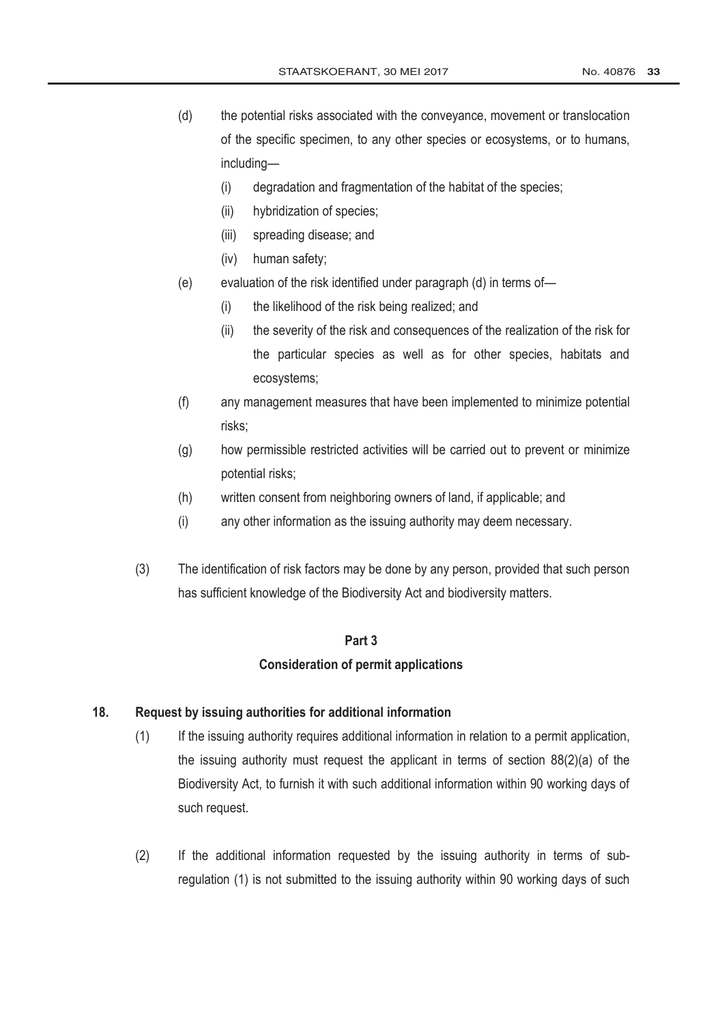- (d) the potential risks associated with the conveyance, movement or translocation of the specific specimen, to any other species or ecosystems, or to humans, including—
	- (i) degradation and fragmentation of the habitat of the species;
	- (ii) hybridization of species;
	- (iii) spreading disease; and
	- (iv) human safety;
- (e) evaluation of the risk identified under paragraph (d) in terms of—
	- (i) the likelihood of the risk being realized; and
	- (ii) the severity of the risk and consequences of the realization of the risk for the particular species as well as for other species, habitats and ecosystems;
- (f) any management measures that have been implemented to minimize potential risks;
- (g) how permissible restricted activities will be carried out to prevent or minimize potential risks;
- (h) written consent from neighboring owners of land, if applicable; and
- (i) any other information as the issuing authority may deem necessary.
- (3) The identification of risk factors may be done by any person, provided that such person has sufficient knowledge of the Biodiversity Act and biodiversity matters.

#### **Part 3**

## **Consideration of permit applications**

### **18. Request by issuing authorities for additional information**

- (1) If the issuing authority requires additional information in relation to a permit application, the issuing authority must request the applicant in terms of section 88(2)(a) of the Biodiversity Act, to furnish it with such additional information within 90 working days of such request.
- (2) If the additional information requested by the issuing authority in terms of subregulation (1) is not submitted to the issuing authority within 90 working days of such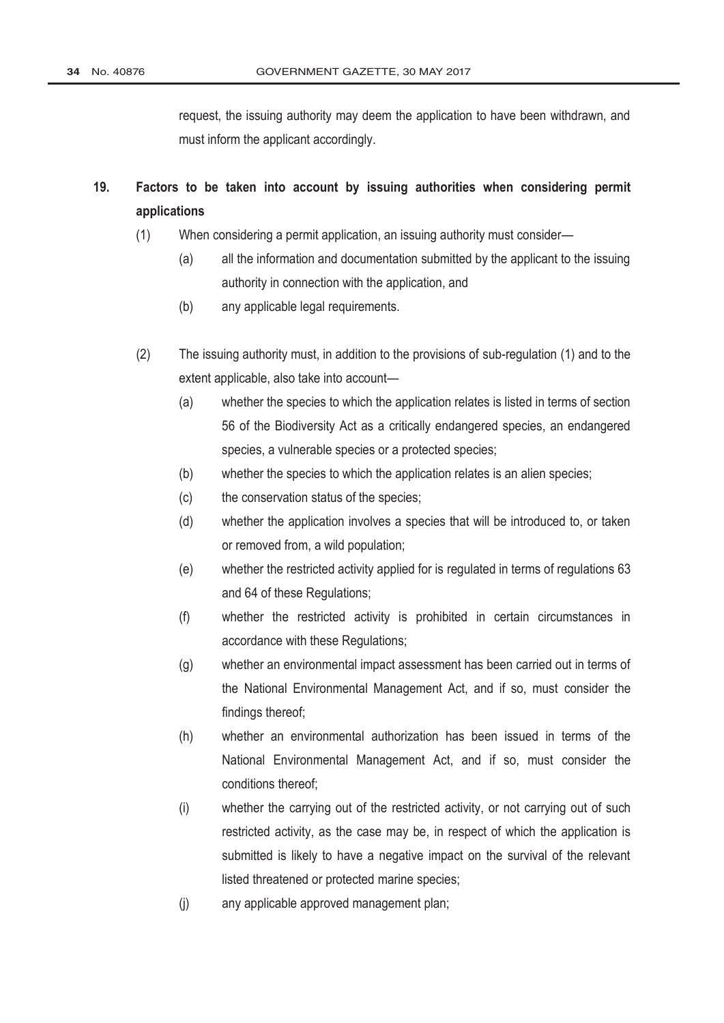request, the issuing authority may deem the application to have been withdrawn, and must inform the applicant accordingly.

- **19. Factors to be taken into account by issuing authorities when considering permit applications** 
	- (1) When considering a permit application, an issuing authority must consider—
		- (a) all the information and documentation submitted by the applicant to the issuing authority in connection with the application, and
		- (b) any applicable legal requirements.
	- (2) The issuing authority must, in addition to the provisions of sub-regulation (1) and to the extent applicable, also take into account—
		- (a) whether the species to which the application relates is listed in terms of section 56 of the Biodiversity Act as a critically endangered species, an endangered species, a vulnerable species or a protected species;
		- (b) whether the species to which the application relates is an alien species;
		- (c) the conservation status of the species;
		- (d) whether the application involves a species that will be introduced to, or taken or removed from, a wild population;
		- (e) whether the restricted activity applied for is regulated in terms of regulations 63 and 64 of these Regulations;
		- (f) whether the restricted activity is prohibited in certain circumstances in accordance with these Regulations;
		- (g) whether an environmental impact assessment has been carried out in terms of the [National Environmental Management Act,](http://www.greengazette.co.za/acts/national-environmental-management-act_1998-107) and if so, must consider the findings thereof;
		- (h) whether an environmental authorization has been issued in terms of the [National Environmental Management Act,](http://www.greengazette.co.za/acts/national-environmental-management-act_1998-107) and if so, must consider the conditions thereof;
		- (i) whether the carrying out of the restricted activity, or not carrying out of such restricted activity, as the case may be, in respect of which the application is submitted is likely to have a negative impact on the survival of the relevant listed threatened or protected marine species;
		- (j) any applicable approved management plan;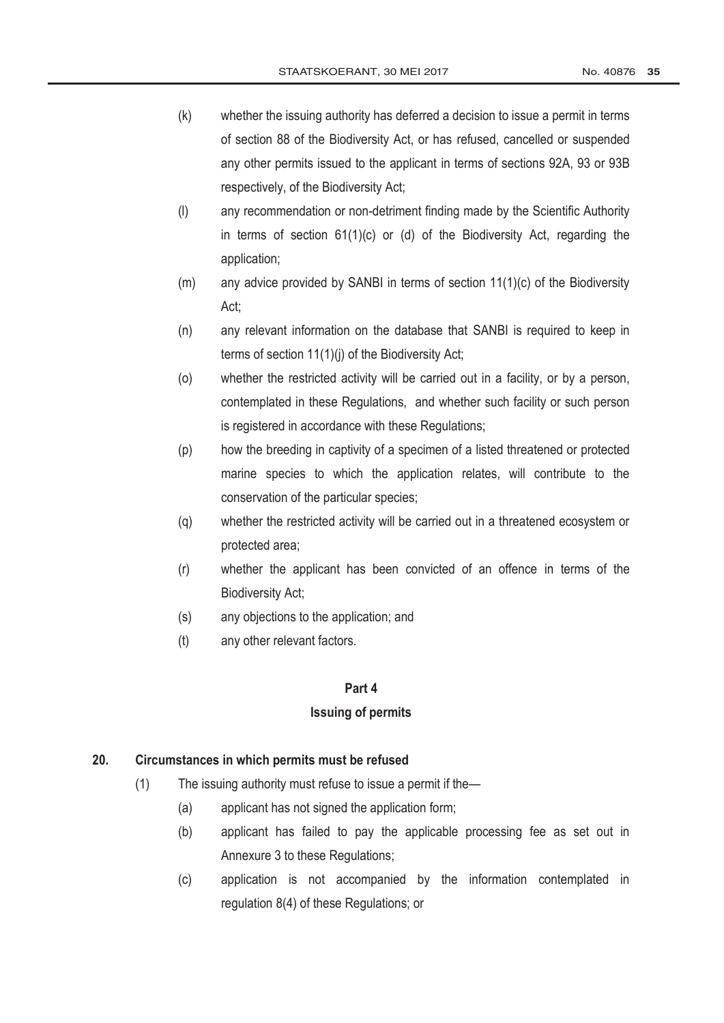- (k) whether the issuing authority has deferred a decision to issue a permit in terms of section 88 of the Biodiversity Act, or has refused, cancelled or suspended any other permits issued to the applicant in terms of sections 92A, 93 or 93B respectively, of the Biodiversity Act;
- (l) any recommendation or non-detriment finding made by the Scientific Authority in terms of section 61(1)(c) or (d) of the Biodiversity Act, regarding the application;
- (m) any advice provided by SANBI in terms of section 11(1)(c) of the Biodiversity Act;
- (n) any relevant information on the database that SANBI is required to keep in terms of section 11(1)(j) of the Biodiversity Act;
- (o) whether the restricted activity will be carried out in a facility, or by a person, contemplated in these Regulations, and whether such facility or such person is registered in accordance with these Regulations;
- (p) how the breeding in captivity of a specimen of a listed threatened or protected marine species to which the application relates, will contribute to the conservation of the particular species;
- (q) whether the restricted activity will be carried out in a threatened ecosystem or protected area;
- (r) whether the applicant has been convicted of an offence in terms of the Biodiversity Act;
- (s) any objections to the application; and
- (t) any other relevant factors.

### **Part 4**

### **Issuing of permits**

## **20. Circumstances in which permits must be refused**

- (1) The issuing authority must refuse to issue a permit if the—
	- (a) applicant has not signed the application form;
	- (b) applicant has failed to pay the applicable processing fee as set out in Annexure 3 to these Regulations;
	- (c) application is not accompanied by the information contemplated in regulation 8(4) of these Regulations; or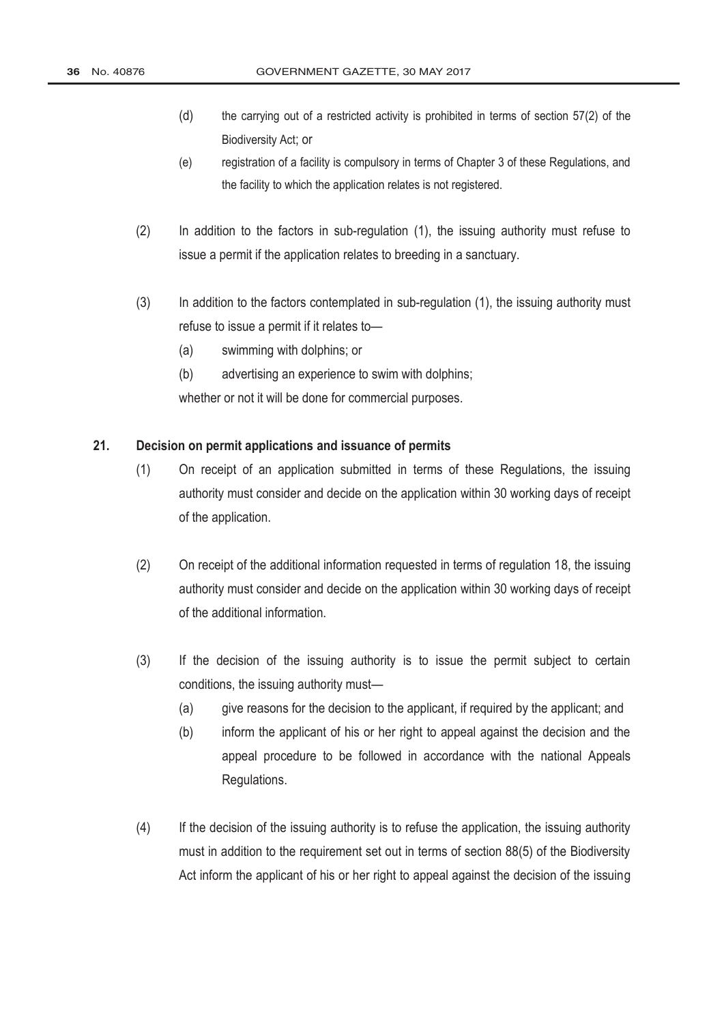- (d) the carrying out of a restricted activity is prohibited in terms of section 57(2) of the Biodiversity Act; or
- (e) registration of a facility is compulsory in terms of Chapter 3 of these Regulations, and the facility to which the application relates is not registered.
- (2) In addition to the factors in sub-regulation (1), the issuing authority must refuse to issue a permit if the application relates to breeding in a sanctuary.
- (3) In addition to the factors contemplated in sub-regulation (1), the issuing authority must refuse to issue a permit if it relates to—
	- (a) swimming with dolphins; or
	- (b) advertising an experience to swim with dolphins;

whether or not it will be done for commercial purposes.

# **21. Decision on permit applications and issuance of permits**

- (1) On receipt of an application submitted in terms of these Regulations, the issuing authority must consider and decide on the application within 30 working days of receipt of the application.
- (2) On receipt of the additional information requested in terms of regulation 18, the issuing authority must consider and decide on the application within 30 working days of receipt of the additional information.
- (3) If the decision of the issuing authority is to issue the permit subject to certain conditions, the issuing authority must—
	- (a) give reasons for the decision to the applicant, if required by the applicant; and
	- (b) inform the applicant of his or her right to appeal against the decision and the appeal procedure to be followed in accordance with the national Appeals Regulations.
- (4) If the decision of the issuing authority is to refuse the application, the issuing authority must in addition to the requirement set out in terms of section 88(5) of the Biodiversity Act inform the applicant of his or her right to appeal against the decision of the issuing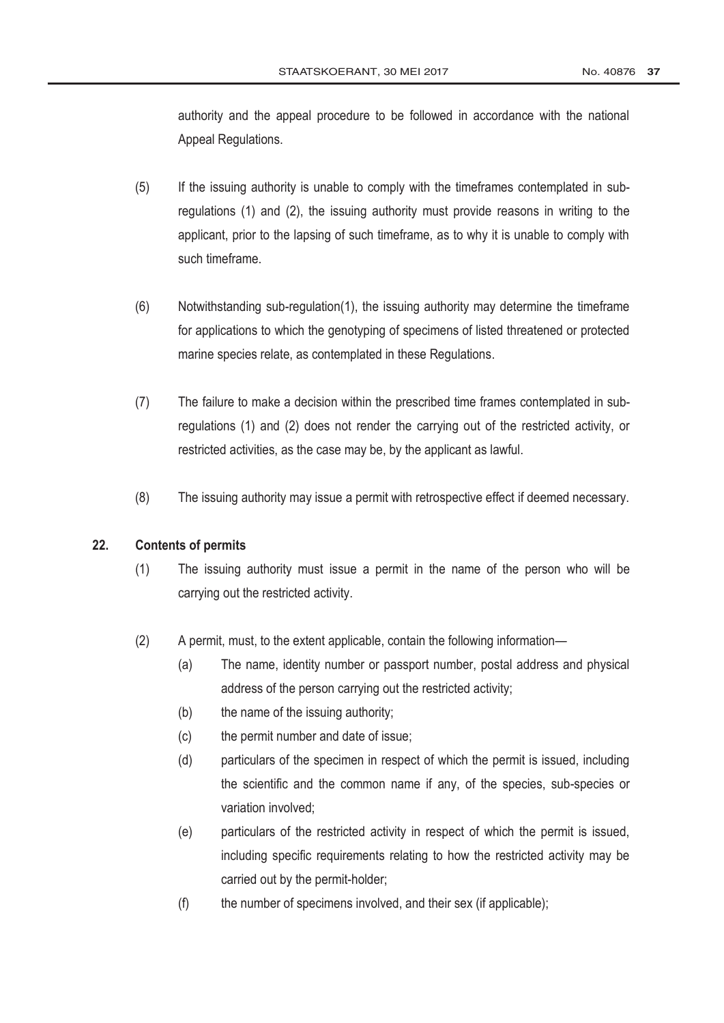authority and the appeal procedure to be followed in accordance with the national Appeal Regulations.

- (5) If the issuing authority is unable to comply with the timeframes contemplated in subregulations (1) and (2), the issuing authority must provide reasons in writing to the applicant, prior to the lapsing of such timeframe, as to why it is unable to comply with such timeframe.
- (6) Notwithstanding sub-regulation(1), the issuing authority may determine the timeframe for applications to which the genotyping of specimens of listed threatened or protected marine species relate, as contemplated in these Regulations.
- (7) The failure to make a decision within the prescribed time frames contemplated in subregulations (1) and (2) does not render the carrying out of the restricted activity, or restricted activities, as the case may be, by the applicant as lawful.
- (8) The issuing authority may issue a permit with retrospective effect if deemed necessary.

# **22. Contents of permits**

- (1) The issuing authority must issue a permit in the name of the person who will be carrying out the restricted activity.
- (2) A permit, must, to the extent applicable, contain the following information—
	- (a) The name, identity number or passport number, postal address and physical address of the person carrying out the restricted activity;
	- (b) the name of the issuing authority;
	- (c) the permit number and date of issue;
	- (d) particulars of the specimen in respect of which the permit is issued, including the scientific and the common name if any, of the species, sub-species or variation involved;
	- (e) particulars of the restricted activity in respect of which the permit is issued, including specific requirements relating to how the restricted activity may be carried out by the permit-holder;
	- (f) the number of specimens involved, and their sex (if applicable);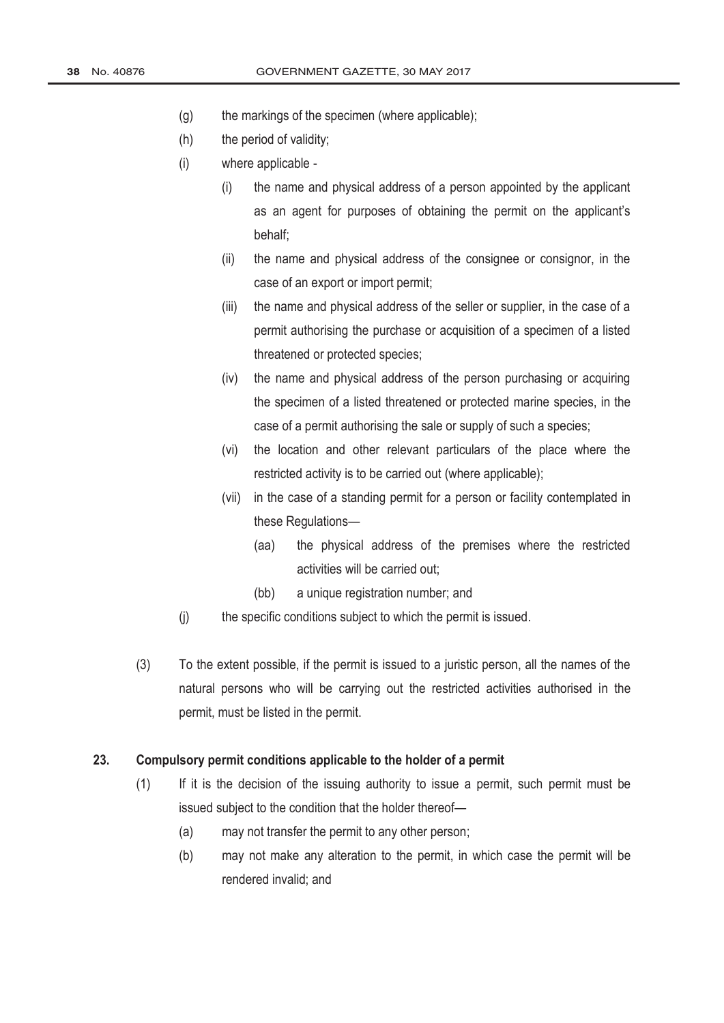- (g) the markings of the specimen (where applicable);
- (h) the period of validity;
- (i) where applicable
	- (i) the name and physical address of a person appointed by the applicant as an agent for purposes of obtaining the permit on the applicant's behalf;
	- (ii) the name and physical address of the consignee or consignor, in the case of an export or import permit;
	- (iii) the name and physical address of the seller or supplier, in the case of a permit authorising the purchase or acquisition of a specimen of a listed threatened or protected species;
	- (iv) the name and physical address of the person purchasing or acquiring the specimen of a listed threatened or protected marine species, in the case of a permit authorising the sale or supply of such a species;
	- (vi) the location and other relevant particulars of the place where the restricted activity is to be carried out (where applicable);
	- (vii) in the case of a standing permit for a person or facility contemplated in these Regulations—
		- (aa) the physical address of the premises where the restricted activities will be carried out;
		- (bb) a unique registration number; and
- (j) the specific conditions subject to which the permit is issued.
- (3) To the extent possible, if the permit is issued to a juristic person, all the names of the natural persons who will be carrying out the restricted activities authorised in the permit, must be listed in the permit.

### **23. Compulsory permit conditions applicable to the holder of a permit**

- (1) If it is the decision of the issuing authority to issue a permit, such permit must be issued subject to the condition that the holder thereof—
	- (a) may not transfer the permit to any other person;
	- (b) may not make any alteration to the permit, in which case the permit will be rendered invalid; and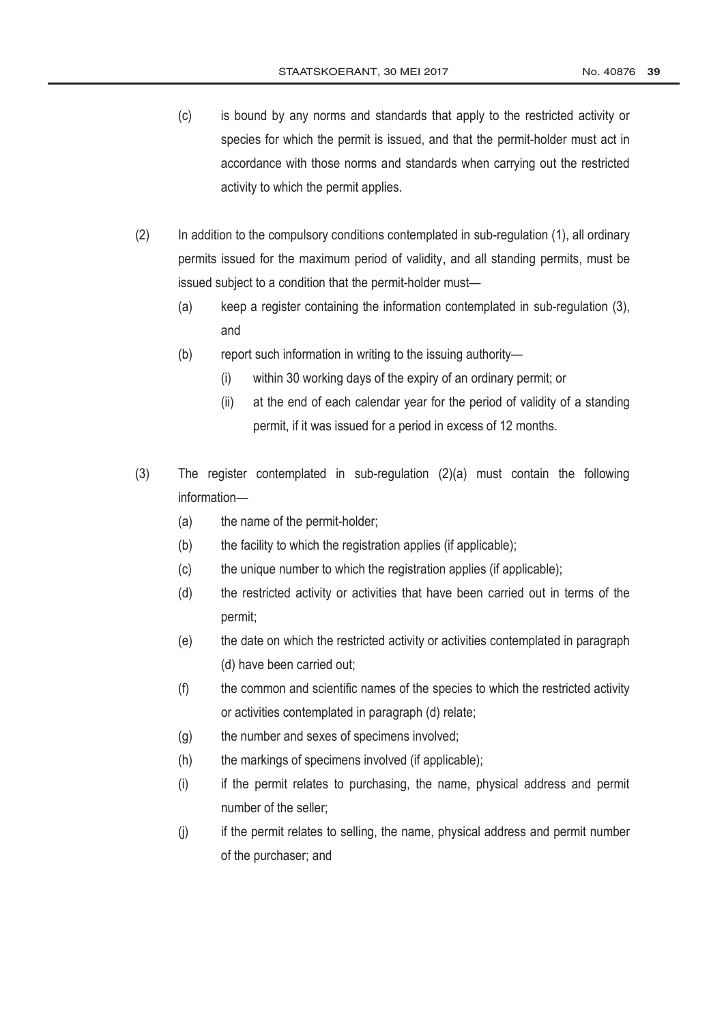- (c) is bound by any norms and standards that apply to the restricted activity or species for which the permit is issued, and that the permit-holder must act in accordance with those norms and standards when carrying out the restricted activity to which the permit applies.
- (2) In addition to the compulsory conditions contemplated in sub-regulation (1), all ordinary permits issued for the maximum period of validity, and all standing permits, must be issued subject to a condition that the permit-holder must—
	- (a) keep a register containing the information contemplated in sub-regulation (3), and
	- (b) report such information in writing to the issuing authority—
		- (i) within 30 working days of the expiry of an ordinary permit; or
		- (ii) at the end of each calendar year for the period of validity of a standing permit, if it was issued for a period in excess of 12 months.
- (3) The register contemplated in sub-regulation (2)(a) must contain the following information—
	- (a) the name of the permit-holder;
	- (b) the facility to which the registration applies (if applicable);
	- (c) the unique number to which the registration applies (if applicable);
	- (d) the restricted activity or activities that have been carried out in terms of the permit;
	- (e) the date on which the restricted activity or activities contemplated in paragraph (d) have been carried out;
	- (f) the common and scientific names of the species to which the restricted activity or activities contemplated in paragraph (d) relate;
	- (g) the number and sexes of specimens involved;
	- (h) the markings of specimens involved (if applicable);
	- (i) if the permit relates to purchasing, the name, physical address and permit number of the seller;
	- (j) if the permit relates to selling, the name, physical address and permit number of the purchaser; and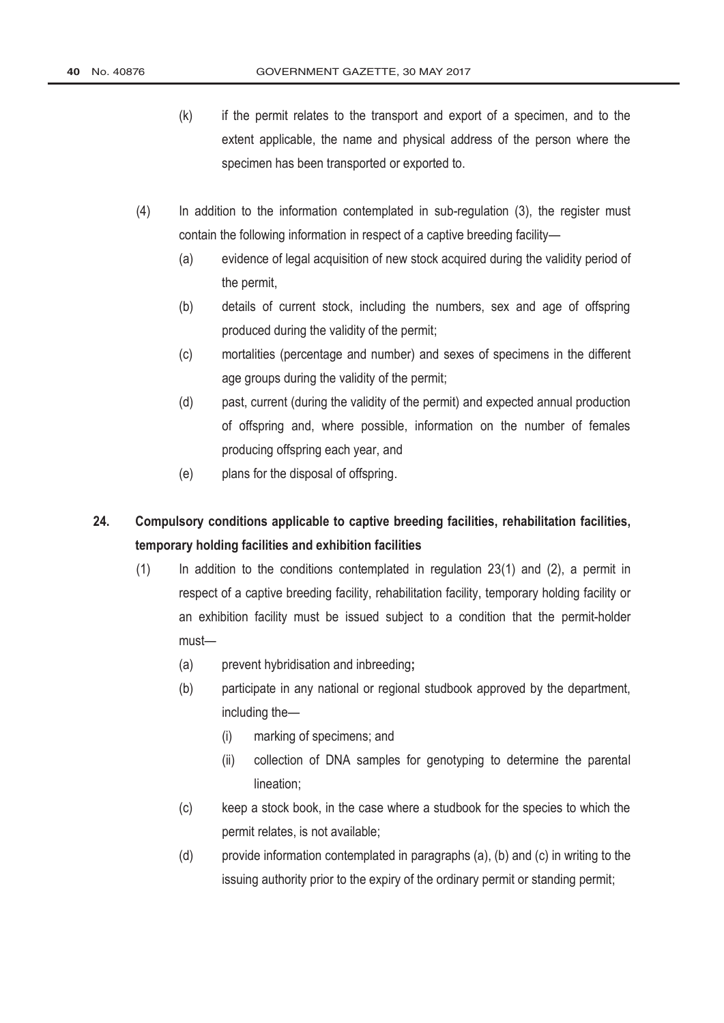- (k) if the permit relates to the transport and export of a specimen, and to the extent applicable, the name and physical address of the person where the specimen has been transported or exported to.
- (4) In addition to the information contemplated in sub-regulation (3), the register must contain the following information in respect of a captive breeding facility—
	- (a) evidence of legal acquisition of new stock acquired during the validity period of the permit,
	- (b) details of current stock, including the numbers, sex and age of offspring produced during the validity of the permit;
	- (c) mortalities (percentage and number) and sexes of specimens in the different age groups during the validity of the permit;
	- (d) past, current (during the validity of the permit) and expected annual production of offspring and, where possible, information on the number of females producing offspring each year, and
	- (e) plans for the disposal of offspring.

# **24. Compulsory conditions applicable to captive breeding facilities, rehabilitation facilities, temporary holding facilities and exhibition facilities**

- (1) In addition to the conditions contemplated in regulation 23(1) and (2), a permit in respect of a captive breeding facility, rehabilitation facility, temporary holding facility or an exhibition facility must be issued subject to a condition that the permit-holder must—
	- (a) prevent hybridisation and inbreeding**;**
	- (b) participate in any national or regional studbook approved by the department, including the—
		- (i) marking of specimens; and
		- (ii) collection of DNA samples for genotyping to determine the parental lineation;
	- (c) keep a stock book, in the case where a studbook for the species to which the permit relates, is not available;
	- (d) provide information contemplated in paragraphs (a), (b) and (c) in writing to the issuing authority prior to the expiry of the ordinary permit or standing permit;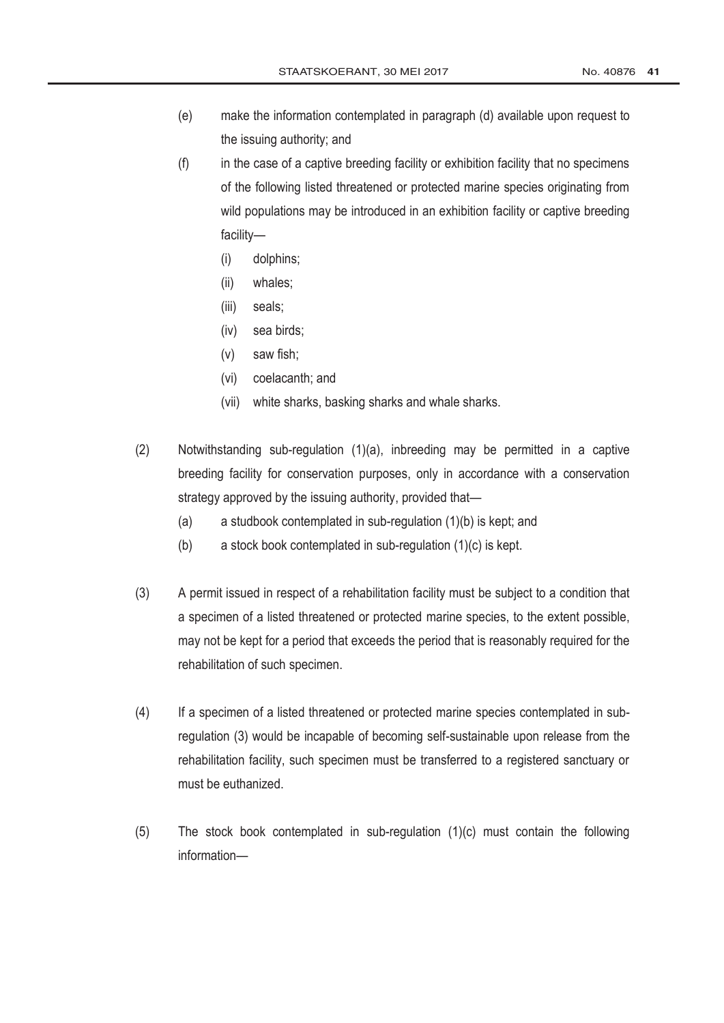- (e) make the information contemplated in paragraph (d) available upon request to the issuing authority; and
- (f) in the case of a captive breeding facility or exhibition facility that no specimens of the following listed threatened or protected marine species originating from wild populations may be introduced in an exhibition facility or captive breeding facility—
	- (i) dolphins;
	- (ii) whales;
	- (iii) seals;
	- (iv) sea birds;
	- (v) saw fish;
	- (vi) coelacanth; and
	- (vii) white sharks, basking sharks and whale sharks.
- (2) Notwithstanding sub-regulation (1)(a), inbreeding may be permitted in a captive breeding facility for conservation purposes, only in accordance with a conservation strategy approved by the issuing authority, provided that—
	- (a) a studbook contemplated in sub-regulation (1)(b) is kept; and
	- (b) a stock book contemplated in sub-regulation (1)(c) is kept.
- (3) A permit issued in respect of a rehabilitation facility must be subject to a condition that a specimen of a listed threatened or protected marine species, to the extent possible, may not be kept for a period that exceeds the period that is reasonably required for the rehabilitation of such specimen.
- (4) If a specimen of a listed threatened or protected marine species contemplated in subregulation (3) would be incapable of becoming self-sustainable upon release from the rehabilitation facility, such specimen must be transferred to a registered sanctuary or must be euthanized.
- (5) The stock book contemplated in sub-regulation (1)(c) must contain the following information—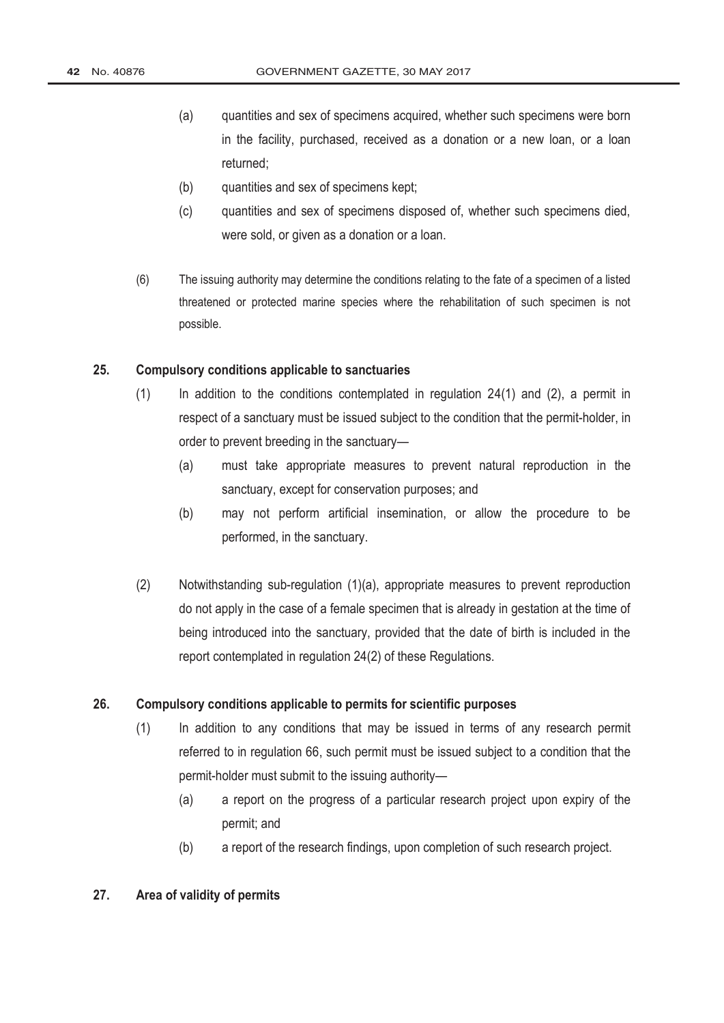- (a) quantities and sex of specimens acquired, whether such specimens were born in the facility, purchased, received as a donation or a new loan, or a loan returned;
- (b) quantities and sex of specimens kept;
- (c) quantities and sex of specimens disposed of, whether such specimens died, were sold, or given as a donation or a loan.
- (6) The issuing authority may determine the conditions relating to the fate of a specimen of a listed threatened or protected marine species where the rehabilitation of such specimen is not possible.

### **25. Compulsory conditions applicable to sanctuaries**

- (1) In addition to the conditions contemplated in regulation 24(1) and (2), a permit in respect of a sanctuary must be issued subject to the condition that the permit-holder, in order to prevent breeding in the sanctuary—
	- (a) must take appropriate measures to prevent natural reproduction in the sanctuary, except for conservation purposes; and
	- (b) may not perform artificial insemination, or allow the procedure to be performed, in the sanctuary.
- (2) Notwithstanding sub-regulation (1)(a), appropriate measures to prevent reproduction do not apply in the case of a female specimen that is already in gestation at the time of being introduced into the sanctuary, provided that the date of birth is included in the report contemplated in regulation 24(2) of these Regulations.

#### **26. Compulsory conditions applicable to permits for scientific purposes**

- (1) In addition to any conditions that may be issued in terms of any research permit referred to in regulation 66, such permit must be issued subject to a condition that the permit-holder must submit to the issuing authority—
	- (a) a report on the progress of a particular research project upon expiry of the permit; and
	- (b) a report of the research findings, upon completion of such research project.

#### **27. Area of validity of permits**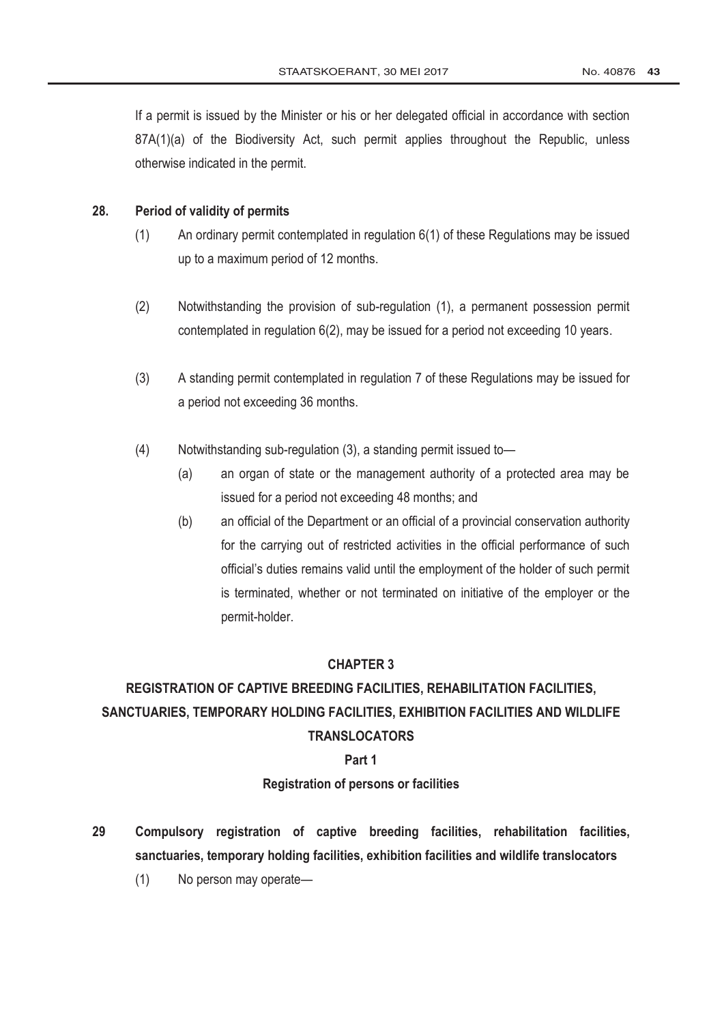If a permit is issued by the Minister or his or her delegated official in accordance with section 87A(1)(a) of the Biodiversity Act, such permit applies throughout the Republic, unless otherwise indicated in the permit.

#### **28. Period of validity of permits**

- (1) An ordinary permit contemplated in regulation 6(1) of these Regulations may be issued up to a maximum period of 12 months.
- (2) Notwithstanding the provision of sub-regulation (1), a permanent possession permit contemplated in regulation 6(2), may be issued for a period not exceeding 10 years.
- (3) A standing permit contemplated in regulation 7 of these Regulations may be issued for a period not exceeding 36 months.
- (4) Notwithstanding sub-regulation (3), a standing permit issued to—
	- (a) an organ of state or the management authority of a protected area may be issued for a period not exceeding 48 months; and
	- (b) an official of the Department or an official of a provincial conservation authority for the carrying out of restricted activities in the official performance of such official's duties remains valid until the employment of the holder of such permit is terminated, whether or not terminated on initiative of the employer or the permit-holder.

### **CHAPTER 3**

# **REGISTRATION OF CAPTIVE BREEDING FACILITIES, REHABILITATION FACILITIES, SANCTUARIES, TEMPORARY HOLDING FACILITIES, EXHIBITION FACILITIES AND WILDLIFE TRANSLOCATORS**

#### **Part 1**

**Registration of persons or facilities**

- **29 Compulsory registration of captive breeding facilities, rehabilitation facilities, sanctuaries, temporary holding facilities, exhibition facilities and wildlife translocators**
	- (1) No person may operate—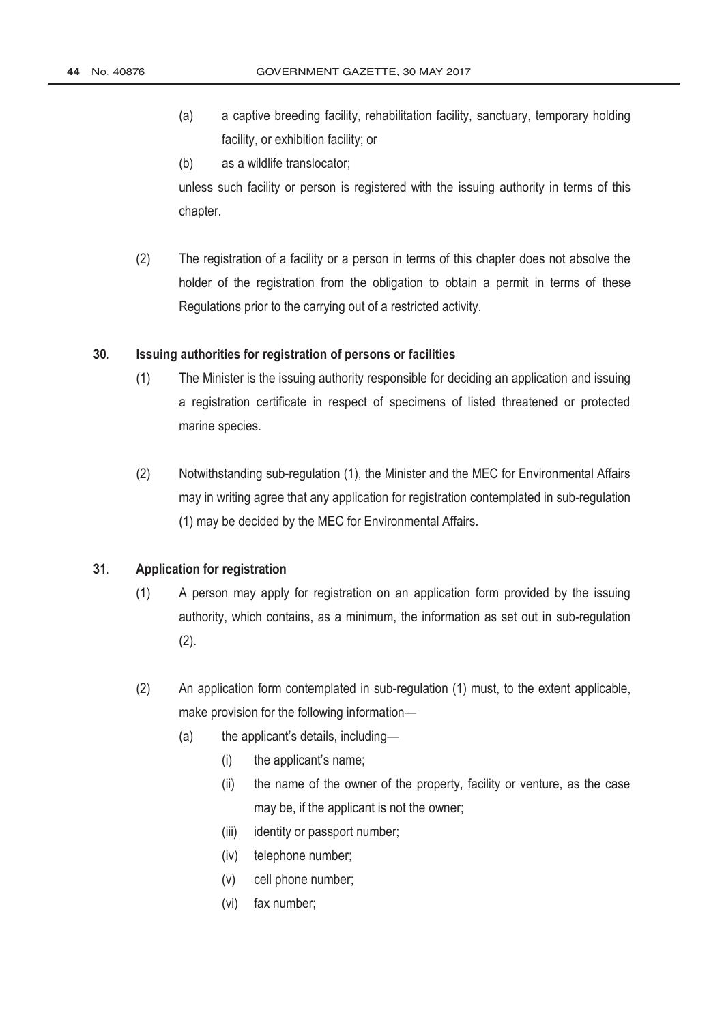- (a) a captive breeding facility, rehabilitation facility, sanctuary, temporary holding facility, or exhibition facility; or
- (b) as a wildlife translocator;

unless such facility or person is registered with the issuing authority in terms of this chapter.

(2) The registration of a facility or a person in terms of this chapter does not absolve the holder of the registration from the obligation to obtain a permit in terms of these Regulations prior to the carrying out of a restricted activity.

### **30. Issuing authorities for registration of persons or facilities**

- (1) The Minister is the issuing authority responsible for deciding an application and issuing a registration certificate in respect of specimens of listed threatened or protected marine species.
- (2) Notwithstanding sub-regulation (1), the Minister and the MEC for Environmental Affairs may in writing agree that any application for registration contemplated in sub-regulation (1) may be decided by the MEC for Environmental Affairs.

#### **31. Application for registration**

- (1) A person may apply for registration on an application form provided by the issuing authority, which contains, as a minimum, the information as set out in sub-regulation (2).
- (2) An application form contemplated in sub-regulation (1) must, to the extent applicable, make provision for the following information—
	- (a) the applicant's details, including—
		- (i) the applicant's name;
		- (ii) the name of the owner of the property, facility or venture, as the case may be, if the applicant is not the owner;
		- (iii) identity or passport number;
		- (iv) telephone number;
		- (v) cell phone number;
		- (vi) fax number;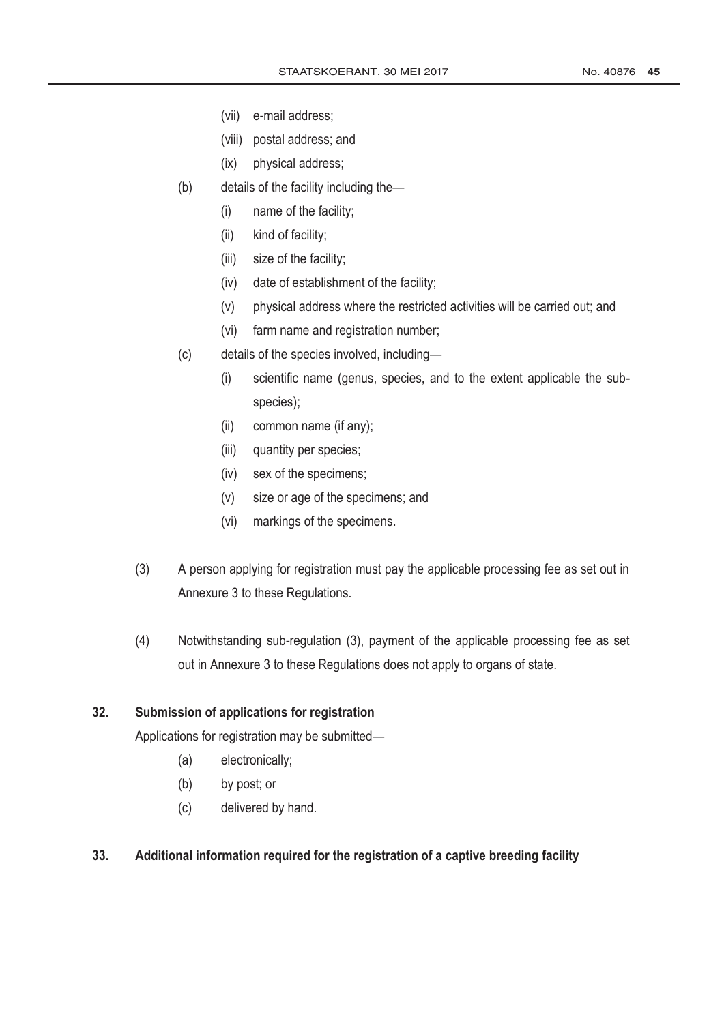- (vii) e-mail address;
- (viii) postal address; and
- (ix) physical address;
- (b) details of the facility including the—
	- (i) name of the facility;
	- (ii) kind of facility;
	- (iii) size of the facility;
	- (iv) date of establishment of the facility;
	- (v) physical address where the restricted activities will be carried out; and
	- (vi) farm name and registration number;
- (c) details of the species involved, including—
	- (i) scientific name (genus, species, and to the extent applicable the subspecies);
	- (ii) common name (if any);
	- (iii) quantity per species;
	- (iv) sex of the specimens;
	- (v) size or age of the specimens; and
	- (vi) markings of the specimens.
- (3) A person applying for registration must pay the applicable processing fee as set out in Annexure 3 to these Regulations.
- (4) Notwithstanding sub-regulation (3), payment of the applicable processing fee as set out in Annexure 3 to these Regulations does not apply to organs of state.

# **32. Submission of applications for registration**

Applications for registration may be submitted—

- (a) electronically;
- (b) by post; or
- (c) delivered by hand.

### **33. Additional information required for the registration of a captive breeding facility**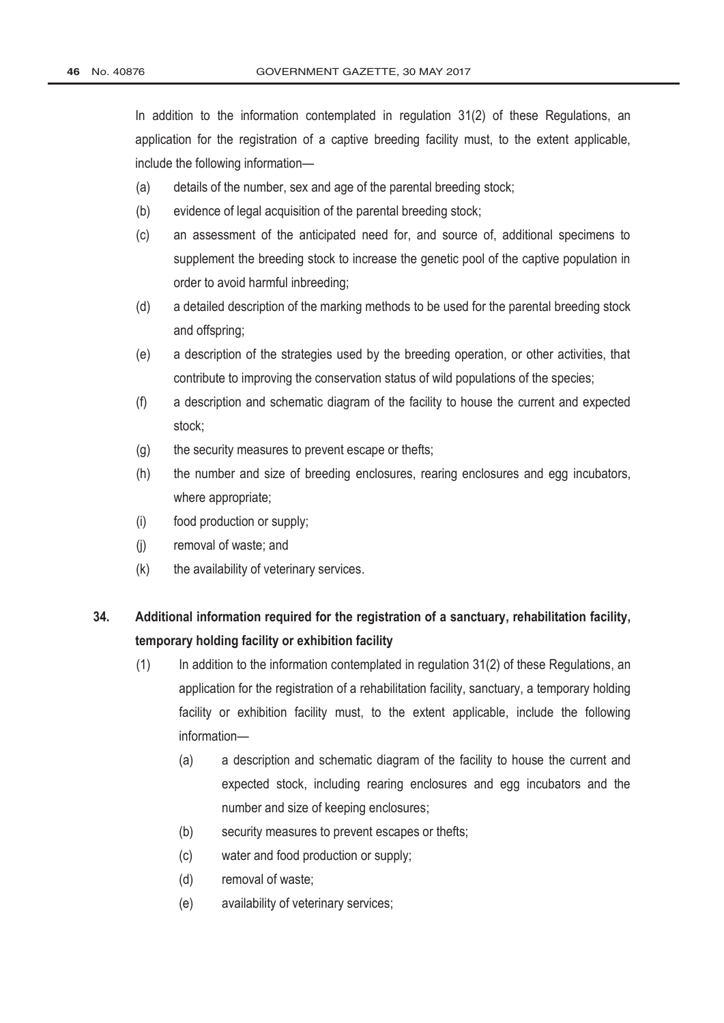In addition to the information contemplated in regulation 31(2) of these Regulations, an application for the registration of a captive breeding facility must, to the extent applicable, include the following information—

- (a) details of the number, sex and age of the parental breeding stock;
- (b) evidence of legal acquisition of the parental breeding stock;
- (c) an assessment of the anticipated need for, and source of, additional specimens to supplement the breeding stock to increase the genetic pool of the captive population in order to avoid harmful inbreeding;
- (d) a detailed description of the marking methods to be used for the parental breeding stock and offspring;
- (e) a description of the strategies used by the breeding operation, or other activities, that contribute to improving the conservation status of wild populations of the species;
- (f) a description and schematic diagram of the facility to house the current and expected stock;
- (g) the security measures to prevent escape or thefts;
- (h) the number and size of breeding enclosures, rearing enclosures and egg incubators, where appropriate;
- (i) food production or supply;
- (j) removal of waste; and
- $(k)$  the availability of veterinary services.

# **34. Additional information required for the registration of a sanctuary, rehabilitation facility, temporary holding facility or exhibition facility**

- $(1)$  In addition to the information contemplated in regulation 31(2) of these Regulations, an application for the registration of a rehabilitation facility, sanctuary, a temporary holding facility or exhibition facility must, to the extent applicable, include the following information—
	- (a) a description and schematic diagram of the facility to house the current and expected stock, including rearing enclosures and egg incubators and the number and size of keeping enclosures;
	- (b) security measures to prevent escapes or thefts;
	- (c) water and food production or supply;
	- (d) removal of waste;
	- (e) availability of veterinary services;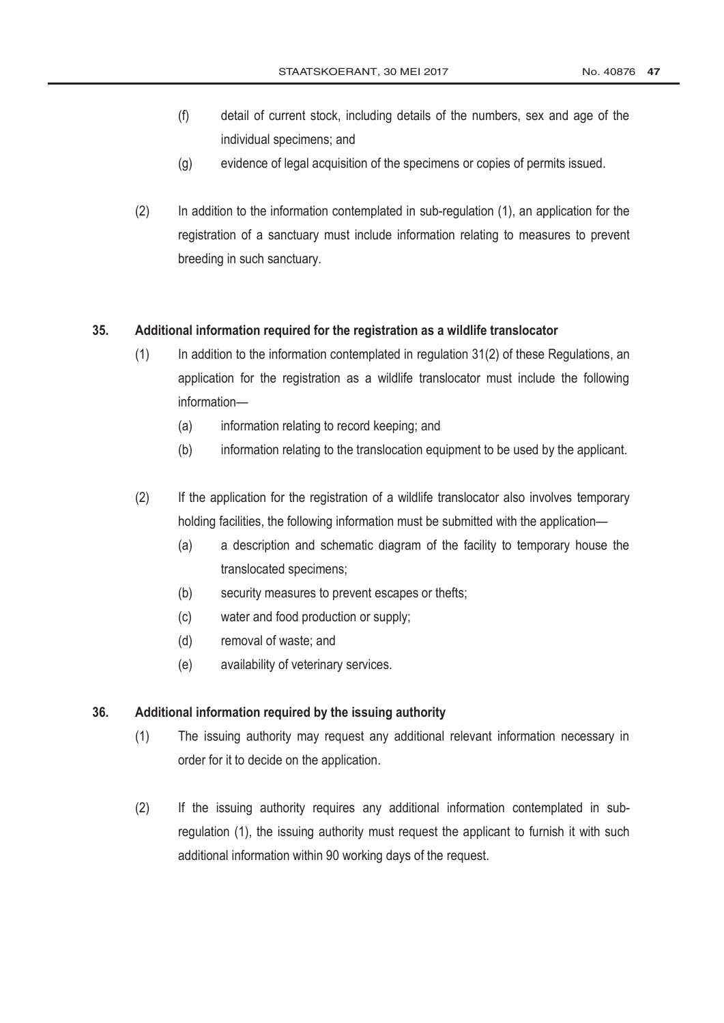- (f) detail of current stock, including details of the numbers, sex and age of the individual specimens; and
- (g) evidence of legal acquisition of the specimens or copies of permits issued.
- (2) In addition to the information contemplated in sub-regulation (1), an application for the registration of a sanctuary must include information relating to measures to prevent breeding in such sanctuary.

#### **35. Additional information required for the registration as a wildlife translocator**

- $(1)$  In addition to the information contemplated in regulation 31(2) of these Regulations, an application for the registration as a wildlife translocator must include the following information—
	- (a) information relating to record keeping; and
	- (b) information relating to the translocation equipment to be used by the applicant.
- (2) If the application for the registration of a wildlife translocator also involves temporary holding facilities, the following information must be submitted with the application—
	- (a) a description and schematic diagram of the facility to temporary house the translocated specimens;
	- (b) security measures to prevent escapes or thefts;
	- (c) water and food production or supply;
	- (d) removal of waste; and
	- (e) availability of veterinary services.

#### **36. Additional information required by the issuing authority**

- (1) The issuing authority may request any additional relevant information necessary in order for it to decide on the application.
- (2) If the issuing authority requires any additional information contemplated in subregulation (1), the issuing authority must request the applicant to furnish it with such additional information within 90 working days of the request.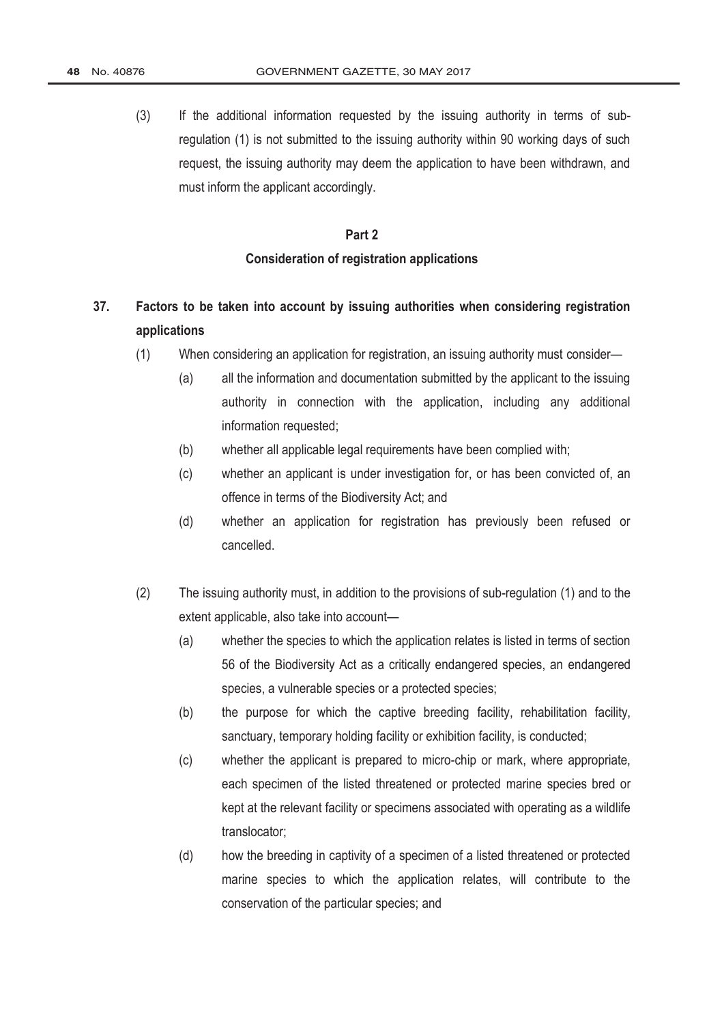(3) If the additional information requested by the issuing authority in terms of subregulation (1) is not submitted to the issuing authority within 90 working days of such request, the issuing authority may deem the application to have been withdrawn, and must inform the applicant accordingly.

# **Part 2 Consideration of registration applications**

# **37. Factors to be taken into account by issuing authorities when considering registration applications**

- (1) When considering an application for registration, an issuing authority must consider—
	- (a) all the information and documentation submitted by the applicant to the issuing authority in connection with the application, including any additional information requested;
	- (b) whether all applicable legal requirements have been complied with;
	- (c) whether an applicant is under investigation for, or has been convicted of, an offence in terms of the Biodiversity Act; and
	- (d) whether an application for registration has previously been refused or cancelled.
- (2) The issuing authority must, in addition to the provisions of sub-regulation (1) and to the extent applicable, also take into account—
	- (a) whether the species to which the application relates is listed in terms of section 56 of the Biodiversity Act as a critically endangered species, an endangered species, a vulnerable species or a protected species;
	- (b) the purpose for which the captive breeding facility, rehabilitation facility, sanctuary, temporary holding facility or exhibition facility, is conducted;
	- (c) whether the applicant is prepared to micro-chip or mark, where appropriate, each specimen of the listed threatened or protected marine species bred or kept at the relevant facility or specimens associated with operating as a wildlife translocator;
	- (d) how the breeding in captivity of a specimen of a listed threatened or protected marine species to which the application relates, will contribute to the conservation of the particular species; and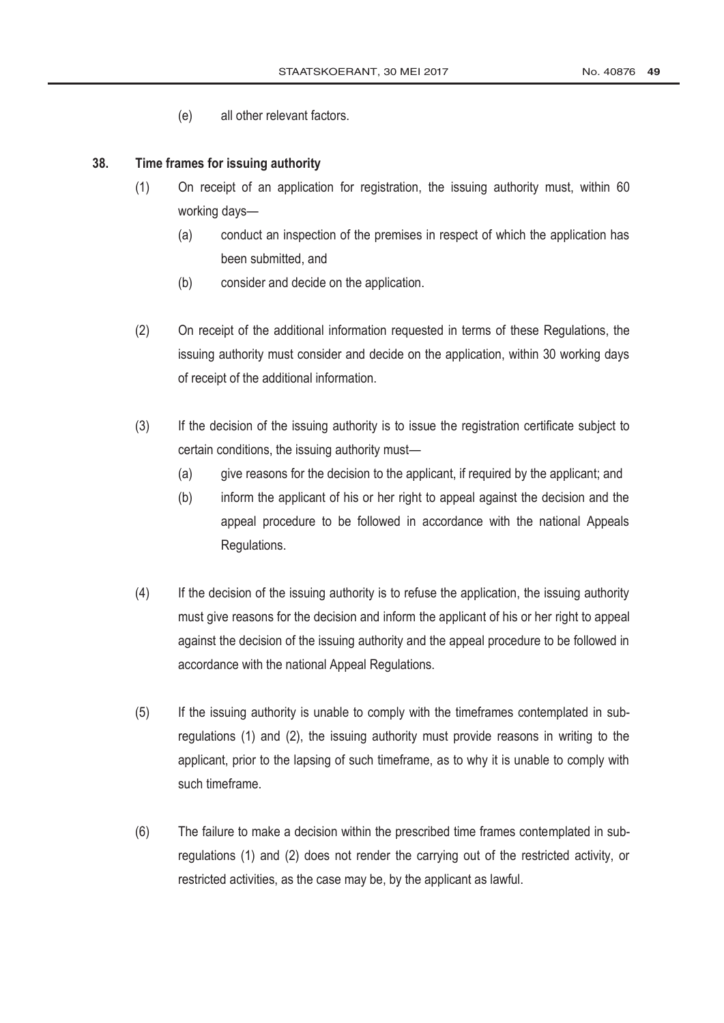(e) all other relevant factors.

#### **38. Time frames for issuing authority**

- (1) On receipt of an application for registration, the issuing authority must, within 60 working days—
	- (a) conduct an inspection of the premises in respect of which the application has been submitted, and
	- (b) consider and decide on the application.
- (2) On receipt of the additional information requested in terms of these Regulations, the issuing authority must consider and decide on the application, within 30 working days of receipt of the additional information.
- (3) If the decision of the issuing authority is to issue the registration certificate subject to certain conditions, the issuing authority must—
	- (a) give reasons for the decision to the applicant, if required by the applicant; and
	- (b) inform the applicant of his or her right to appeal against the decision and the appeal procedure to be followed in accordance with the national Appeals Regulations.
- (4) If the decision of the issuing authority is to refuse the application, the issuing authority must give reasons for the decision and inform the applicant of his or her right to appeal against the decision of the issuing authority and the appeal procedure to be followed in accordance with the national Appeal Regulations.
- (5) If the issuing authority is unable to comply with the timeframes contemplated in subregulations (1) and (2), the issuing authority must provide reasons in writing to the applicant, prior to the lapsing of such timeframe, as to why it is unable to comply with such timeframe.
- (6) The failure to make a decision within the prescribed time frames contemplated in subregulations (1) and (2) does not render the carrying out of the restricted activity, or restricted activities, as the case may be, by the applicant as lawful.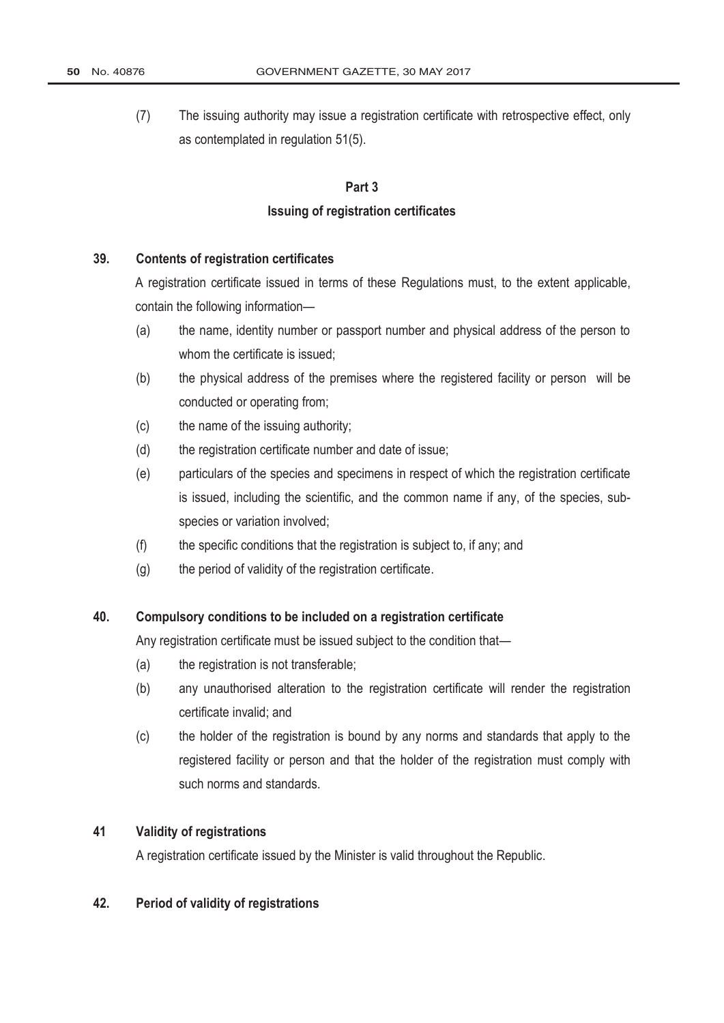(7) The issuing authority may issue a registration certificate with retrospective effect, only as contemplated in regulation 51(5).

#### **Part 3**

#### **Issuing of registration certificates**

#### **39. Contents of registration certificates**

A registration certificate issued in terms of these Regulations must, to the extent applicable, contain the following information—

- (a) the name, identity number or passport number and physical address of the person to whom the certificate is issued;
- (b) the physical address of the premises where the registered facility or person will be conducted or operating from;
- (c) the name of the issuing authority;
- (d) the registration certificate number and date of issue;
- (e) particulars of the species and specimens in respect of which the registration certificate is issued, including the scientific, and the common name if any, of the species, subspecies or variation involved;
- (f) the specific conditions that the registration is subject to, if any; and
- $(g)$  the period of validity of the registration certificate.

### **40. Compulsory conditions to be included on a registration certificate**

Any registration certificate must be issued subject to the condition that—

- (a) the registration is not transferable;
- (b) any unauthorised alteration to the registration certificate will render the registration certificate invalid; and
- (c) the holder of the registration is bound by any norms and standards that apply to the registered facility or person and that the holder of the registration must comply with such norms and standards.

# **41 Validity of registrations**

A registration certificate issued by the Minister is valid throughout the Republic.

#### **42. Period of validity of registrations**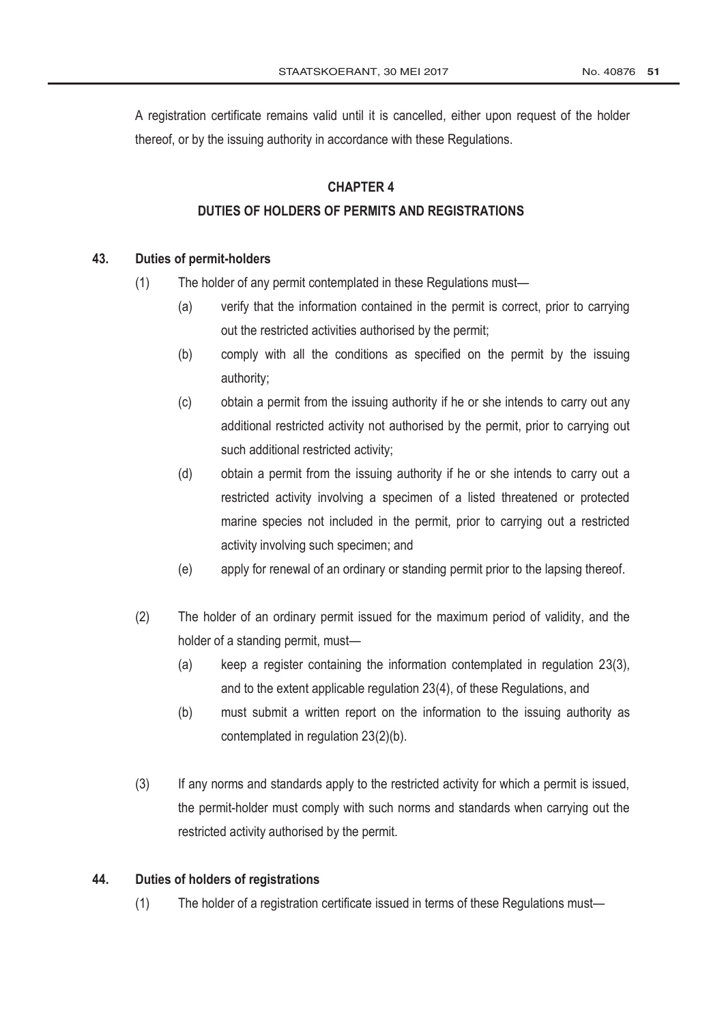A registration certificate remains valid until it is cancelled, either upon request of the holder thereof, or by the issuing authority in accordance with these Regulations.

### **CHAPTER 4**

### **DUTIES OF HOLDERS OF PERMITS AND REGISTRATIONS**

### **43. Duties of permit-holders**

- (1) The holder of any permit contemplated in these Regulations must—
	- (a) verify that the information contained in the permit is correct, prior to carrying out the restricted activities authorised by the permit;
	- (b) comply with all the conditions as specified on the permit by the issuing authority;
	- (c) obtain a permit from the issuing authority if he or she intends to carry out any additional restricted activity not authorised by the permit, prior to carrying out such additional restricted activity;
	- (d) obtain a permit from the issuing authority if he or she intends to carry out a restricted activity involving a specimen of a listed threatened or protected marine species not included in the permit, prior to carrying out a restricted activity involving such specimen; and
	- (e) apply for renewal of an ordinary or standing permit prior to the lapsing thereof.
- (2) The holder of an ordinary permit issued for the maximum period of validity, and the holder of a standing permit, must—
	- (a) keep a register containing the information contemplated in regulation 23(3), and to the extent applicable regulation 23(4), of these Regulations, and
	- (b) must submit a written report on the information to the issuing authority as contemplated in regulation 23(2)(b).
- (3) If any norms and standards apply to the restricted activity for which a permit is issued, the permit-holder must comply with such norms and standards when carrying out the restricted activity authorised by the permit.

#### **44. Duties of holders of registrations**

(1) The holder of a registration certificate issued in terms of these Regulations must—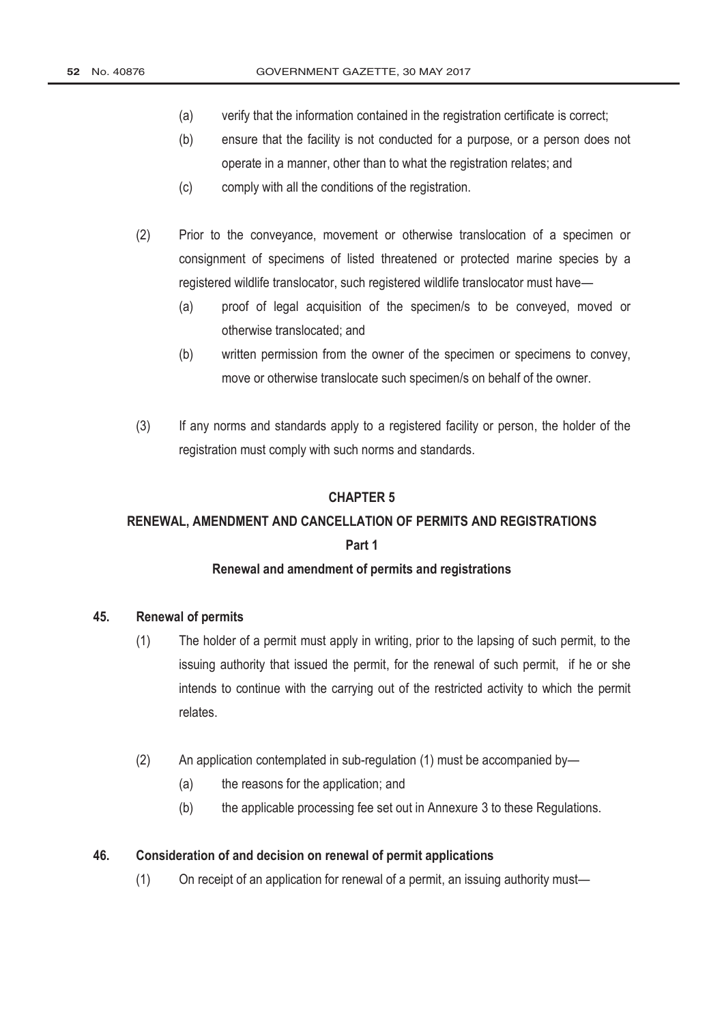- (a) verify that the information contained in the registration certificate is correct;
- (b) ensure that the facility is not conducted for a purpose, or a person does not operate in a manner, other than to what the registration relates; and
- (c) comply with all the conditions of the registration.
- (2) Prior to the conveyance, movement or otherwise translocation of a specimen or consignment of specimens of listed threatened or protected marine species by a registered wildlife translocator, such registered wildlife translocator must have—
	- (a) proof of legal acquisition of the specimen/s to be conveyed, moved or otherwise translocated; and
	- (b) written permission from the owner of the specimen or specimens to convey, move or otherwise translocate such specimen/s on behalf of the owner.
- (3) If any norms and standards apply to a registered facility or person, the holder of the registration must comply with such norms and standards.

#### **CHAPTER 5**

# **RENEWAL, AMENDMENT AND CANCELLATION OF PERMITS AND REGISTRATIONS Part 1**

#### **Renewal and amendment of permits and registrations**

#### **45. Renewal of permits**

- (1) The holder of a permit must apply in writing, prior to the lapsing of such permit, to the issuing authority that issued the permit, for the renewal of such permit, if he or she intends to continue with the carrying out of the restricted activity to which the permit relates.
- (2) An application contemplated in sub-regulation (1) must be accompanied by—
	- (a) the reasons for the application; and
	- (b) the applicable processing fee set out in Annexure 3 to these Regulations.

#### **46. Consideration of and decision on renewal of permit applications**

(1) On receipt of an application for renewal of a permit, an issuing authority must—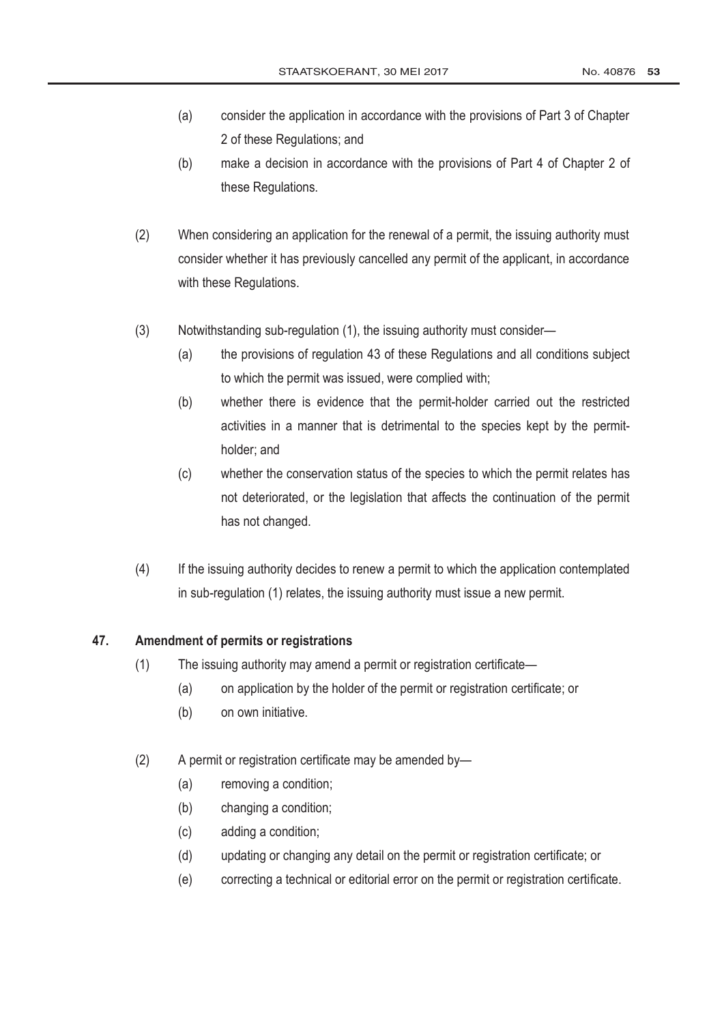- (a) consider the application in accordance with the provisions of Part 3 of Chapter 2 of these Regulations; and
- (b) make a decision in accordance with the provisions of Part 4 of Chapter 2 of these Regulations.
- (2) When considering an application for the renewal of a permit, the issuing authority must consider whether it has previously cancelled any permit of the applicant, in accordance with these Regulations.
- (3) Notwithstanding sub-regulation (1), the issuing authority must consider—
	- (a) the provisions of regulation 43 of these Regulations and all conditions subject to which the permit was issued, were complied with;
	- (b) whether there is evidence that the permit-holder carried out the restricted activities in a manner that is detrimental to the species kept by the permitholder; and
	- (c) whether the conservation status of the species to which the permit relates has not deteriorated, or the legislation that affects the continuation of the permit has not changed.
- (4) If the issuing authority decides to renew a permit to which the application contemplated in sub-regulation (1) relates, the issuing authority must issue a new permit.

#### **47. Amendment of permits or registrations**

- (1) The issuing authority may amend a permit or registration certificate—
	- (a) on application by the holder of the permit or registration certificate; or
	- (b) on own initiative.
- (2) A permit or registration certificate may be amended by—
	- (a) removing a condition;
	- (b) changing a condition;
	- (c) adding a condition;
	- (d) updating or changing any detail on the permit or registration certificate; or
	- (e) correcting a technical or editorial error on the permit or registration certificate.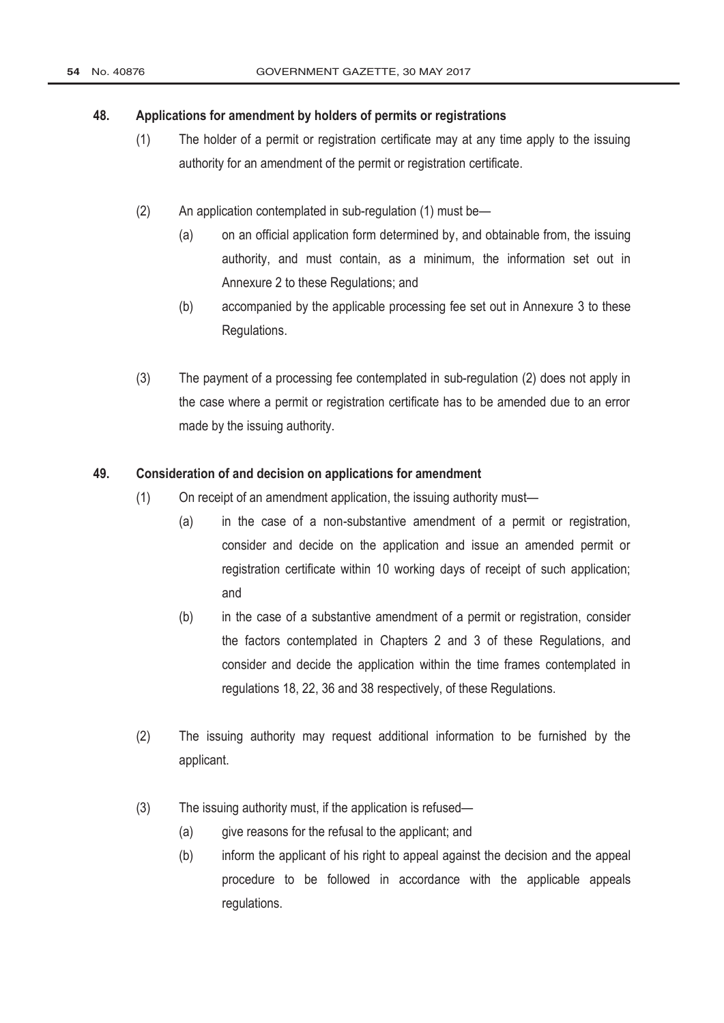#### **48. Applications for amendment by holders of permits or registrations**

- (1) The holder of a permit or registration certificate may at any time apply to the issuing authority for an amendment of the permit or registration certificate.
- (2) An application contemplated in sub-regulation (1) must be—
	- (a) on an official application form determined by, and obtainable from, the issuing authority, and must contain, as a minimum, the information set out in Annexure 2 to these Regulations; and
	- (b) accompanied by the applicable processing fee set out in Annexure 3 to these Regulations.
- (3) The payment of a processing fee contemplated in sub-regulation (2) does not apply in the case where a permit or registration certificate has to be amended due to an error made by the issuing authority.

### **49. Consideration of and decision on applications for amendment**

- (1) On receipt of an amendment application, the issuing authority must—
	- (a) in the case of a non-substantive amendment of a permit or registration, consider and decide on the application and issue an amended permit or registration certificate within 10 working days of receipt of such application; and
	- (b) in the case of a substantive amendment of a permit or registration, consider the factors contemplated in Chapters 2 and 3 of these Regulations, and consider and decide the application within the time frames contemplated in regulations 18, 22, 36 and 38 respectively, of these Regulations.
- (2) The issuing authority may request additional information to be furnished by the applicant.
- (3) The issuing authority must, if the application is refused—
	- (a) give reasons for the refusal to the applicant; and
	- (b) inform the applicant of his right to appeal against the decision and the appeal procedure to be followed in accordance with the applicable appeals regulations.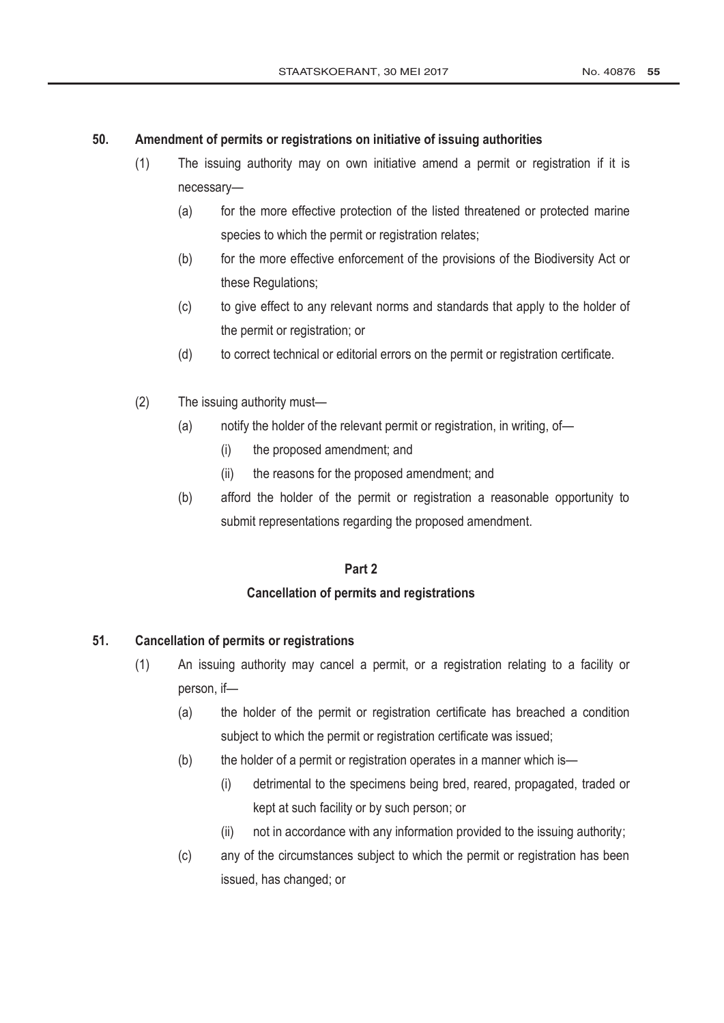### **50. Amendment of permits or registrations on initiative of issuing authorities**

- (1) The issuing authority may on own initiative amend a permit or registration if it is necessary—
	- (a) for the more effective protection of the listed threatened or protected marine species to which the permit or registration relates;
	- (b) for the more effective enforcement of the provisions of the Biodiversity Act or these Regulations;
	- (c) to give effect to any relevant norms and standards that apply to the holder of the permit or registration; or
	- (d) to correct technical or editorial errors on the permit or registration certificate.
- (2) The issuing authority must—
	- (a) notify the holder of the relevant permit or registration, in writing, of—
		- (i) the proposed amendment; and
		- (ii) the reasons for the proposed amendment; and
	- (b) afford the holder of the permit or registration a reasonable opportunity to submit representations regarding the proposed amendment.

### **Part 2**

#### **Cancellation of permits and registrations**

#### **51. Cancellation of permits or registrations**

- (1) An issuing authority may cancel a permit, or a registration relating to a facility or person, if—
	- (a) the holder of the permit or registration certificate has breached a condition subject to which the permit or registration certificate was issued;
	- (b) the holder of a permit or registration operates in a manner which is—
		- (i) detrimental to the specimens being bred, reared, propagated, traded or kept at such facility or by such person; or
		- (ii) not in accordance with any information provided to the issuing authority;
	- (c) any of the circumstances subject to which the permit or registration has been issued, has changed; or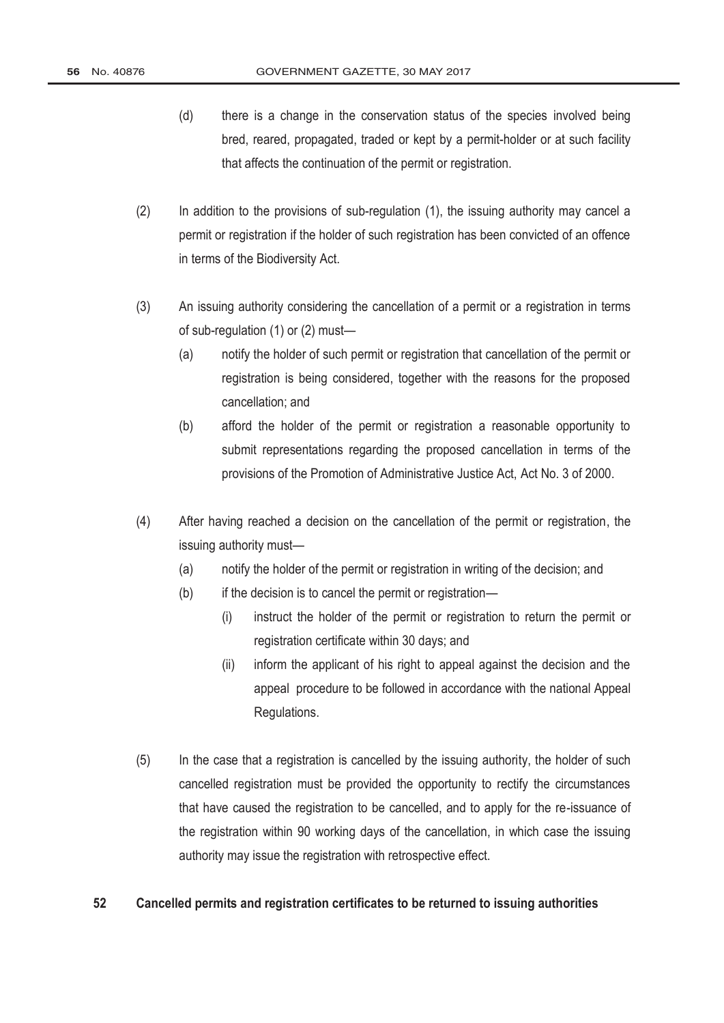- (d) there is a change in the conservation status of the species involved being bred, reared, propagated, traded or kept by a permit-holder or at such facility that affects the continuation of the permit or registration.
- (2) In addition to the provisions of sub-regulation (1), the issuing authority may cancel a permit or registration if the holder of such registration has been convicted of an offence in terms of the Biodiversity Act.
- (3) An issuing authority considering the cancellation of a permit or a registration in terms of sub-regulation (1) or (2) must—
	- (a) notify the holder of such permit or registration that cancellation of the permit or registration is being considered, together with the reasons for the proposed cancellation; and
	- (b) afford the holder of the permit or registration a reasonable opportunity to submit representations regarding the proposed cancellation in terms of the provisions of the [Promotion of Administrative Justice Act,](http://www.greengazette.co.za/acts/promotion-of-administrative-justice-act_2000-003) Act No. 3 of 2000.
- (4) After having reached a decision on the cancellation of the permit or registration, the issuing authority must—
	- (a) notify the holder of the permit or registration in writing of the decision; and
	- (b) if the decision is to cancel the permit or registration—
		- (i) instruct the holder of the permit or registration to return the permit or registration certificate within 30 days; and
		- (ii) inform the applicant of his right to appeal against the decision and the appeal procedure to be followed in accordance with the national Appeal Regulations.
- (5) In the case that a registration is cancelled by the issuing authority, the holder of such cancelled registration must be provided the opportunity to rectify the circumstances that have caused the registration to be cancelled, and to apply for the re-issuance of the registration within 90 working days of the cancellation, in which case the issuing authority may issue the registration with retrospective effect.

#### **52 Cancelled permits and registration certificates to be returned to issuing authorities**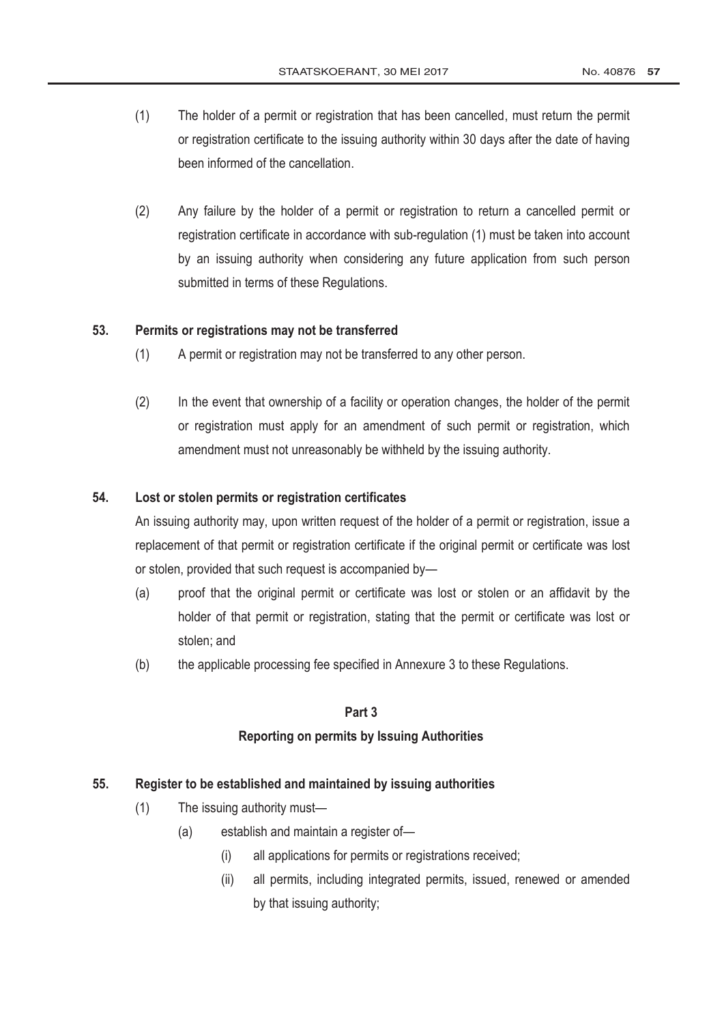- (1) The holder of a permit or registration that has been cancelled, must return the permit or registration certificate to the issuing authority within 30 days after the date of having been informed of the cancellation.
- (2) Any failure by the holder of a permit or registration to return a cancelled permit or registration certificate in accordance with sub-regulation (1) must be taken into account by an issuing authority when considering any future application from such person submitted in terms of these Regulations.

#### **53. Permits or registrations may not be transferred**

- (1) A permit or registration may not be transferred to any other person.
- (2) In the event that ownership of a facility or operation changes, the holder of the permit or registration must apply for an amendment of such permit or registration, which amendment must not unreasonably be withheld by the issuing authority.

#### **54. Lost or stolen permits or registration certificates**

An issuing authority may, upon written request of the holder of a permit or registration, issue a replacement of that permit or registration certificate if the original permit or certificate was lost or stolen, provided that such request is accompanied by—

- (a) proof that the original permit or certificate was lost or stolen or an affidavit by the holder of that permit or registration, stating that the permit or certificate was lost or stolen; and
- (b) the applicable processing fee specified in Annexure 3 to these Regulations.

#### **Part 3**

#### **Reporting on permits by Issuing Authorities**

#### **55. Register to be established and maintained by issuing authorities**

- (1) The issuing authority must—
	- (a) establish and maintain a register of—
		- (i) all applications for permits or registrations received;
		- (ii) all permits, including integrated permits, issued, renewed or amended by that issuing authority;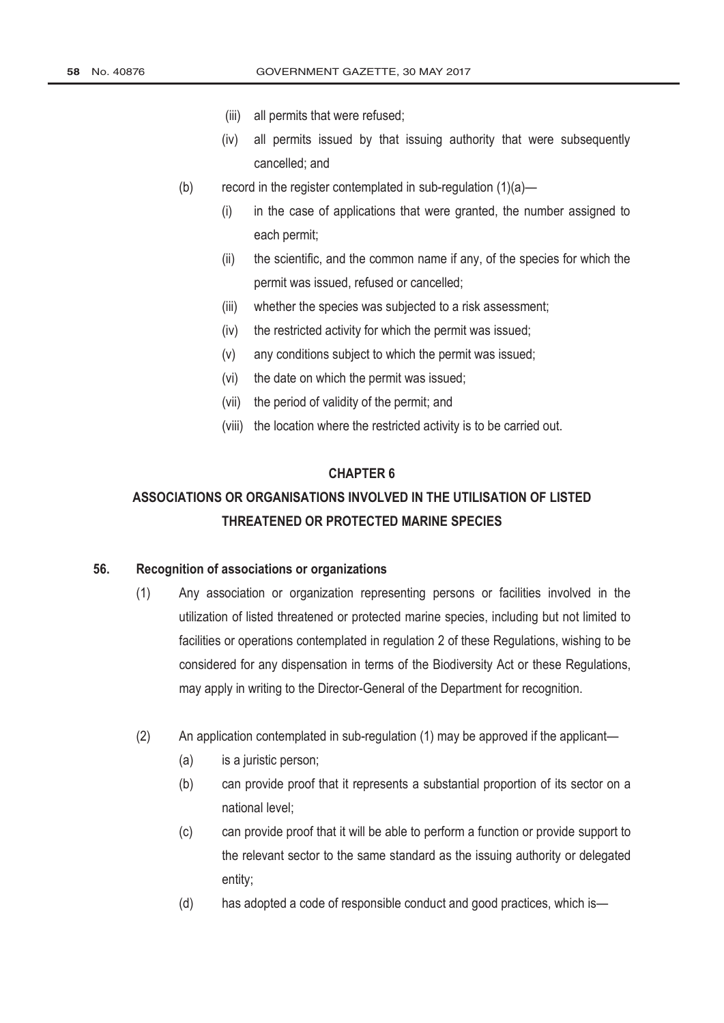- (iii) all permits that were refused;
- (iv) all permits issued by that issuing authority that were subsequently cancelled; and
- (b) record in the register contemplated in sub-regulation  $(1)(a)$ 
	- (i) in the case of applications that were granted, the number assigned to each permit;
	- (ii) the scientific, and the common name if any, of the species for which the permit was issued, refused or cancelled;
	- (iii) whether the species was subjected to a risk assessment;
	- (iv) the restricted activity for which the permit was issued;
	- (v) any conditions subject to which the permit was issued;
	- (vi) the date on which the permit was issued;
	- (vii) the period of validity of the permit; and
	- (viii) the location where the restricted activity is to be carried out.

#### **CHAPTER 6**

# **ASSOCIATIONS OR ORGANISATIONS INVOLVED IN THE UTILISATION OF LISTED THREATENED OR PROTECTED MARINE SPECIES**

#### **56. Recognition of associations or organizations**

- (1) Any association or organization representing persons or facilities involved in the utilization of listed threatened or protected marine species, including but not limited to facilities or operations contemplated in regulation 2 of these Regulations, wishing to be considered for any dispensation in terms of the Biodiversity Act or these Regulations, may apply in writing to the Director-General of the Department for recognition.
- (2) An application contemplated in sub-regulation (1) may be approved if the applicant—
	- (a) is a juristic person;
	- (b) can provide proof that it represents a substantial proportion of its sector on a national level;
	- (c) can provide proof that it will be able to perform a function or provide support to the relevant sector to the same standard as the issuing authority or delegated entity;
	- (d) has adopted a code of responsible conduct and good practices, which is—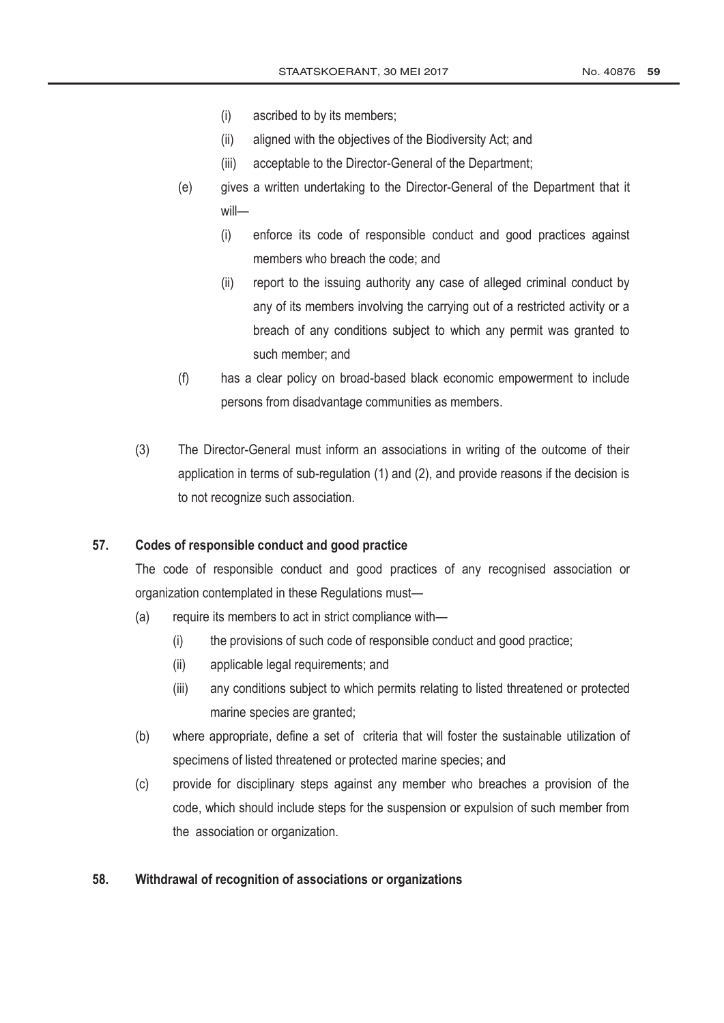- (i) ascribed to by its members;
- (ii) aligned with the objectives of the Biodiversity Act; and
- (iii) acceptable to the Director-General of the Department;
- (e) gives a written undertaking to the Director-General of the Department that it will—
	- (i) enforce its code of responsible conduct and good practices against members who breach the code; and
	- (ii) report to the issuing authority any case of alleged criminal conduct by any of its members involving the carrying out of a restricted activity or a breach of any conditions subject to which any permit was granted to such member; and
- (f) has a clear policy on broad-based black economic empowerment to include persons from disadvantage communities as members.
- (3) The Director-General must inform an associations in writing of the outcome of their application in terms of sub-regulation (1) and (2), and provide reasons if the decision is to not recognize such association.

### **57. Codes of responsible conduct and good practice**

The code of responsible conduct and good practices of any recognised association or organization contemplated in these Regulations must—

- (a) require its members to act in strict compliance with—
	- (i) the provisions of such code of responsible conduct and good practice;
	- (ii) applicable legal requirements; and
	- (iii) any conditions subject to which permits relating to listed threatened or protected marine species are granted;
- (b) where appropriate, define a set of criteria that will foster the sustainable utilization of specimens of listed threatened or protected marine species; and
- (c) provide for disciplinary steps against any member who breaches a provision of the code, which should include steps for the suspension or expulsion of such member from the association or organization.

#### **58. Withdrawal of recognition of associations or organizations**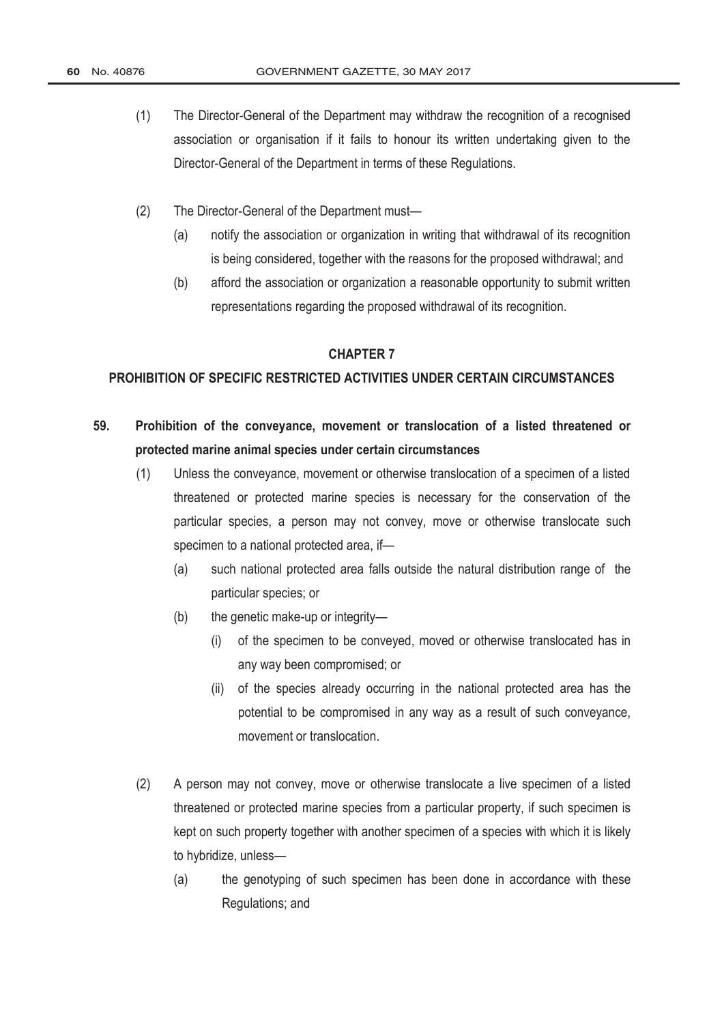- (1) The Director-General of the Department may withdraw the recognition of a recognised association or organisation if it fails to honour its written undertaking given to the Director-General of the Department in terms of these Regulations.
- (2) The Director-General of the Department must—
	- (a) notify the association or organization in writing that withdrawal of its recognition is being considered, together with the reasons for the proposed withdrawal; and
	- (b) afford the association or organization a reasonable opportunity to submit written representations regarding the proposed withdrawal of its recognition.

#### **CHAPTER 7**

#### **PROHIBITION OF SPECIFIC RESTRICTED ACTIVITIES UNDER CERTAIN CIRCUMSTANCES**

- **59. Prohibition of the conveyance, movement or translocation of a listed threatened or protected marine animal species under certain circumstances**
	- (1) Unless the conveyance, movement or otherwise translocation of a specimen of a listed threatened or protected marine species is necessary for the conservation of the particular species, a person may not convey, move or otherwise translocate such specimen to a national protected area, if—
		- (a) such national protected area falls outside the natural distribution range of the particular species; or
		- (b) the genetic make-up or integrity—
			- (i) of the specimen to be conveyed, moved or otherwise translocated has in any way been compromised; or
			- (ii) of the species already occurring in the national protected area has the potential to be compromised in any way as a result of such conveyance, movement or translocation.
	- (2) A person may not convey, move or otherwise translocate a live specimen of a listed threatened or protected marine species from a particular property, if such specimen is kept on such property together with another specimen of a species with which it is likely to hybridize, unless—
		- (a) the genotyping of such specimen has been done in accordance with these Regulations; and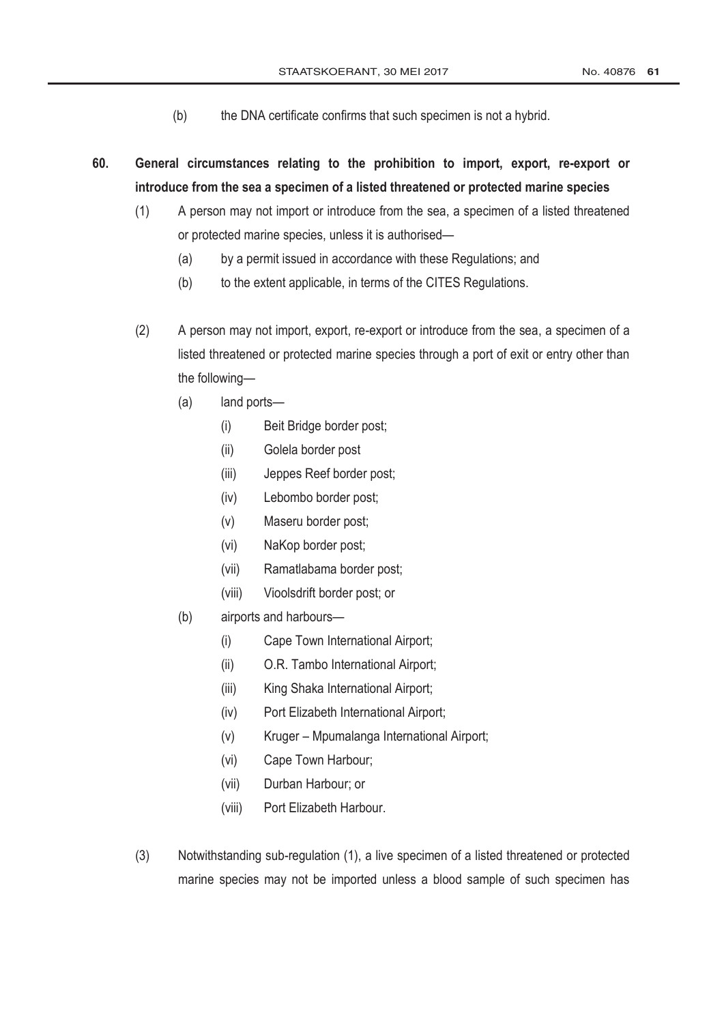- (b) the DNA certificate confirms that such specimen is not a hybrid.
- **60. General circumstances relating to the prohibition to import, export, re-export or introduce from the sea a specimen of a listed threatened or protected marine species** 
	- (1) A person may not import or introduce from the sea, a specimen of a listed threatened or protected marine species, unless it is authorised—
		- (a) by a permit issued in accordance with these Regulations; and
		- (b) to the extent applicable, in terms of the CITES Regulations.
	- (2) A person may not import, export, re-export or introduce from the sea, a specimen of a listed threatened or protected marine species through a port of exit or entry other than the following—
		- (a) land ports—
			- (i) Beit Bridge border post;
			- (ii) Golela border post
			- (iii) Jeppes Reef border post;
			- (iv) Lebombo border post;
			- (v) Maseru border post;
			- (vi) NaKop border post;
			- (vii) Ramatlabama border post;
			- (viii) Vioolsdrift border post; or
		- (b) airports and harbours—
			- (i) Cape Town International Airport;
			- (ii) O.R. Tambo International Airport;
			- (iii) King Shaka International Airport;
			- (iv) Port Elizabeth International Airport;
			- (v) Kruger Mpumalanga International Airport;
			- (vi) Cape Town Harbour;
			- (vii) Durban Harbour; or
			- (viii) Port Elizabeth Harbour.
	- (3) Notwithstanding sub-regulation (1), a live specimen of a listed threatened or protected marine species may not be imported unless a blood sample of such specimen has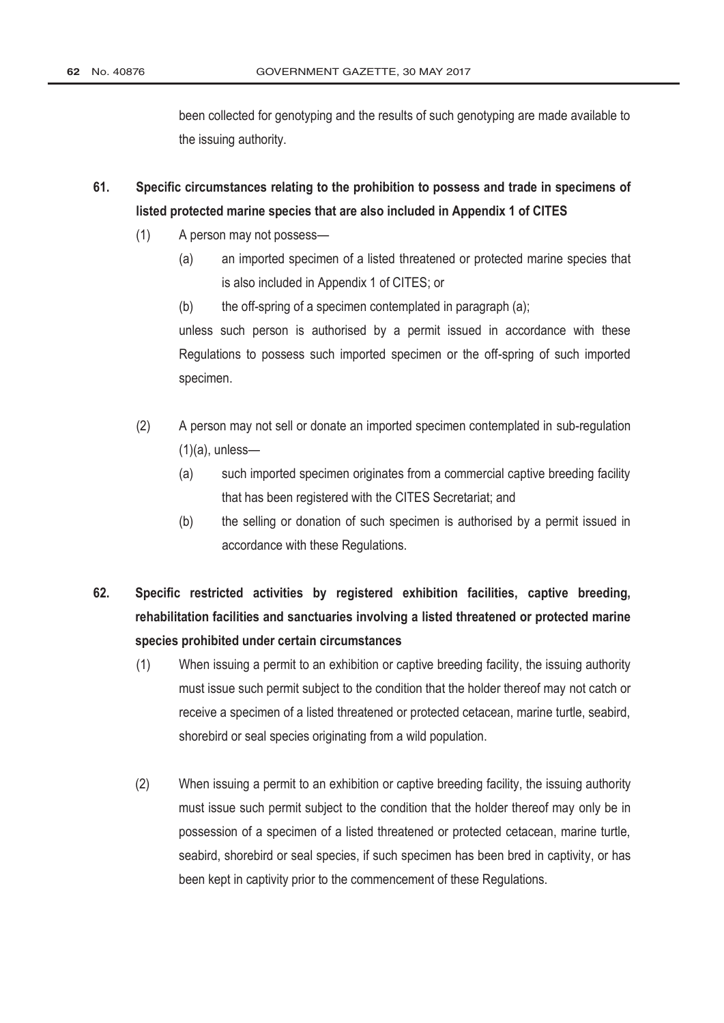been collected for genotyping and the results of such genotyping are made available to the issuing authority.

- **61. Specific circumstances relating to the prohibition to possess and trade in specimens of listed protected marine species that are also included in Appendix 1 of CITES**
	- (1) A person may not possess—
		- (a) an imported specimen of a listed threatened or protected marine species that is also included in Appendix 1 of CITES; or
		- $(b)$  the off-spring of a specimen contemplated in paragraph  $(a)$ ;

unless such person is authorised by a permit issued in accordance with these Regulations to possess such imported specimen or the off-spring of such imported specimen.

- (2) A person may not sell or donate an imported specimen contemplated in sub-regulation  $(1)(a)$ , unless-
	- (a) such imported specimen originates from a commercial captive breeding facility that has been registered with the CITES Secretariat; and
	- (b) the selling or donation of such specimen is authorised by a permit issued in accordance with these Regulations.
- **62. Specific restricted activities by registered exhibition facilities, captive breeding, rehabilitation facilities and sanctuaries involving a listed threatened or protected marine species prohibited under certain circumstances**
	- (1) When issuing a permit to an exhibition or captive breeding facility, the issuing authority must issue such permit subject to the condition that the holder thereof may not catch or receive a specimen of a listed threatened or protected cetacean, marine turtle, seabird, shorebird or seal species originating from a wild population.
	- (2) When issuing a permit to an exhibition or captive breeding facility, the issuing authority must issue such permit subject to the condition that the holder thereof may only be in possession of a specimen of a listed threatened or protected cetacean, marine turtle, seabird, shorebird or seal species, if such specimen has been bred in captivity, or has been kept in captivity prior to the commencement of these Regulations.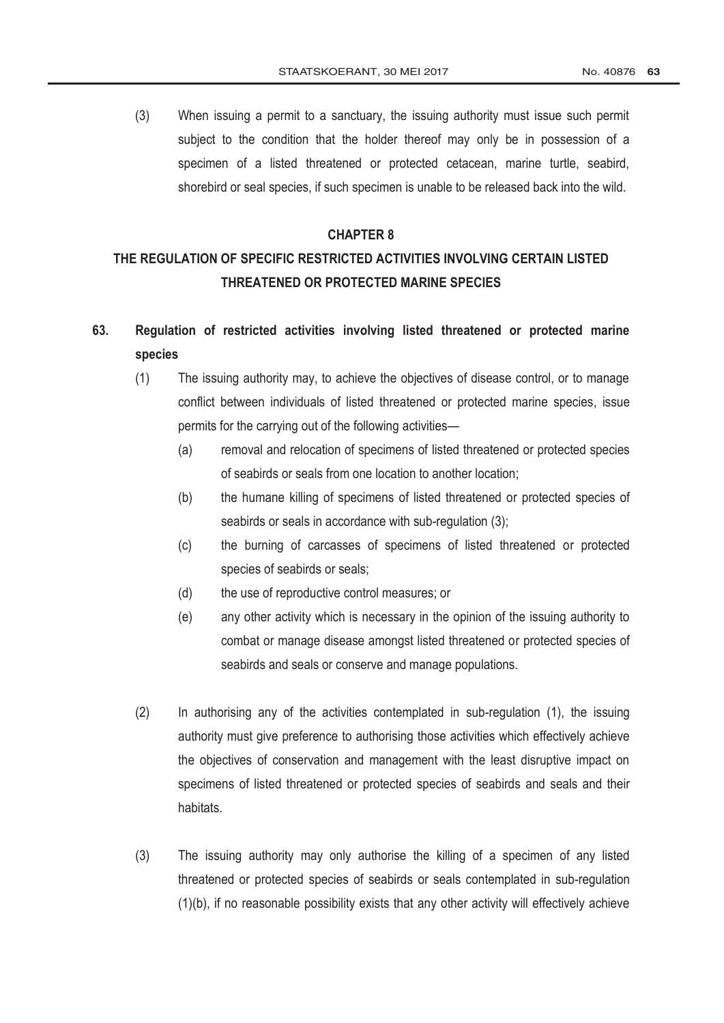(3) When issuing a permit to a sanctuary, the issuing authority must issue such permit subject to the condition that the holder thereof may only be in possession of a specimen of a listed threatened or protected cetacean, marine turtle, seabird, shorebird or seal species, if such specimen is unable to be released back into the wild.

#### **CHAPTER 8**

# **THE REGULATION OF SPECIFIC RESTRICTED ACTIVITIES INVOLVING CERTAIN LISTED THREATENED OR PROTECTED MARINE SPECIES**

# **63. Regulation of restricted activities involving listed threatened or protected marine species**

- (1) The issuing authority may, to achieve the objectives of disease control, or to manage conflict between individuals of listed threatened or protected marine species, issue permits for the carrying out of the following activities—
	- (a) removal and relocation of specimens of listed threatened or protected species of seabirds or seals from one location to another location;
	- (b) the humane killing of specimens of listed threatened or protected species of seabirds or seals in accordance with sub-regulation (3);
	- (c) the burning of carcasses of specimens of listed threatened or protected species of seabirds or seals;
	- (d) the use of reproductive control measures; or
	- (e) any other activity which is necessary in the opinion of the issuing authority to combat or manage disease amongst listed threatened or protected species of seabirds and seals or conserve and manage populations.
- (2) In authorising any of the activities contemplated in sub-regulation (1), the issuing authority must give preference to authorising those activities which effectively achieve the objectives of conservation and management with the least disruptive impact on specimens of listed threatened or protected species of seabirds and seals and their habitats.
- (3) The issuing authority may only authorise the killing of a specimen of any listed threatened or protected species of seabirds or seals contemplated in sub-regulation (1)(b), if no reasonable possibility exists that any other activity will effectively achieve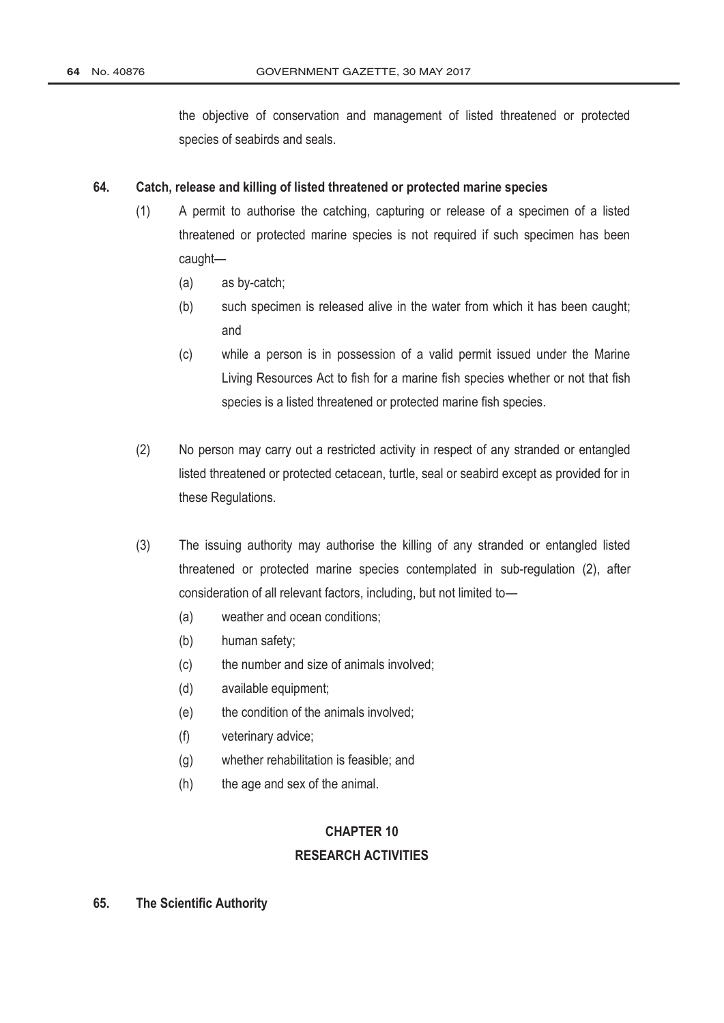the objective of conservation and management of listed threatened or protected species of seabirds and seals.

#### **64. Catch, release and killing of listed threatened or protected marine species**

- (1) A permit to authorise the catching, capturing or release of a specimen of a listed threatened or protected marine species is not required if such specimen has been caught—
	- (a) as by-catch;
	- (b) such specimen is released alive in the water from which it has been caught; and
	- (c) while a person is in possession of a valid permit issued under the [Marine](http://www.greengazette.co.za/acts/marine-living-resources-act_1998-018) [Living Resources Act](http://www.greengazette.co.za/acts/marine-living-resources-act_1998-018) to fish for a marine fish species whether or not that fish species is a listed threatened or protected marine fish species.
- (2) No person may carry out a restricted activity in respect of any stranded or entangled listed threatened or protected cetacean, turtle, seal or seabird except as provided for in these Regulations.
- (3) The issuing authority may authorise the killing of any stranded or entangled listed threatened or protected marine species contemplated in sub-regulation (2), after consideration of all relevant factors, including, but not limited to—
	- (a) weather and ocean conditions;
	- (b) human safety;
	- (c) the number and size of animals involved;
	- (d) available equipment;
	- (e) the condition of the animals involved;
	- (f) veterinary advice;
	- (g) whether rehabilitation is feasible; and
	- (h) the age and sex of the animal.

# **CHAPTER 10 RESEARCH ACTIVITIES**

#### **65. The Scientific Authority**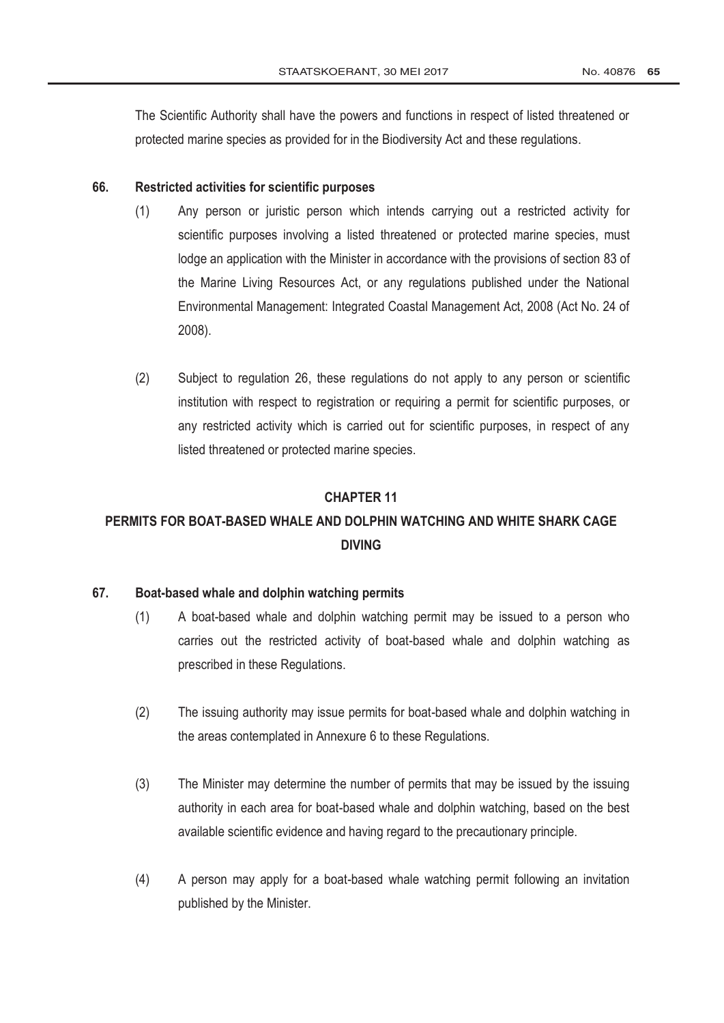The Scientific Authority shall have the powers and functions in respect of listed threatened or protected marine species as provided for in the Biodiversity Act and these regulations.

#### **66. Restricted activities for scientific purposes**

- (1) Any person or juristic person which intends carrying out a restricted activity for scientific purposes involving a listed threatened or protected marine species, must lodge an application with the Minister in accordance with the provisions of section 83 of the [Marine Living Resources Act,](http://www.greengazette.co.za/acts/marine-living-resources-act_1998-018) or any regulations published under the National Environmental Management: Integrated Coastal Management Act, 2008 (Act No. 24 of 2008).
- (2) Subject to regulation 26, these regulations do not apply to any person or scientific institution with respect to registration or requiring a permit for scientific purposes, or any restricted activity which is carried out for scientific purposes, in respect of any listed threatened or protected marine species.

#### **CHAPTER 11**

# **PERMITS FOR BOAT-BASED WHALE AND DOLPHIN WATCHING AND WHITE SHARK CAGE DIVING**

### **67. Boat-based whale and dolphin watching permits**

- (1) A boat-based whale and dolphin watching permit may be issued to a person who carries out the restricted activity of boat-based whale and dolphin watching as prescribed in these Regulations.
- (2) The issuing authority may issue permits for boat-based whale and dolphin watching in the areas contemplated in Annexure 6 to these Regulations.
- (3) The Minister may determine the number of permits that may be issued by the issuing authority in each area for boat-based whale and dolphin watching, based on the best available scientific evidence and having regard to the precautionary principle.
- (4) A person may apply for a boat-based whale watching permit following an invitation published by the Minister.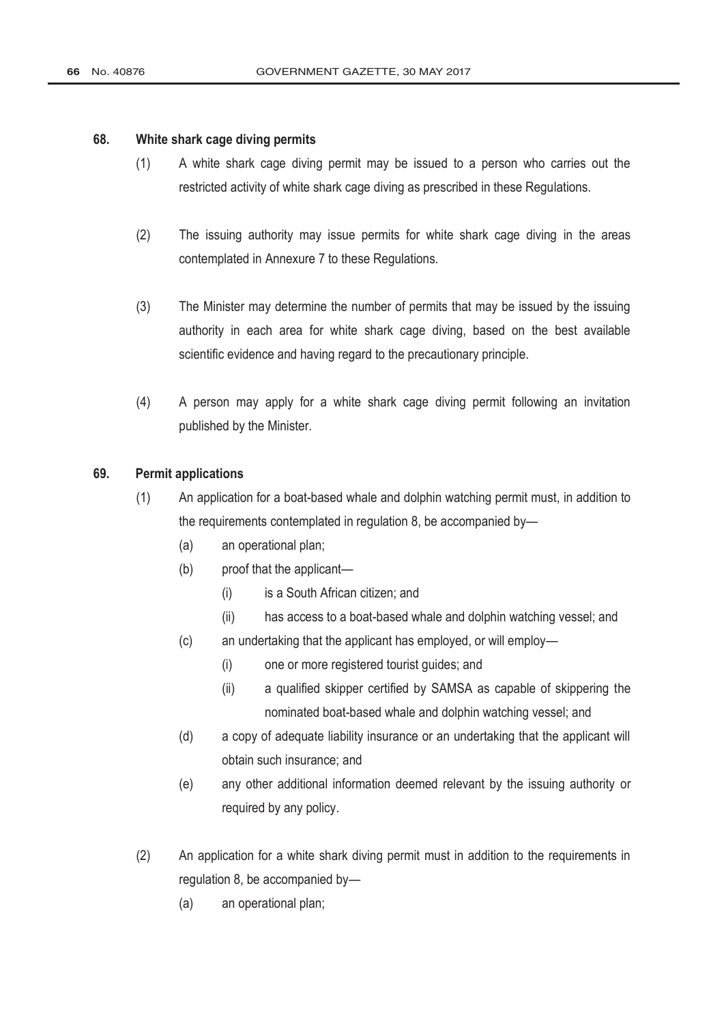#### **68. White shark cage diving permits**

- (1) A white shark cage diving permit may be issued to a person who carries out the restricted activity of white shark cage diving as prescribed in these Regulations.
- (2) The issuing authority may issue permits for white shark cage diving in the areas contemplated in Annexure 7 to these Regulations.
- (3) The Minister may determine the number of permits that may be issued by the issuing authority in each area for white shark cage diving, based on the best available scientific evidence and having regard to the precautionary principle.
- (4) A person may apply for a white shark cage diving permit following an invitation published by the Minister.

#### **69. Permit applications**

- (1) An application for a boat-based whale and dolphin watching permit must, in addition to the requirements contemplated in regulation 8, be accompanied by—
	- (a) an operational plan;
	- (b) proof that the applicant—
		- (i) is a South African citizen; and
		- (ii) has access to a boat-based whale and dolphin watching vessel; and
	- (c) an undertaking that the applicant has employed, or will employ—
		- (i) one or more registered tourist guides; and
		- (ii) a qualified skipper certified by SAMSA as capable of skippering the nominated boat-based whale and dolphin watching vessel; and
	- (d) a copy of adequate liability insurance or an undertaking that the applicant will obtain such insurance; and
	- (e) any other additional information deemed relevant by the issuing authority or required by any policy.
- (2) An application for a white shark diving permit must in addition to the requirements in regulation 8, be accompanied by—
	- (a) an operational plan;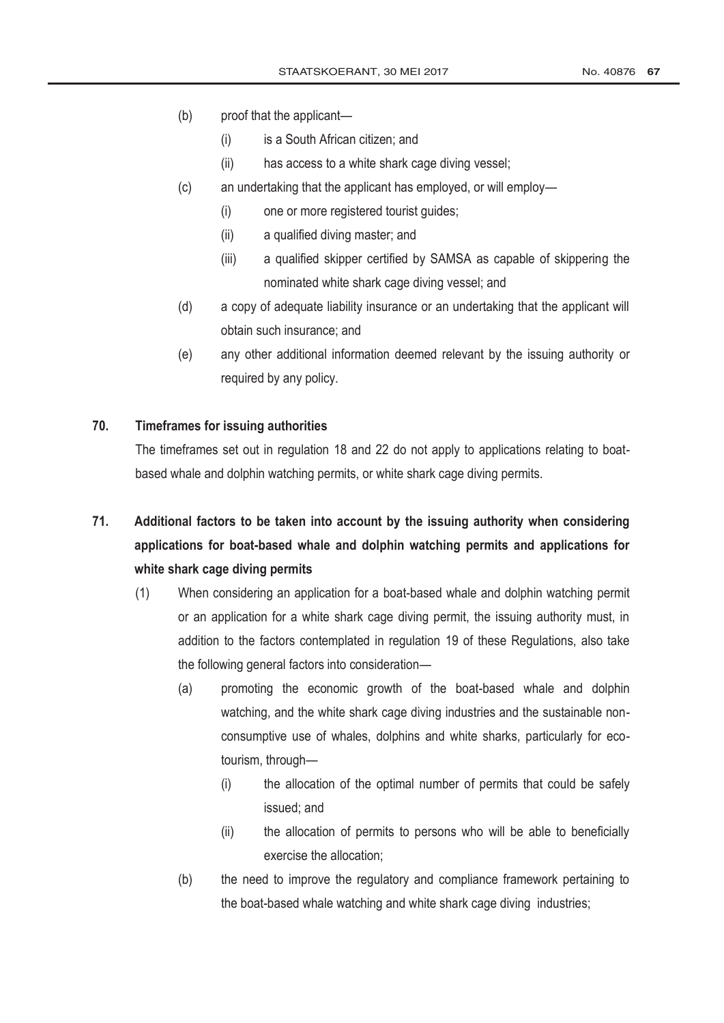- (b) proof that the applicant—
	- (i) is a South African citizen; and
	- (ii) has access to a white shark cage diving vessel;
- (c) an undertaking that the applicant has employed, or will employ—
	- (i) one or more registered tourist guides;
	- (ii) a qualified diving master; and
	- (iii) a qualified skipper certified by SAMSA as capable of skippering the nominated white shark cage diving vessel; and
- (d) a copy of adequate liability insurance or an undertaking that the applicant will obtain such insurance; and
- (e) any other additional information deemed relevant by the issuing authority or required by any policy.

#### **70. Timeframes for issuing authorities**

The timeframes set out in regulation 18 and 22 do not apply to applications relating to boatbased whale and dolphin watching permits, or white shark cage diving permits.

# **71. Additional factors to be taken into account by the issuing authority when considering applications for boat-based whale and dolphin watching permits and applications for white shark cage diving permits**

- (1) When considering an application for a boat-based whale and dolphin watching permit or an application for a white shark cage diving permit, the issuing authority must, in addition to the factors contemplated in regulation 19 of these Regulations, also take the following general factors into consideration—
	- (a) promoting the economic growth of the boat-based whale and dolphin watching, and the white shark cage diving industries and the sustainable nonconsumptive use of whales, dolphins and white sharks, particularly for ecotourism, through—
		- (i) the allocation of the optimal number of permits that could be safely issued; and
		- (ii) the allocation of permits to persons who will be able to beneficially exercise the allocation;
	- (b) the need to improve the regulatory and compliance framework pertaining to the boat-based whale watching and white shark cage diving industries;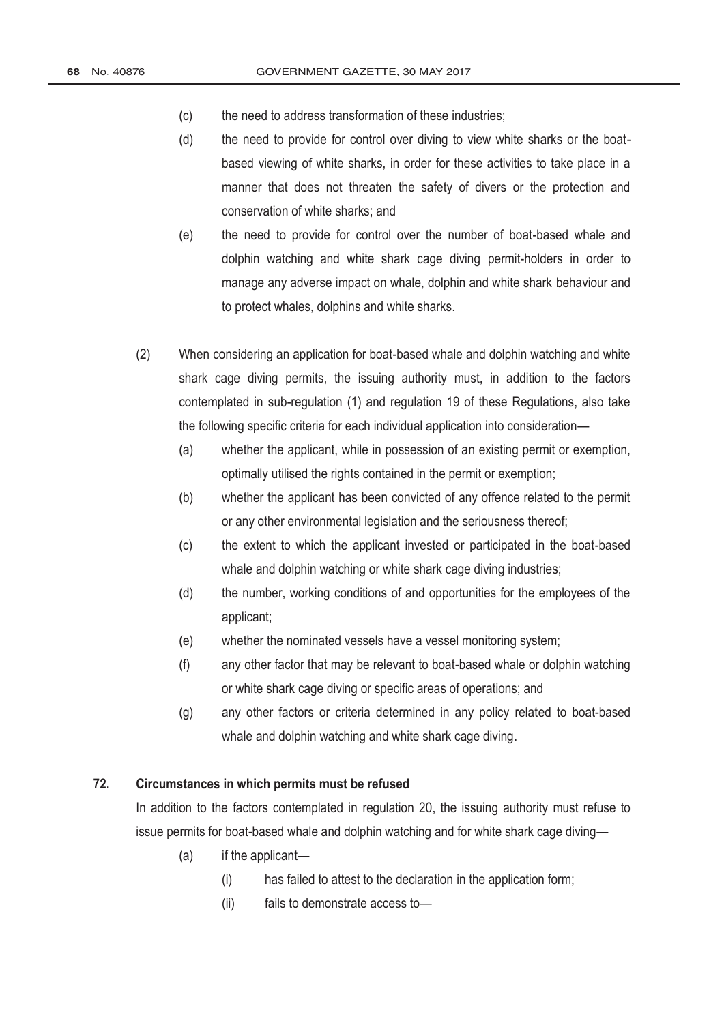- (c) the need to address transformation of these industries;
- (d) the need to provide for control over diving to view white sharks or the boatbased viewing of white sharks, in order for these activities to take place in a manner that does not threaten the safety of divers or the protection and conservation of white sharks; and
- (e) the need to provide for control over the number of boat-based whale and dolphin watching and white shark cage diving permit-holders in order to manage any adverse impact on whale, dolphin and white shark behaviour and to protect whales, dolphins and white sharks.
- (2) When considering an application for boat-based whale and dolphin watching and white shark cage diving permits, the issuing authority must, in addition to the factors contemplated in sub-regulation (1) and regulation 19 of these Regulations, also take the following specific criteria for each individual application into consideration—
	- (a) whether the applicant, while in possession of an existing permit or exemption, optimally utilised the rights contained in the permit or exemption;
	- (b) whether the applicant has been convicted of any offence related to the permit or any other environmental legislation and the seriousness thereof;
	- (c) the extent to which the applicant invested or participated in the boat-based whale and dolphin watching or white shark cage diving industries;
	- (d) the number, working conditions of and opportunities for the employees of the applicant;
	- (e) whether the nominated vessels have a vessel monitoring system;
	- (f) any other factor that may be relevant to boat-based whale or dolphin watching or white shark cage diving or specific areas of operations; and
	- (g) any other factors or criteria determined in any policy related to boat-based whale and dolphin watching and white shark cage diving.

# **72. Circumstances in which permits must be refused**

In addition to the factors contemplated in regulation 20, the issuing authority must refuse to issue permits for boat-based whale and dolphin watching and for white shark cage diving—

- (a) if the applicant—
	- (i) has failed to attest to the declaration in the application form;
	- (ii) fails to demonstrate access to—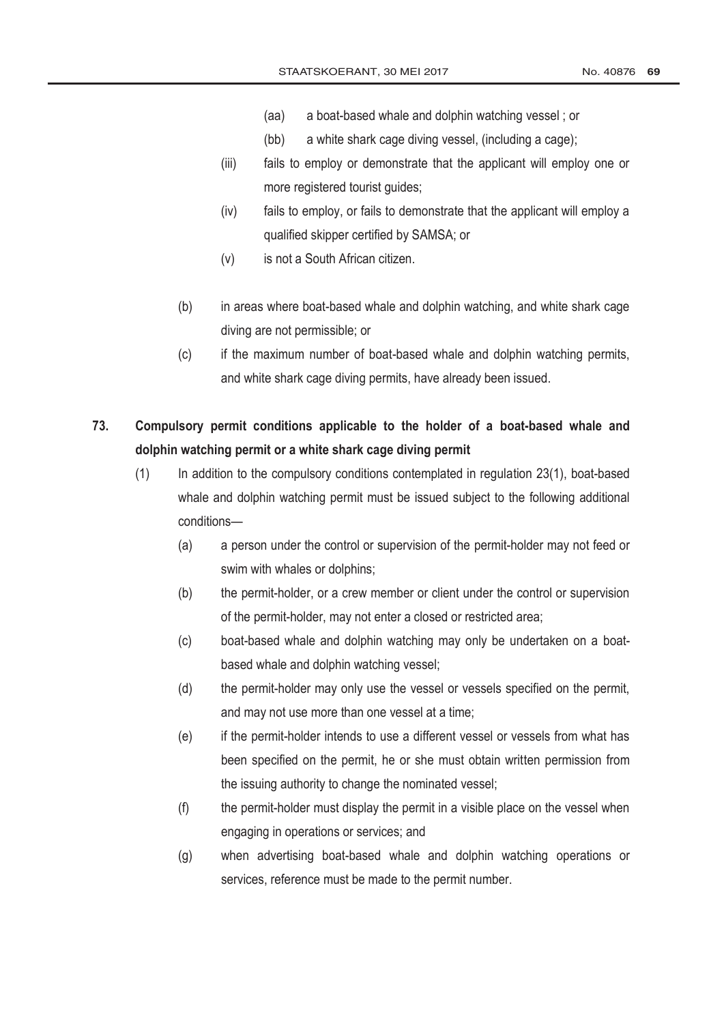- (aa) a boat-based whale and dolphin watching vessel ; or
- (bb) a white shark cage diving vessel, (including a cage);
- (iii) fails to employ or demonstrate that the applicant will employ one or more registered tourist guides;
- (iv) fails to employ, or fails to demonstrate that the applicant will employ a qualified skipper certified by SAMSA; or
- (v) is not a South African citizen.
- (b) in areas where boat-based whale and dolphin watching, and white shark cage diving are not permissible; or
- (c) if the maximum number of boat-based whale and dolphin watching permits, and white shark cage diving permits, have already been issued.
- **73. Compulsory permit conditions applicable to the holder of a boat-based whale and dolphin watching permit or a white shark cage diving permit**
	- (1) In addition to the compulsory conditions contemplated in regulation 23(1), boat-based whale and dolphin watching permit must be issued subject to the following additional conditions—
		- (a) a person under the control or supervision of the permit-holder may not feed or swim with whales or dolphins;
		- (b) the permit-holder, or a crew member or client under the control or supervision of the permit-holder, may not enter a closed or restricted area;
		- (c) boat-based whale and dolphin watching may only be undertaken on a boatbased whale and dolphin watching vessel;
		- (d) the permit-holder may only use the vessel or vessels specified on the permit, and may not use more than one vessel at a time;
		- (e) if the permit-holder intends to use a different vessel or vessels from what has been specified on the permit, he or she must obtain written permission from the issuing authority to change the nominated vessel;
		- (f) the permit-holder must display the permit in a visible place on the vessel when engaging in operations or services; and
		- (g) when advertising boat-based whale and dolphin watching operations or services, reference must be made to the permit number.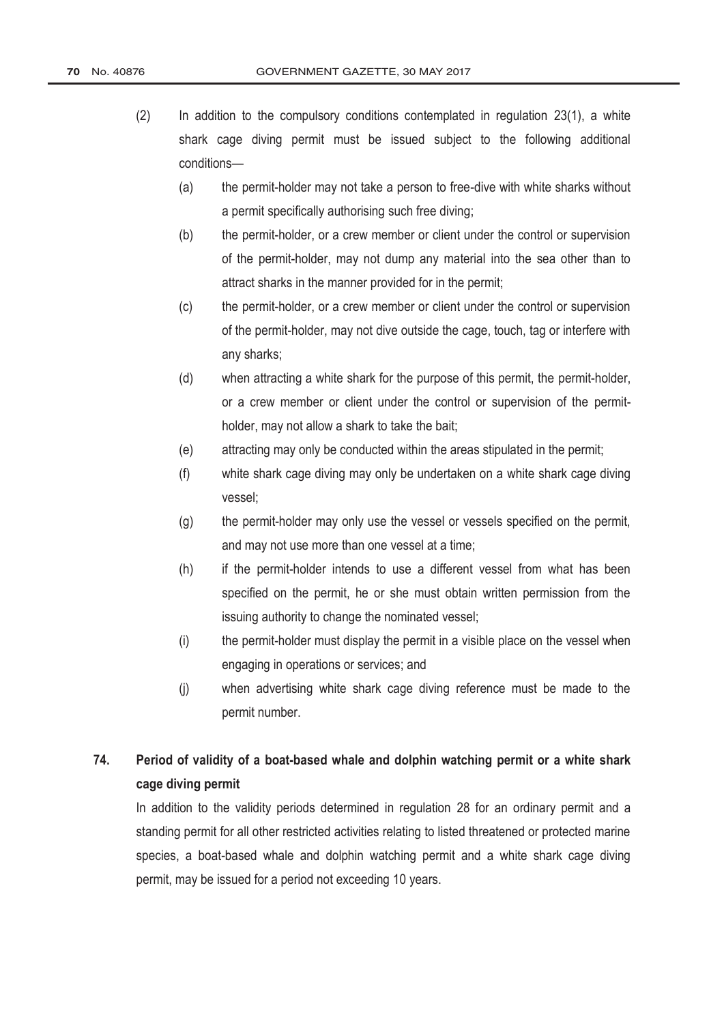- (2) In addition to the compulsory conditions contemplated in regulation 23(1), a white shark cage diving permit must be issued subject to the following additional conditions—
	- (a) the permit-holder may not take a person to free-dive with white sharks without a permit specifically authorising such free diving;
	- (b) the permit-holder, or a crew member or client under the control or supervision of the permit-holder, may not dump any material into the sea other than to attract sharks in the manner provided for in the permit;
	- (c) the permit-holder, or a crew member or client under the control or supervision of the permit-holder, may not dive outside the cage, touch, tag or interfere with any sharks;
	- (d) when attracting a white shark for the purpose of this permit, the permit-holder, or a crew member or client under the control or supervision of the permitholder, may not allow a shark to take the bait;
	- (e) attracting may only be conducted within the areas stipulated in the permit;
	- (f) white shark cage diving may only be undertaken on a white shark cage diving vessel;
	- (g) the permit-holder may only use the vessel or vessels specified on the permit, and may not use more than one vessel at a time;
	- (h) if the permit-holder intends to use a different vessel from what has been specified on the permit, he or she must obtain written permission from the issuing authority to change the nominated vessel;
	- (i) the permit-holder must display the permit in a visible place on the vessel when engaging in operations or services; and
	- (j) when advertising white shark cage diving reference must be made to the permit number.

# **74. Period of validity of a boat-based whale and dolphin watching permit or a white shark cage diving permit**

In addition to the validity periods determined in regulation 28 for an ordinary permit and a standing permit for all other restricted activities relating to listed threatened or protected marine species, a boat-based whale and dolphin watching permit and a white shark cage diving permit, may be issued for a period not exceeding 10 years.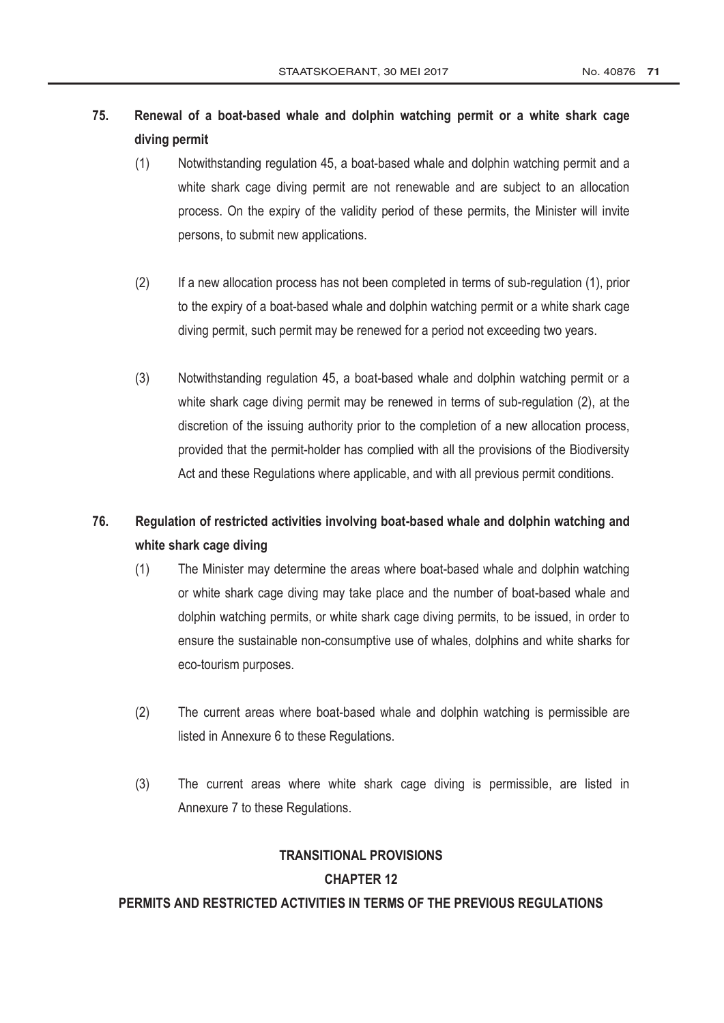# **75. Renewal of a boat-based whale and dolphin watching permit or a white shark cage diving permit**

- (1) Notwithstanding regulation 45, a boat-based whale and dolphin watching permit and a white shark cage diving permit are not renewable and are subject to an allocation process. On the expiry of the validity period of these permits, the Minister will invite persons, to submit new applications.
- (2) If a new allocation process has not been completed in terms of sub-regulation (1), prior to the expiry of a boat-based whale and dolphin watching permit or a white shark cage diving permit, such permit may be renewed for a period not exceeding two years.
- (3) Notwithstanding regulation 45, a boat-based whale and dolphin watching permit or a white shark cage diving permit may be renewed in terms of sub-regulation (2), at the discretion of the issuing authority prior to the completion of a new allocation process, provided that the permit-holder has complied with all the provisions of the Biodiversity Act and these Regulations where applicable, and with all previous permit conditions.

# **76. Regulation of restricted activities involving boat-based whale and dolphin watching and white shark cage diving**

- (1) The Minister may determine the areas where boat-based whale and dolphin watching or white shark cage diving may take place and the number of boat-based whale and dolphin watching permits, or white shark cage diving permits, to be issued, in order to ensure the sustainable non-consumptive use of whales, dolphins and white sharks for eco-tourism purposes.
- (2) The current areas where boat-based whale and dolphin watching is permissible are listed in Annexure 6 to these Regulations.
- (3) The current areas where white shark cage diving is permissible, are listed in Annexure 7 to these Regulations.

# **TRANSITIONAL PROVISIONS CHAPTER 12**

### **PERMITS AND RESTRICTED ACTIVITIES IN TERMS OF THE PREVIOUS REGULATIONS**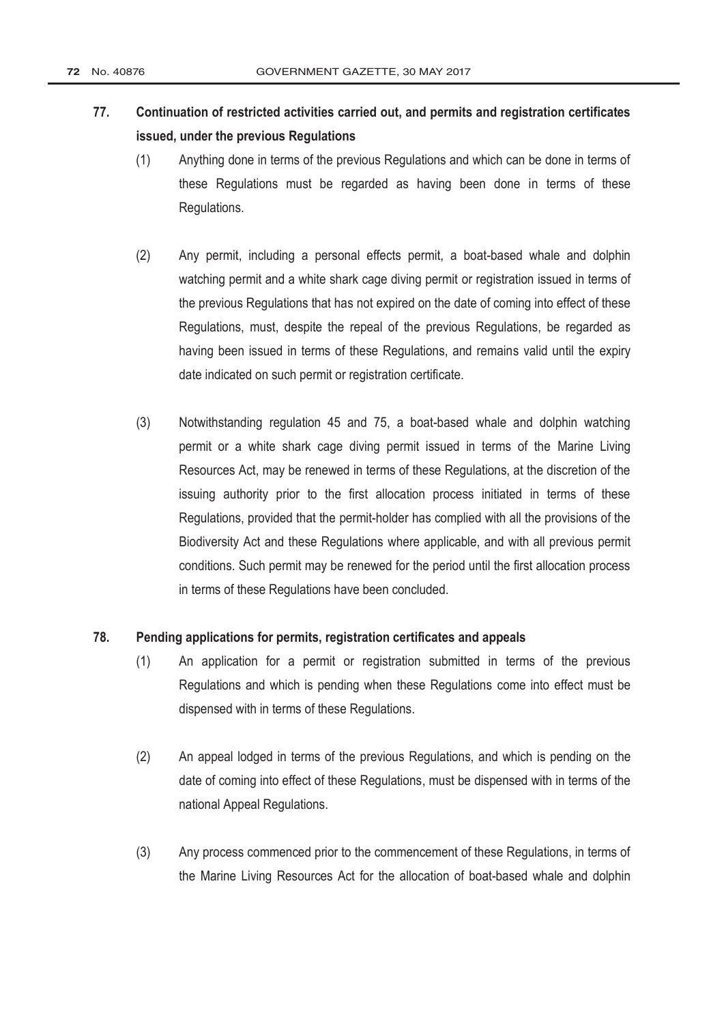# **77. Continuation of restricted activities carried out, and permits and registration certificates issued, under the previous Regulations**

- (1) Anything done in terms of the previous Regulations and which can be done in terms of these Regulations must be regarded as having been done in terms of these Regulations.
- (2) Any permit, including a personal effects permit, a boat-based whale and dolphin watching permit and a white shark cage diving permit or registration issued in terms of the previous Regulations that has not expired on the date of coming into effect of these Regulations, must, despite the repeal of the previous Regulations, be regarded as having been issued in terms of these Regulations, and remains valid until the expiry date indicated on such permit or registration certificate.
- (3) Notwithstanding regulation 45 and 75, a boat-based whale and dolphin watching permit or a white shark cage diving permit issued in terms of the [Marine Living](http://www.greengazette.co.za/acts/marine-living-resources-act_1998-018)  [Resources Act,](http://www.greengazette.co.za/acts/marine-living-resources-act_1998-018) may be renewed in terms of these Regulations, at the discretion of the issuing authority prior to the first allocation process initiated in terms of these Regulations, provided that the permit-holder has complied with all the provisions of the Biodiversity Act and these Regulations where applicable, and with all previous permit conditions. Such permit may be renewed for the period until the first allocation process in terms of these Regulations have been concluded.

### **78. Pending applications for permits, registration certificates and appeals**

- (1) An application for a permit or registration submitted in terms of the previous Regulations and which is pending when these Regulations come into effect must be dispensed with in terms of these Regulations.
- (2) An appeal lodged in terms of the previous Regulations, and which is pending on the date of coming into effect of these Regulations, must be dispensed with in terms of the national Appeal Regulations.
- (3) Any process commenced prior to the commencement of these Regulations, in terms of the Marine Living [Resources Act](http://www.greengazette.co.za/acts/marine-living-resources-act_1998-018) for the allocation of boat-based whale and dolphin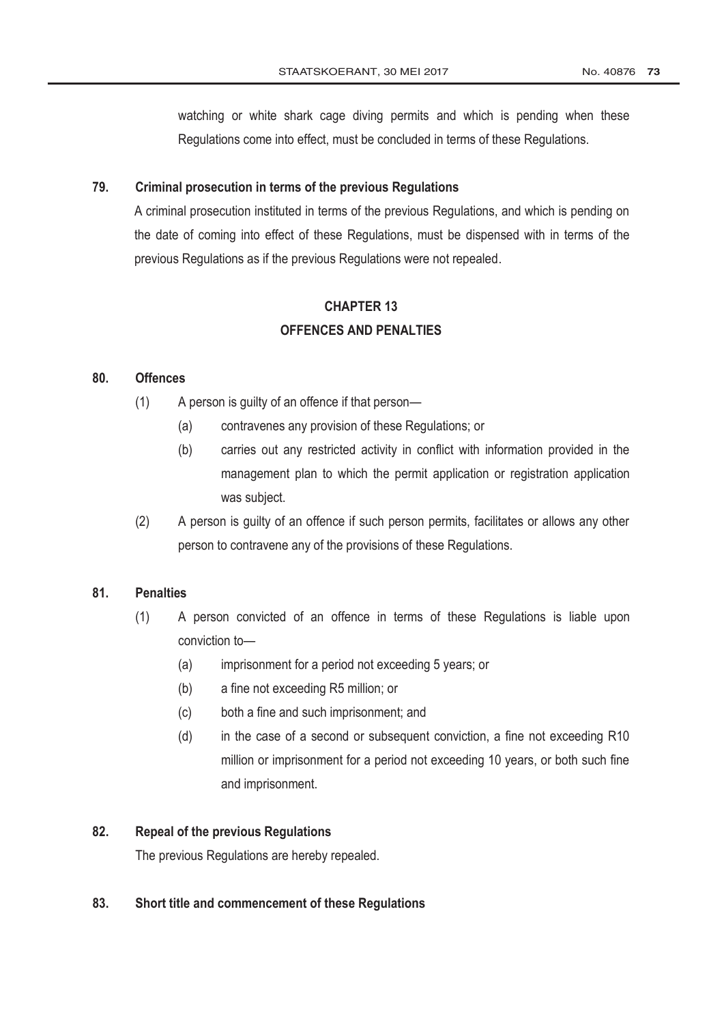watching or white shark cage diving permits and which is pending when these Regulations come into effect, must be concluded in terms of these Regulations.

### **79. Criminal prosecution in terms of the previous Regulations**

A criminal prosecution instituted in terms of the previous Regulations, and which is pending on the date of coming into effect of these Regulations, must be dispensed with in terms of the previous Regulations as if the previous Regulations were not repealed.

# **CHAPTER 13 OFFENCES AND PENALTIES**

#### **80. Offences**

- (1) A person is guilty of an offence if that person—
	- (a) contravenes any provision of these Regulations; or
	- (b) carries out any restricted activity in conflict with information provided in the management plan to which the permit application or registration application was subject.
- (2) A person is guilty of an offence if such person permits, facilitates or allows any other person to contravene any of the provisions of these Regulations.

### **81. Penalties**

- (1) A person convicted of an offence in terms of these Regulations is liable upon conviction to—
	- (a) imprisonment for a period not exceeding 5 years; or
	- (b) a fine not exceeding R5 million; or
	- (c) both a fine and such imprisonment; and
	- (d) in the case of a second or subsequent conviction, a fine not exceeding R10 million or imprisonment for a period not exceeding 10 years, or both such fine and imprisonment.

# **82. Repeal of the previous Regulations**

The previous Regulations are hereby repealed.

#### **83. Short title and commencement of these Regulations**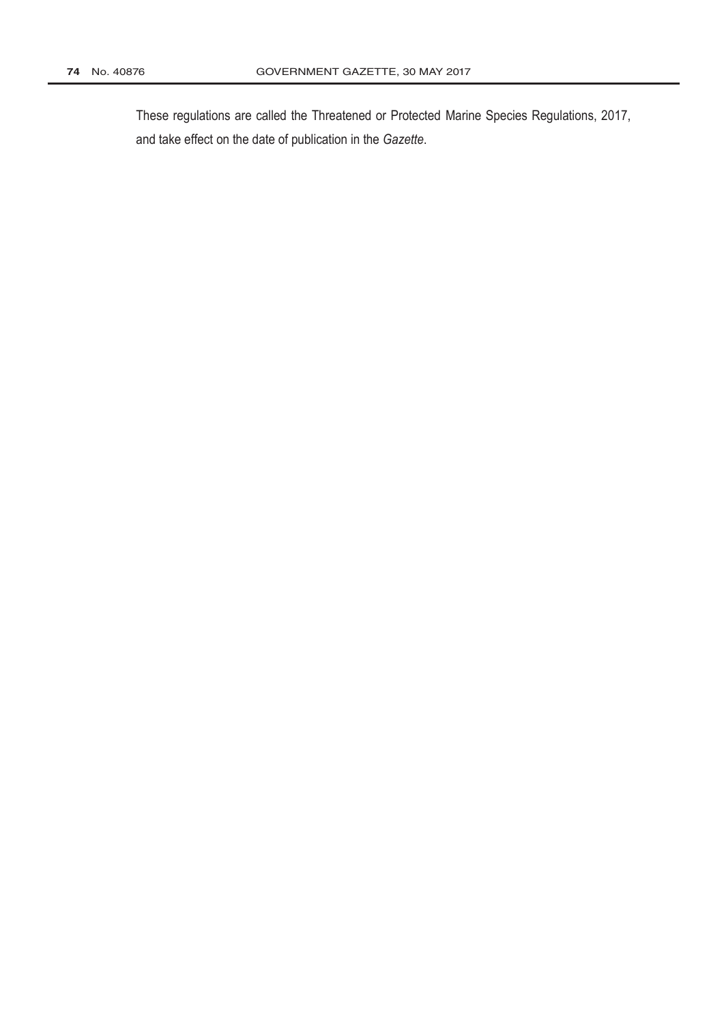These regulations are called the Threatened or Protected Marine Species Regulations, 2017, and take effect on the date of publication in the *Gazette*.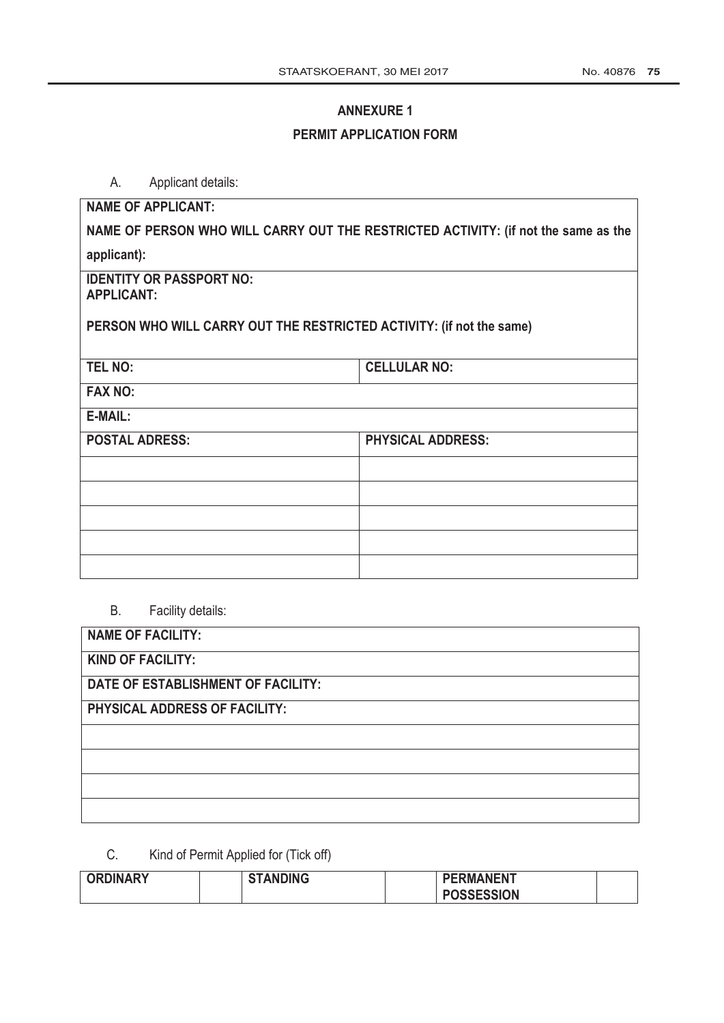# **ANNEXURE 1**

# **PERMIT APPLICATION FORM**

A. Applicant details:

| <b>NAME OF APPLICANT:</b>                                                          |                          |  |  |  |  |
|------------------------------------------------------------------------------------|--------------------------|--|--|--|--|
| NAME OF PERSON WHO WILL CARRY OUT THE RESTRICTED ACTIVITY: (if not the same as the |                          |  |  |  |  |
| applicant):                                                                        |                          |  |  |  |  |
| <b>IDENTITY OR PASSPORT NO:</b><br><b>APPLICANT:</b>                               |                          |  |  |  |  |
| PERSON WHO WILL CARRY OUT THE RESTRICTED ACTIVITY: (if not the same)               |                          |  |  |  |  |
| <b>TEL NO:</b>                                                                     | <b>CELLULAR NO:</b>      |  |  |  |  |
| <b>FAX NO:</b>                                                                     |                          |  |  |  |  |
| E-MAIL:                                                                            |                          |  |  |  |  |
| <b>POSTAL ADRESS:</b>                                                              | <b>PHYSICAL ADDRESS:</b> |  |  |  |  |
|                                                                                    |                          |  |  |  |  |
|                                                                                    |                          |  |  |  |  |
|                                                                                    |                          |  |  |  |  |
|                                                                                    |                          |  |  |  |  |
|                                                                                    |                          |  |  |  |  |

B. Facility details:

| <b>NAME OF FACILITY:</b>           |
|------------------------------------|
| <b>KIND OF FACILITY:</b>           |
| DATE OF ESTABLISHMENT OF FACILITY: |
| PHYSICAL ADDRESS OF FACILITY:      |
|                                    |
|                                    |
|                                    |
|                                    |

C. Kind of Permit Applied for (Tick off)

| <b>ORDINARY</b> | <b>STANDING</b> | <b>PERMANENT</b>  |  |
|-----------------|-----------------|-------------------|--|
|                 |                 | <b>POSSESSION</b> |  |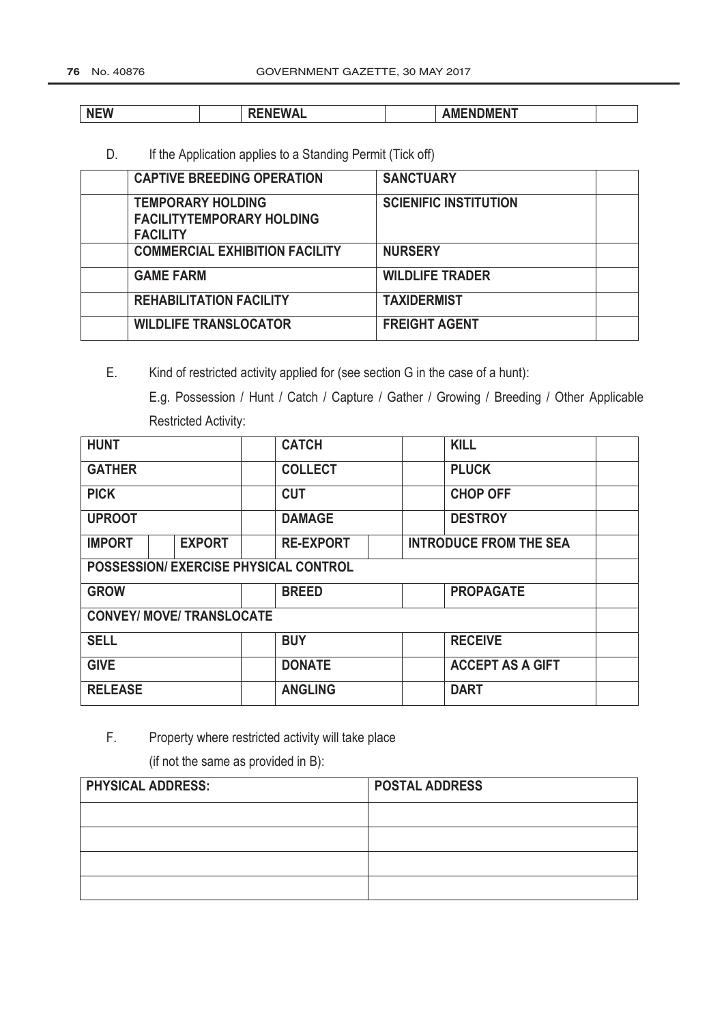| .<br><b>NEW</b> | ------<br>11 L V V / 7 L | <b>ACCALLY ACCALLY</b><br>JM!<br>'N<br>w<br> |  |
|-----------------|--------------------------|----------------------------------------------|--|

D. If the Application applies to a Standing Permit (Tick off)

| <b>CAPTIVE BREEDING OPERATION</b>                                               | <b>SANCTUARY</b>             |  |
|---------------------------------------------------------------------------------|------------------------------|--|
| <b>TEMPORARY HOLDING</b><br><b>FACILITYTEMPORARY HOLDING</b><br><b>FACILITY</b> | <b>SCIENIFIC INSTITUTION</b> |  |
| <b>COMMERCIAL EXHIBITION FACILITY</b>                                           | <b>NURSERY</b>               |  |
| <b>GAME FARM</b>                                                                | <b>WILDLIFE TRADER</b>       |  |
| <b>REHABILITATION FACILITY</b>                                                  | <b>TAXIDERMIST</b>           |  |
| <b>WILDLIFE TRANSLOCATOR</b>                                                    | <b>FREIGHT AGENT</b>         |  |

E. Kind of restricted activity applied for (see section G in the case of a hunt):

E.g. Possession / Hunt / Catch / Capture / Gather / Growing / Breeding / Other Applicable Restricted Activity:

| <b>HUNT</b>    |                                  | <b>CATCH</b>                         | <b>KILL</b>                   |  |  |  |  |  |  |
|----------------|----------------------------------|--------------------------------------|-------------------------------|--|--|--|--|--|--|
| <b>GATHER</b>  |                                  | <b>COLLECT</b>                       | <b>PLUCK</b>                  |  |  |  |  |  |  |
| <b>PICK</b>    |                                  | <b>CUT</b>                           | <b>CHOP OFF</b>               |  |  |  |  |  |  |
| <b>UPROOT</b>  |                                  | <b>DAMAGE</b>                        | <b>DESTROY</b>                |  |  |  |  |  |  |
| <b>IMPORT</b>  | <b>EXPORT</b>                    | <b>RE-EXPORT</b>                     | <b>INTRODUCE FROM THE SEA</b> |  |  |  |  |  |  |
|                |                                  | POSSESSION/EXERCISE PHYSICAL CONTROL |                               |  |  |  |  |  |  |
| <b>GROW</b>    |                                  | <b>BREED</b>                         | <b>PROPAGATE</b>              |  |  |  |  |  |  |
|                | <b>CONVEY/ MOVE/ TRANSLOCATE</b> |                                      |                               |  |  |  |  |  |  |
| <b>SELL</b>    |                                  | <b>BUY</b>                           | <b>RECEIVE</b>                |  |  |  |  |  |  |
| <b>GIVE</b>    |                                  | <b>DONATE</b>                        | <b>ACCEPT AS A GIFT</b>       |  |  |  |  |  |  |
| <b>RELEASE</b> |                                  | <b>ANGLING</b>                       | <b>DART</b>                   |  |  |  |  |  |  |

F. Property where restricted activity will take place

(if not the same as provided in B):

| <b>PHYSICAL ADDRESS:</b> | <b>POSTAL ADDRESS</b> |  |  |  |  |  |  |  |  |
|--------------------------|-----------------------|--|--|--|--|--|--|--|--|
|                          |                       |  |  |  |  |  |  |  |  |
|                          |                       |  |  |  |  |  |  |  |  |
|                          |                       |  |  |  |  |  |  |  |  |
|                          |                       |  |  |  |  |  |  |  |  |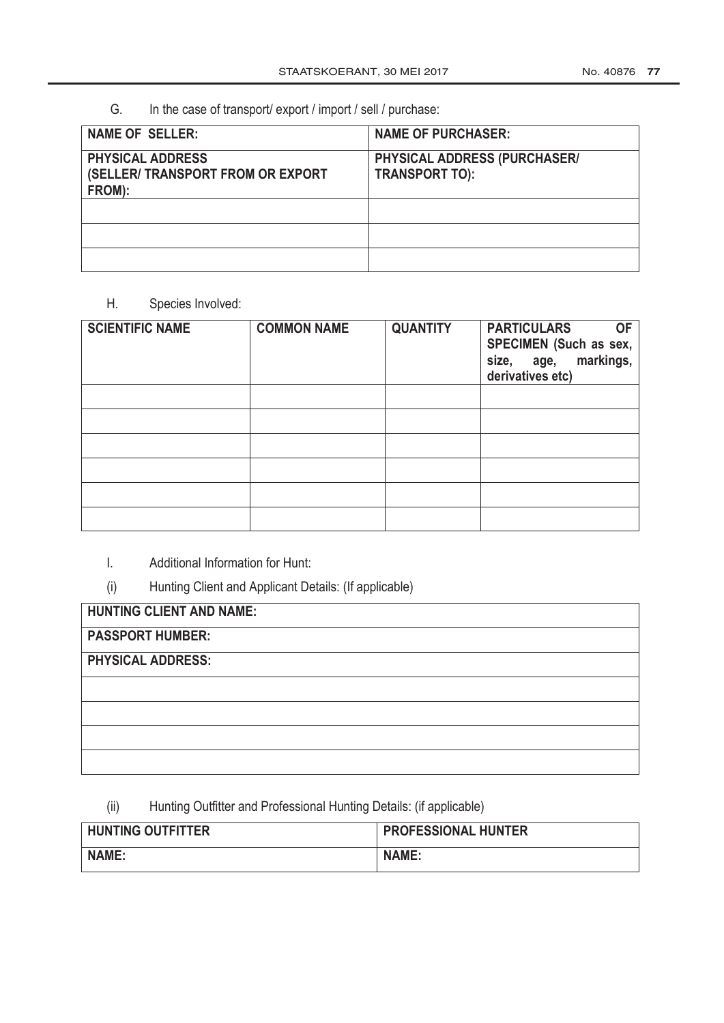## G. In the case of transport/ export / import / sell / purchase:

| <b>NAME OF SELLER:</b>                                                 | <b>NAME OF PURCHASER:</b>                             |
|------------------------------------------------------------------------|-------------------------------------------------------|
| <b>PHYSICAL ADDRESS</b><br>(SELLER/ TRANSPORT FROM OR EXPORT<br>FROM): | PHYSICAL ADDRESS (PURCHASER/<br><b>TRANSPORT TO):</b> |
|                                                                        |                                                       |
|                                                                        |                                                       |
|                                                                        |                                                       |

#### H. Species Involved:

| <b>SCIENTIFIC NAME</b> | <b>COMMON NAME</b> | <b>QUANTITY</b> | <b>PARTICULARS</b><br><b>OF</b><br>SPECIMEN (Such as sex,<br>markings,<br>size, age,<br>derivatives etc) |
|------------------------|--------------------|-----------------|----------------------------------------------------------------------------------------------------------|
|                        |                    |                 |                                                                                                          |
|                        |                    |                 |                                                                                                          |
|                        |                    |                 |                                                                                                          |
|                        |                    |                 |                                                                                                          |
|                        |                    |                 |                                                                                                          |
|                        |                    |                 |                                                                                                          |

#### I. Additional Information for Hunt:

(i) Hunting Client and Applicant Details: (If applicable)

| <b>HUNTING CLIENT AND NAME:</b> |  |
|---------------------------------|--|
| <b>PASSPORT HUMBER:</b>         |  |
| <b>PHYSICAL ADDRESS:</b>        |  |
|                                 |  |

## (ii) Hunting Outfitter and Professional Hunting Details: (if applicable)

| <b>HUNTING OUTFITTER</b> | <b>PROFESSIONAL HUNTER</b> |
|--------------------------|----------------------------|
| <b>NAME:</b>             | <b>NAME:</b>               |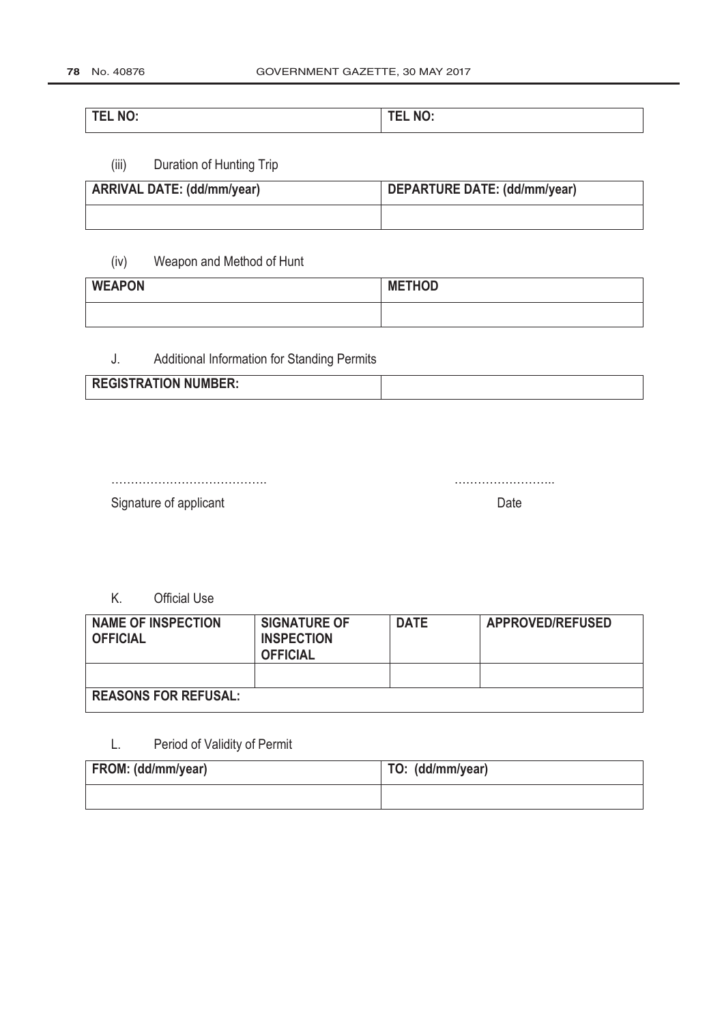## **TEL NO: TEL NO:**

## (iii) Duration of Hunting Trip

| <b>ARRIVAL DATE: (dd/mm/year)</b> | DEPARTURE DATE: (dd/mm/year) |
|-----------------------------------|------------------------------|
|                                   |                              |

## (iv) Weapon and Method of Hunt

| <b>WEAPON</b> | <b>METHOD</b> |
|---------------|---------------|
|               |               |

## J. Additional Information for Standing Permits

| <b>REGISTRATION NUMBER:</b> |  |
|-----------------------------|--|
|                             |  |

…………………………………. ……………………..

Signature of applicant Date Date Date Date Date

K. Official Use

| <b>NAME OF INSPECTION</b><br><b>OFFICIAL</b> | <b>SIGNATURE OF</b><br><b>INSPECTION</b><br><b>OFFICIAL</b> | <b>DATE</b> | <b>APPROVED/REFUSED</b> |
|----------------------------------------------|-------------------------------------------------------------|-------------|-------------------------|
|                                              |                                                             |             |                         |
| <b>REASONS FOR REFUSAL:</b>                  |                                                             |             |                         |

## L. Period of Validity of Permit

| FROM: (dd/mm/year) | TO: (dd/mm/year) |
|--------------------|------------------|
|                    |                  |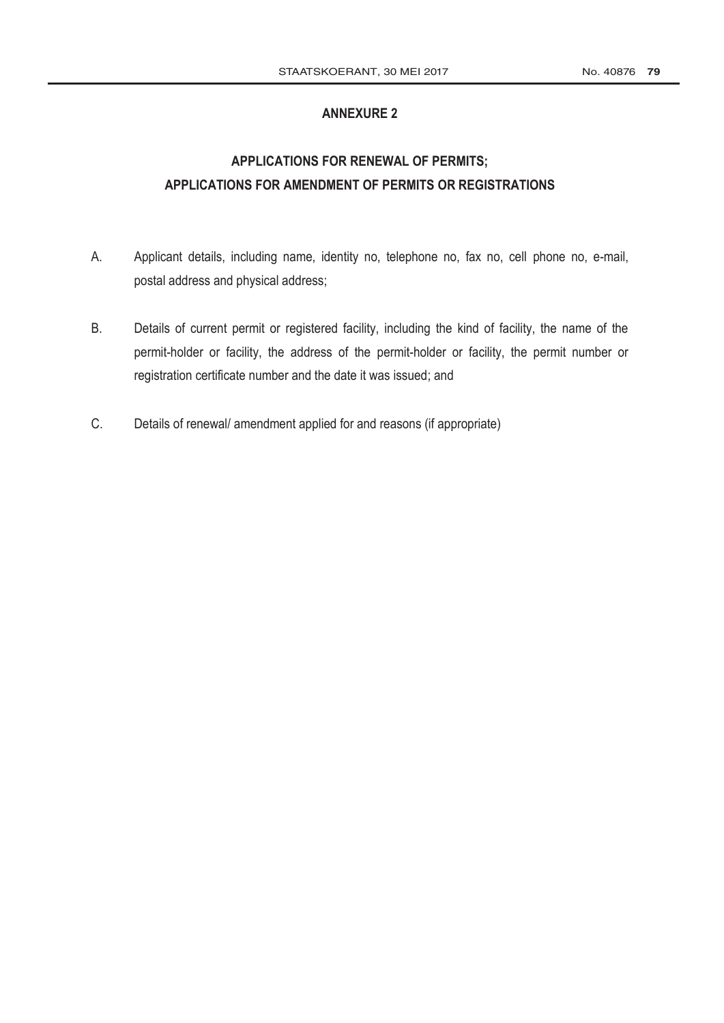#### **ANNEXURE 2**

# **APPLICATIONS FOR RENEWAL OF PERMITS; APPLICATIONS FOR AMENDMENT OF PERMITS OR REGISTRATIONS**

- A. Applicant details, including name, identity no, telephone no, fax no, cell phone no, e-mail, postal address and physical address;
- B. Details of current permit or registered facility, including the kind of facility, the name of the permit-holder or facility, the address of the permit-holder or facility, the permit number or registration certificate number and the date it was issued; and
- C. Details of renewal/ amendment applied for and reasons (if appropriate)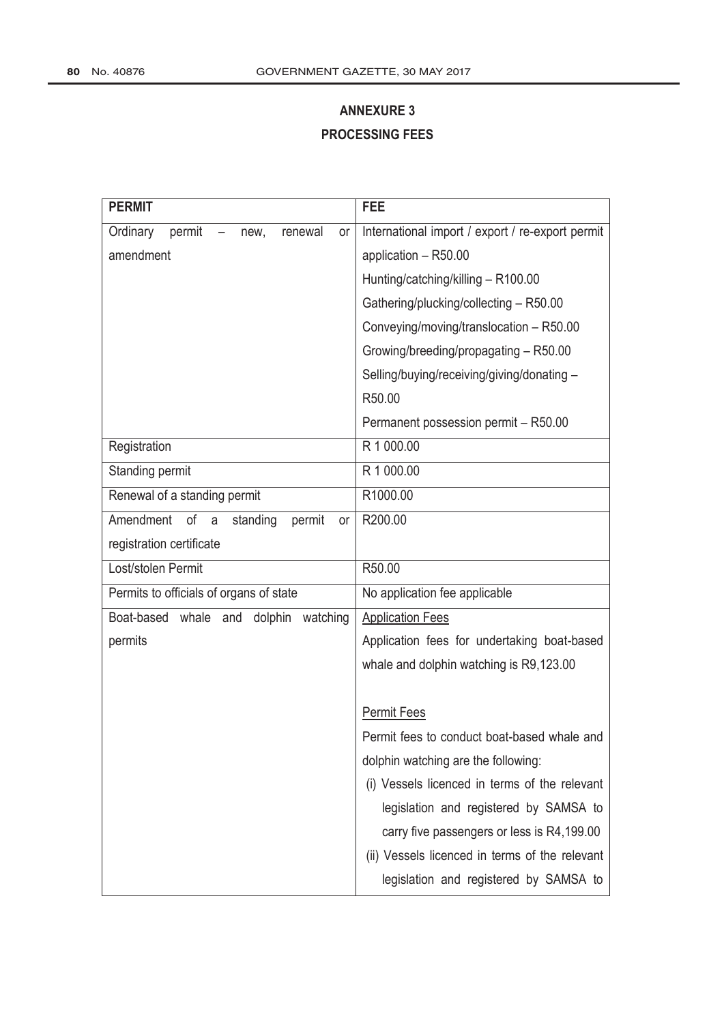# **ANNEXURE 3 PROCESSING FEES**

| <b>PERMIT</b>                                 | <b>FEE</b>                                       |
|-----------------------------------------------|--------------------------------------------------|
| Ordinary<br>permit<br>renewal<br>or<br>new,   | International import / export / re-export permit |
| amendment                                     | application - R50.00                             |
|                                               | Hunting/catching/killing - R100.00               |
|                                               | Gathering/plucking/collecting - R50.00           |
|                                               | Conveying/moving/translocation - R50.00          |
|                                               | Growing/breeding/propagating - R50.00            |
|                                               | Selling/buying/receiving/giving/donating -       |
|                                               | R50.00                                           |
|                                               | Permanent possession permit - R50.00             |
| Registration                                  | R 1 000.00                                       |
| Standing permit                               | R 1 000.00                                       |
| Renewal of a standing permit                  | R1000.00                                         |
| Amendment<br>of a<br>standing<br>permit<br>or | R200.00                                          |
| registration certificate                      |                                                  |
| Lost/stolen Permit                            | R50.00                                           |
| Permits to officials of organs of state       | No application fee applicable                    |
| Boat-based whale and<br>watching<br>dolphin   | <b>Application Fees</b>                          |
| permits                                       | Application fees for undertaking boat-based      |
|                                               | whale and dolphin watching is R9,123.00          |
|                                               |                                                  |
|                                               | <b>Permit Fees</b>                               |
|                                               | Permit fees to conduct boat-based whale and      |
|                                               | dolphin watching are the following:              |
|                                               | (i) Vessels licenced in terms of the relevant    |
|                                               | legislation and registered by SAMSA to           |
|                                               | carry five passengers or less is R4,199.00       |
|                                               | (ii) Vessels licenced in terms of the relevant   |
|                                               | legislation and registered by SAMSA to           |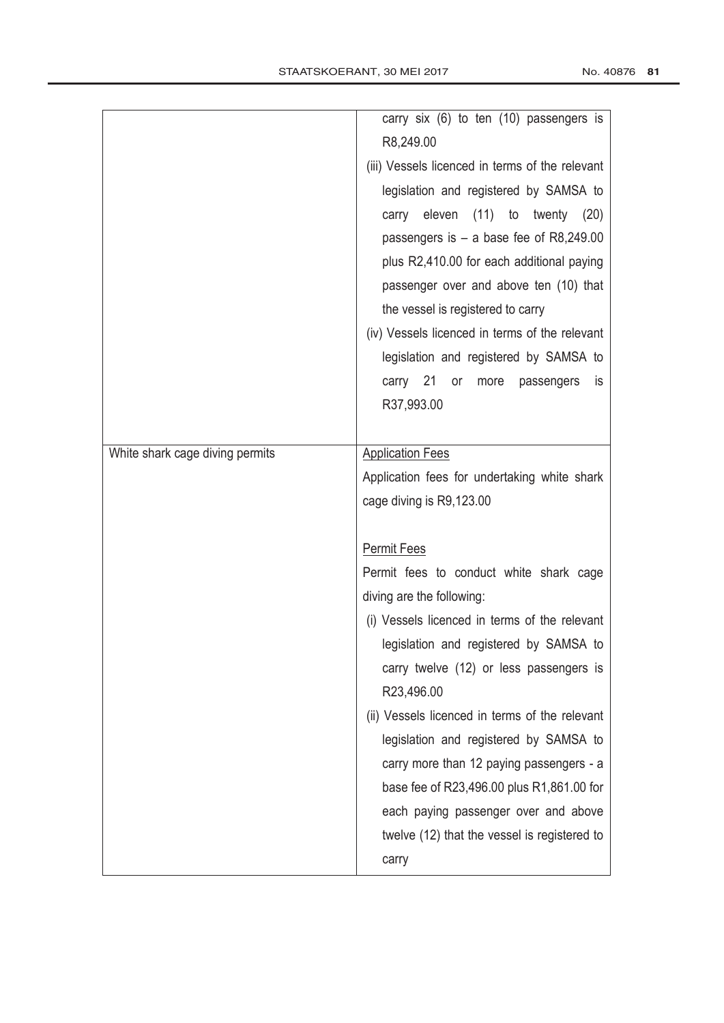|                                 | carry six (6) to ten (10) passengers is         |
|---------------------------------|-------------------------------------------------|
|                                 | R8,249.00                                       |
|                                 | (iii) Vessels licenced in terms of the relevant |
|                                 | legislation and registered by SAMSA to          |
|                                 | eleven<br>(11)<br>to<br>twenty<br>(20)<br>carry |
|                                 | passengers is $-$ a base fee of R8,249.00       |
|                                 | plus R2,410.00 for each additional paying       |
|                                 | passenger over and above ten (10) that          |
|                                 | the vessel is registered to carry               |
|                                 | (iv) Vessels licenced in terms of the relevant  |
|                                 | legislation and registered by SAMSA to          |
|                                 | carry 21 or<br>more<br>passengers<br><b>is</b>  |
|                                 | R37,993.00                                      |
|                                 |                                                 |
| White shark cage diving permits | <b>Application Fees</b>                         |
|                                 | Application fees for undertaking white shark    |
|                                 | cage diving is R9,123.00                        |
|                                 |                                                 |
|                                 | <b>Permit Fees</b>                              |
|                                 | Permit fees to conduct white shark cage         |
|                                 | diving are the following:                       |
|                                 | (i) Vessels licenced in terms of the relevant   |
|                                 | legislation and registered by SAMSA to          |
|                                 | carry twelve (12) or less passengers is         |
|                                 | R23,496.00                                      |
|                                 | (ii) Vessels licenced in terms of the relevant  |
|                                 | legislation and registered by SAMSA to          |
|                                 | carry more than 12 paying passengers - a        |
|                                 |                                                 |
|                                 | base fee of R23,496.00 plus R1,861.00 for       |
|                                 | each paying passenger over and above            |
|                                 | twelve (12) that the vessel is registered to    |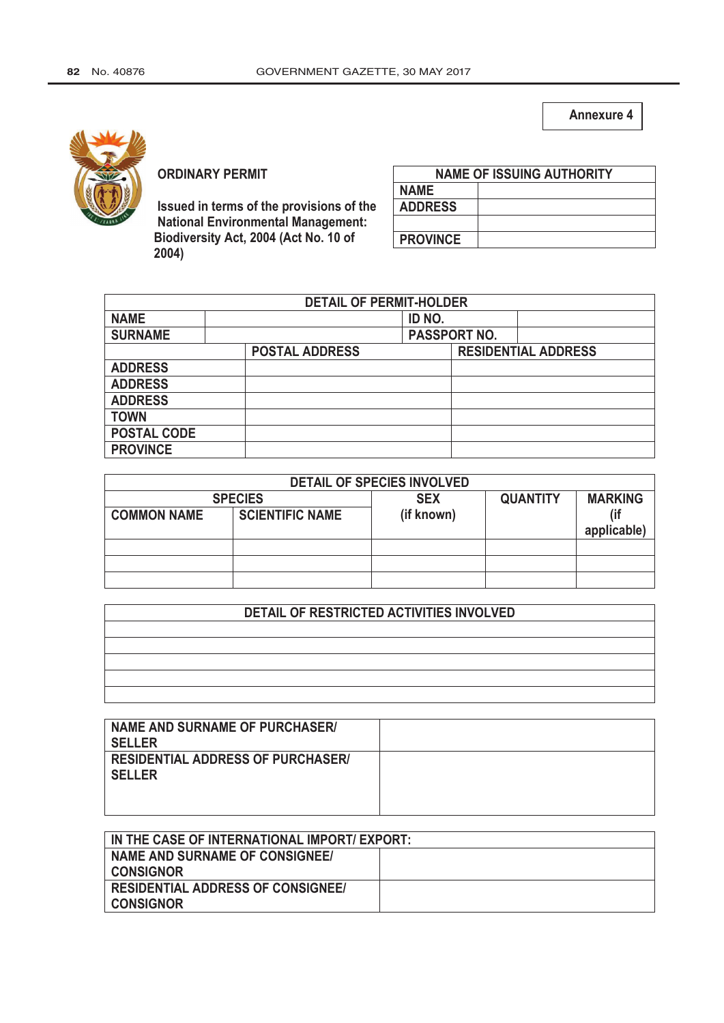**Annexure 4**



#### **ORDINARY PERMIT**

**Issued in terms of the provisions of the National Environmental Management: Biodiversity Act, 2004 (Act No. 10 of 2004)**

| <b>NAME OF ISSUING AUTHORITY</b> |  |  |
|----------------------------------|--|--|
| <b>NAME</b>                      |  |  |
| <b>ADDRESS</b>                   |  |  |
|                                  |  |  |
| <b>PROVINCE</b>                  |  |  |

| <b>DETAIL OF PERMIT-HOLDER</b> |                       |  |                     |                            |
|--------------------------------|-----------------------|--|---------------------|----------------------------|
| <b>NAME</b>                    |                       |  |                     |                            |
| <b>SURNAME</b>                 |                       |  | <b>PASSPORT NO.</b> |                            |
|                                | <b>POSTAL ADDRESS</b> |  |                     | <b>RESIDENTIAL ADDRESS</b> |
| <b>ADDRESS</b>                 |                       |  |                     |                            |
| <b>ADDRESS</b>                 |                       |  |                     |                            |
| <b>ADDRESS</b>                 |                       |  |                     |                            |
| <b>TOWN</b>                    |                       |  |                     |                            |
| <b>POSTAL CODE</b>             |                       |  |                     |                            |
| <b>PROVINCE</b>                |                       |  |                     |                            |

| <b>DETAIL OF SPECIES INVOLVED</b> |                        |            |                 |                |  |
|-----------------------------------|------------------------|------------|-----------------|----------------|--|
|                                   | <b>SPECIES</b>         | <b>SEX</b> | <b>QUANTITY</b> | <b>MARKING</b> |  |
| <b>COMMON NAME</b>                | <b>SCIENTIFIC NAME</b> | (if known) |                 |                |  |
|                                   |                        |            |                 | applicable)    |  |
|                                   |                        |            |                 |                |  |
|                                   |                        |            |                 |                |  |
|                                   |                        |            |                 |                |  |

## **DETAIL OF RESTRICTED ACTIVITIES INVOLVED**

| NAME AND SURNAME OF PURCHASER/                            |  |
|-----------------------------------------------------------|--|
| <b>SELLER</b>                                             |  |
| <b>RESIDENTIAL ADDRESS OF PURCHASER/</b><br><b>SELLER</b> |  |
|                                                           |  |

| IN THE CASE OF INTERNATIONAL IMPORT/ EXPORT: |  |  |
|----------------------------------------------|--|--|
| NAME AND SURNAME OF CONSIGNEE/               |  |  |
| <b>CONSIGNOR</b>                             |  |  |
| <b>RESIDENTIAL ADDRESS OF CONSIGNEE!</b>     |  |  |
| <b>CONSIGNOR</b>                             |  |  |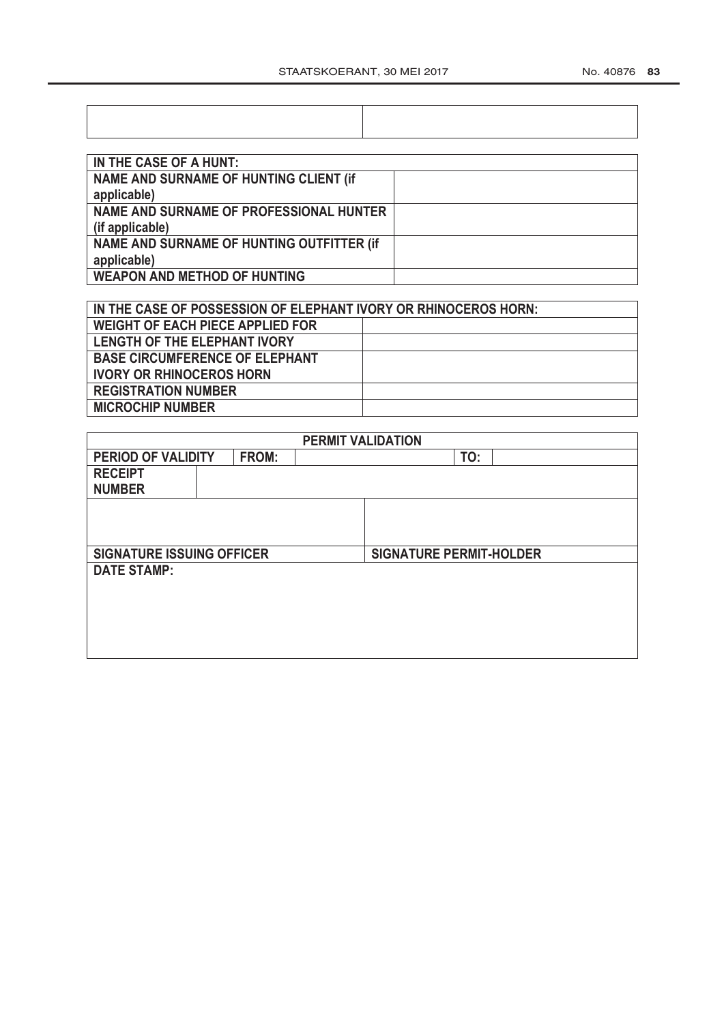| IN THE CASE OF A HUNT:                        |  |
|-----------------------------------------------|--|
| <b>NAME AND SURNAME OF HUNTING CLIENT (if</b> |  |
| applicable)                                   |  |
| NAME AND SURNAME OF PROFESSIONAL HUNTER       |  |
| (if applicable)                               |  |
| NAME AND SURNAME OF HUNTING OUTFITTER (if     |  |
| applicable)                                   |  |
| <b>WEAPON AND METHOD OF HUNTING</b>           |  |

| IN THE CASE OF POSSESSION OF ELEPHANT IVORY OR RHINOCEROS HORN: |  |  |  |  |
|-----------------------------------------------------------------|--|--|--|--|
| <b>WEIGHT OF EACH PIECE APPLIED FOR</b>                         |  |  |  |  |
| <b>LENGTH OF THE ELEPHANT IVORY</b>                             |  |  |  |  |
| <b>BASE CIRCUMFERENCE OF ELEPHANT</b>                           |  |  |  |  |
| <b>IVORY OR RHINOCEROS HORN</b>                                 |  |  |  |  |
| <b>REGISTRATION NUMBER</b>                                      |  |  |  |  |
| <b>MICROCHIP NUMBER</b>                                         |  |  |  |  |

|                                  |                                                  |  | <b>PERMIT VALIDATION</b> |                                |  |  |
|----------------------------------|--------------------------------------------------|--|--------------------------|--------------------------------|--|--|
|                                  | <b>PERIOD OF VALIDITY</b><br><b>FROM:</b><br>TO: |  |                          |                                |  |  |
| <b>RECEIPT</b>                   |                                                  |  |                          |                                |  |  |
| <b>NUMBER</b>                    |                                                  |  |                          |                                |  |  |
|                                  |                                                  |  |                          |                                |  |  |
|                                  |                                                  |  |                          |                                |  |  |
|                                  |                                                  |  |                          |                                |  |  |
| <b>SIGNATURE ISSUING OFFICER</b> |                                                  |  |                          | <b>SIGNATURE PERMIT-HOLDER</b> |  |  |
| <b>DATE STAMP:</b>               |                                                  |  |                          |                                |  |  |
|                                  |                                                  |  |                          |                                |  |  |
|                                  |                                                  |  |                          |                                |  |  |
|                                  |                                                  |  |                          |                                |  |  |
|                                  |                                                  |  |                          |                                |  |  |
|                                  |                                                  |  |                          |                                |  |  |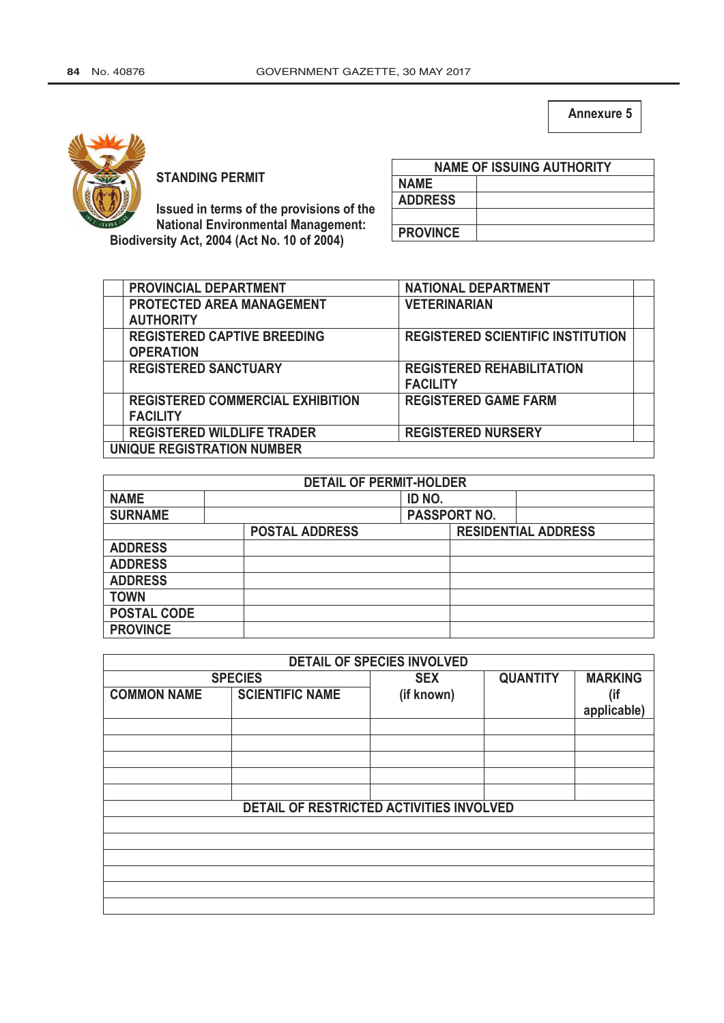**Annexure 5**



**STANDING PERMIT** 

**Issued in terms of the provisions of the National Environmental Management: Biodiversity Act, 2004 (Act No. 10 of 2004)**

|                 | <b>NAME OF ISSUING AUTHORITY</b> |
|-----------------|----------------------------------|
| <b>NAME</b>     |                                  |
| <b>ADDRESS</b>  |                                  |
|                 |                                  |
| <b>PROVINCE</b> |                                  |

| PROVINCIAL DEPARTMENT                   | <b>NATIONAL DEPARTMENT</b>               |  |
|-----------------------------------------|------------------------------------------|--|
| <b>PROTECTED AREA MANAGEMENT</b>        | <b>VETERINARIAN</b>                      |  |
| <b>AUTHORITY</b>                        |                                          |  |
| <b>REGISTERED CAPTIVE BREEDING</b>      | <b>REGISTERED SCIENTIFIC INSTITUTION</b> |  |
| <b>OPERATION</b>                        |                                          |  |
| <b>REGISTERED SANCTUARY</b>             | <b>REGISTERED REHABILITATION</b>         |  |
|                                         | <b>FACILITY</b>                          |  |
| <b>REGISTERED COMMERCIAL EXHIBITION</b> | <b>REGISTERED GAME FARM</b>              |  |
| <b>FACILITY</b>                         |                                          |  |
| <b>REGISTERED WILDLIFE TRADER</b>       | <b>REGISTERED NURSERY</b>                |  |
| <b>UNIQUE REGISTRATION NUMBER</b>       |                                          |  |

|                    | <b>DETAIL OF PERMIT-HOLDER</b> |        |                     |                            |
|--------------------|--------------------------------|--------|---------------------|----------------------------|
| <b>NAME</b>        |                                | ID NO. |                     |                            |
| <b>SURNAME</b>     |                                |        | <b>PASSPORT NO.</b> |                            |
|                    | <b>POSTAL ADDRESS</b>          |        |                     | <b>RESIDENTIAL ADDRESS</b> |
| <b>ADDRESS</b>     |                                |        |                     |                            |
| <b>ADDRESS</b>     |                                |        |                     |                            |
| <b>ADDRESS</b>     |                                |        |                     |                            |
| <b>TOWN</b>        |                                |        |                     |                            |
| <b>POSTAL CODE</b> |                                |        |                     |                            |
| <b>PROVINCE</b>    |                                |        |                     |                            |

|                    |                                          | <b>DETAIL OF SPECIES INVOLVED</b> |                 |                |
|--------------------|------------------------------------------|-----------------------------------|-----------------|----------------|
|                    | <b>SPECIES</b>                           | <b>SEX</b>                        | <b>QUANTITY</b> | <b>MARKING</b> |
| <b>COMMON NAME</b> | <b>SCIENTIFIC NAME</b>                   | (if known)                        |                 | (if            |
|                    |                                          |                                   |                 | applicable)    |
|                    |                                          |                                   |                 |                |
|                    |                                          |                                   |                 |                |
|                    |                                          |                                   |                 |                |
|                    |                                          |                                   |                 |                |
|                    |                                          |                                   |                 |                |
|                    | DETAIL OF RESTRICTED ACTIVITIES INVOLVED |                                   |                 |                |
|                    |                                          |                                   |                 |                |
|                    |                                          |                                   |                 |                |
|                    |                                          |                                   |                 |                |
|                    |                                          |                                   |                 |                |
|                    |                                          |                                   |                 |                |
|                    |                                          |                                   |                 |                |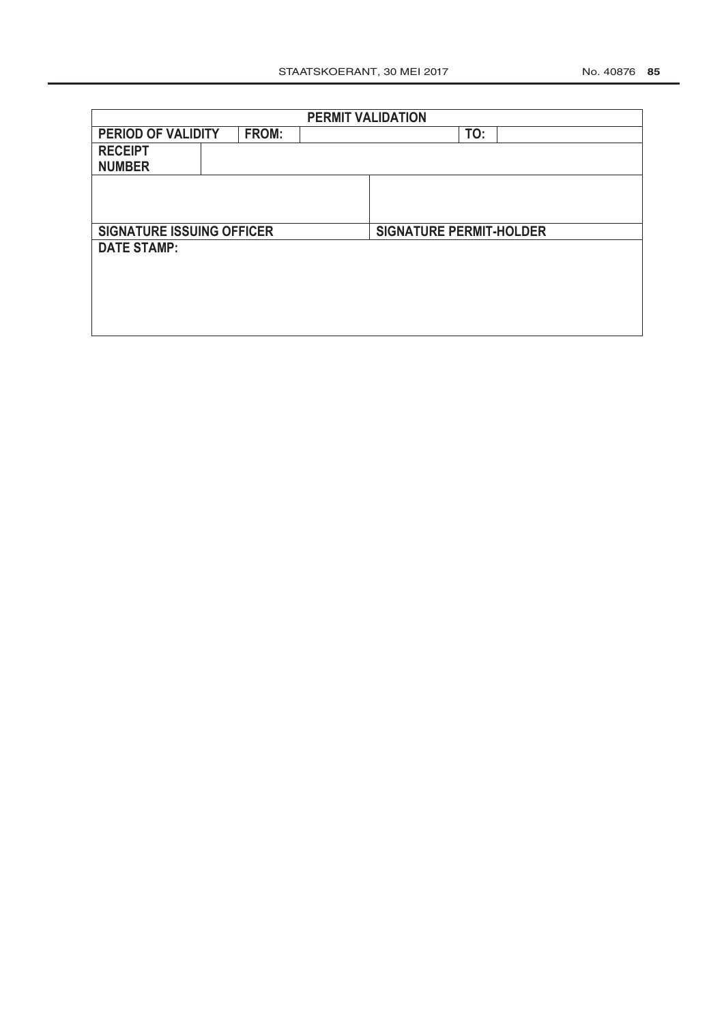|                                  |                             |  | <b>PERMIT VALIDATION</b> |                                |     |  |
|----------------------------------|-----------------------------|--|--------------------------|--------------------------------|-----|--|
|                                  | PERIOD OF VALIDITY<br>FROM: |  |                          |                                | TO: |  |
| <b>RECEIPT</b>                   |                             |  |                          |                                |     |  |
| <b>NUMBER</b>                    |                             |  |                          |                                |     |  |
|                                  |                             |  |                          |                                |     |  |
|                                  |                             |  |                          |                                |     |  |
|                                  |                             |  |                          |                                |     |  |
| <b>SIGNATURE ISSUING OFFICER</b> |                             |  |                          | <b>SIGNATURE PERMIT-HOLDER</b> |     |  |
| <b>DATE STAMP:</b>               |                             |  |                          |                                |     |  |
|                                  |                             |  |                          |                                |     |  |
|                                  |                             |  |                          |                                |     |  |
|                                  |                             |  |                          |                                |     |  |
|                                  |                             |  |                          |                                |     |  |
|                                  |                             |  |                          |                                |     |  |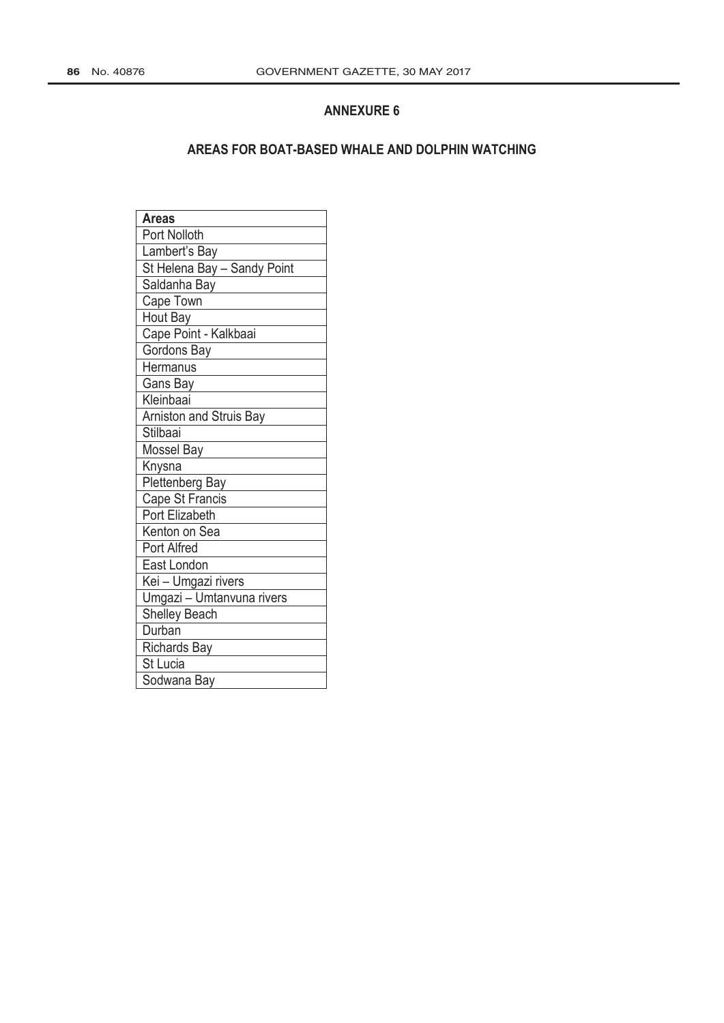#### **ANNEXURE 6**

#### **AREAS FOR BOAT-BASED WHALE AND DOLPHIN WATCHING**

| <b>Areas</b>                   |
|--------------------------------|
| Port Nolloth                   |
| Lambert's Bay                  |
| St Helena Bay - Sandy Point    |
| Saldanha Bay                   |
| Cape Town                      |
| Hout Bay                       |
| Cape Point - Kalkbaai          |
| Gordons Bay                    |
| Hermanus                       |
| Gans Bay                       |
| Kleinbaai                      |
| <b>Arniston and Struis Bay</b> |
| Stilbaai                       |
| Mossel Bay                     |
| Knysna                         |
| Plettenberg Bay                |
| Cape St Francis                |
| <b>Port Elizabeth</b>          |
| Kenton on Sea                  |
| Port Alfred                    |
| East London                    |
| Kei - Umgazi rivers            |
| Umgazi - Umtanvuna rivers      |
| <b>Shelley Beach</b>           |
| Durban                         |
| Richards Bay                   |
| St Lucia                       |
| Sodwana Bay                    |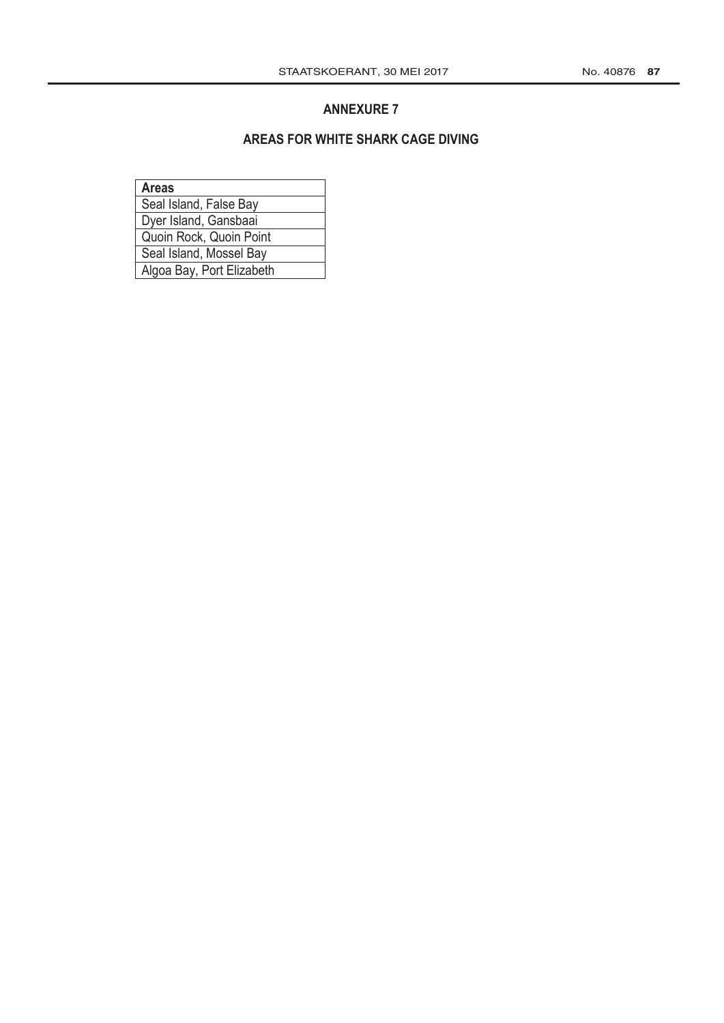#### **ANNEXURE 7**

#### **AREAS FOR WHITE SHARK CAGE DIVING**

| <b>Areas</b>              |
|---------------------------|
| Seal Island, False Bay    |
| Dyer Island, Gansbaai     |
| Quoin Rock, Quoin Point   |
| Seal Island, Mossel Bay   |
| Algoa Bay, Port Elizabeth |